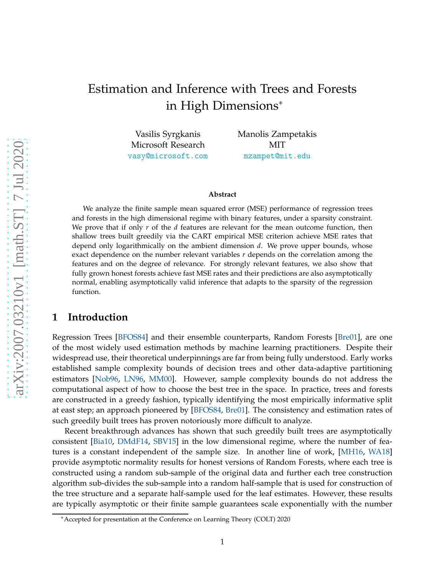# Estimation and Inference with Trees and Forests in High Dimensions<sup>∗</sup>

Vasilis Syrgkanis Microsoft Research <vasy@microsoft.com> Manolis Zampetakis MIT <mzampet@mit.edu>

#### **Abstract**

We analyze the finite sample mean squared error (MSE) performance of regression trees and forests in the high dimensional regime with binary features, under a sparsity constraint. We prove that if only *r* of the *d* features are relevant for the mean outcome function, then shallow trees built greedily via the CART empirical MSE criterion achieve MSE rates that depend only logarithmically on the ambient dimension *d*. We prove upper bounds, whose exact dependence on the number relevant variables *r* depends on the correlation among the features and on the degree of relevance. For strongly relevant features, we also show that fully grown honest forests achieve fast MSE rates and their predictions are also asymptotically normal, enabling asymptotically valid inference that adapts to the sparsity of the regression function.

# **1 Introduction**

Regression Trees [\[BFOS84\]](#page-12-0) and their ensemble counterparts, Random Forests [\[Bre01\]](#page-12-1), are one of the most widely used estimation methods by machine learning practitioners. Despite their widespread use, their theoretical underpinnings are far from being fully understood. Early works established sample complexity bounds of decision trees and other data-adaptive partitioning estimators [\[Nob96,](#page-13-0) [LN96,](#page-13-1) [MM00\]](#page-13-2). However, sample complexity bounds do not address the computational aspect of how to choose the best tree in the space. In practice, trees and forests are constructed in a greedy fashion, typically identifying the most empirically informative split at east step; an approach pioneered by [\[BFOS84,](#page-12-0) [Bre01\]](#page-12-1). The consistency and estimation rates of such greedily built trees has proven notoriously more difficult to analyze.

Recent breakthrough advances has shown that such greedily built trees are asymptotically consistent [\[Bia10,](#page-12-2) [DMdF14,](#page-12-3) [SBV15\]](#page-13-3) in the low dimensional regime, where the number of features is a constant independent of the sample size. In another line of work, [\[MH16,](#page-13-4) [WA18\]](#page-13-5) provide asymptotic normality results for honest versions of Random Forests, where each tree is constructed using a random sub-sample of the original data and further each tree construction algorithm sub-divides the sub-sample into a random half-sample that is used for construction of the tree structure and a separate half-sample used for the leaf estimates. However, these results are typically asymptotic or their finite sample guarantees scale exponentially with the number

<sup>∗</sup>Accepted for presentation at the Conference on Learning Theory (COLT) 2020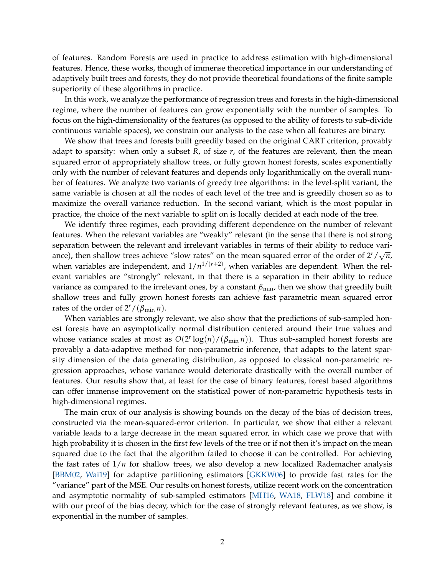of features. Random Forests are used in practice to address estimation with high-dimensional features. Hence, these works, though of immense theoretical importance in our understanding of adaptively built trees and forests, they do not provide theoretical foundations of the finite sample superiority of these algorithms in practice.

In this work, we analyze the performance of regression trees and forests in the high-dimensional regime, where the number of features can grow exponentially with the number of samples. To focus on the high-dimensionality of the features (as opposed to the ability of forests to sub-divide continuous variable spaces), we constrain our analysis to the case when all features are binary.

We show that trees and forests built greedily based on the original CART criterion, provably adapt to sparsity: when only a subset *R*, of size *r*, of the features are relevant, then the mean squared error of appropriately shallow trees, or fully grown honest forests, scales exponentially only with the number of relevant features and depends only logarithmically on the overall number of features. We analyze two variants of greedy tree algorithms: in the level-split variant, the same variable is chosen at all the nodes of each level of the tree and is greedily chosen so as to maximize the overall variance reduction. In the second variant, which is the most popular in practice, the choice of the next variable to split on is locally decided at each node of the tree.

We identify three regimes, each providing different dependence on the number of relevant features. When the relevant variables are "weakly" relevant (in the sense that there is not strong separation between the relevant and irrelevant variables in terms of their ability to reduce variance), then shallow trees achieve "slow rates" on the mean squared error of the order of  $2^r / \sqrt{n}$ , when variables are independent, and  $1/n^{1/(r+2)}$ , when variables are dependent. When the relevant variables are "strongly" relevant, in that there is a separation in their ability to reduce variance as compared to the irrelevant ones, by a constant *β*min, then we show that greedily built shallow trees and fully grown honest forests can achieve fast parametric mean squared error rates of the order of  $2^r/(\beta_{\min} n)$ .

When variables are strongly relevant, we also show that the predictions of sub-sampled honest forests have an asymptotically normal distribution centered around their true values and whose variance scales at most as  $O(2^r \log(n) / (\beta_{\min} n))$ . Thus sub-sampled honest forests are provably a data-adaptive method for non-parametric inference, that adapts to the latent sparsity dimension of the data generating distribution, as opposed to classical non-parametric regression approaches, whose variance would deteriorate drastically with the overall number of features. Our results show that, at least for the case of binary features, forest based algorithms can offer immense improvement on the statistical power of non-parametric hypothesis tests in high-dimensional regimes.

The main crux of our analysis is showing bounds on the decay of the bias of decision trees, constructed via the mean-squared-error criterion. In particular, we show that either a relevant variable leads to a large decrease in the mean squared error, in which case we prove that with high probability it is chosen in the first few levels of the tree or if not then it's impact on the mean squared due to the fact that the algorithm failed to choose it can be controlled. For achieving the fast rates of  $1/n$  for shallow trees, we also develop a new localized Rademacher analysis [\[BBM02,](#page-11-0) [Wai19\]](#page-13-6) for adaptive partitioning estimators [\[GKKW06\]](#page-12-4) to provide fast rates for the "variance" part of the MSE. Our results on honest forests, utilize recent work on the concentration and asymptotic normality of sub-sampled estimators [\[MH16,](#page-13-4) [WA18,](#page-13-5) [FLW18\]](#page-12-5) and combine it with our proof of the bias decay, which for the case of strongly relevant features, as we show, is exponential in the number of samples.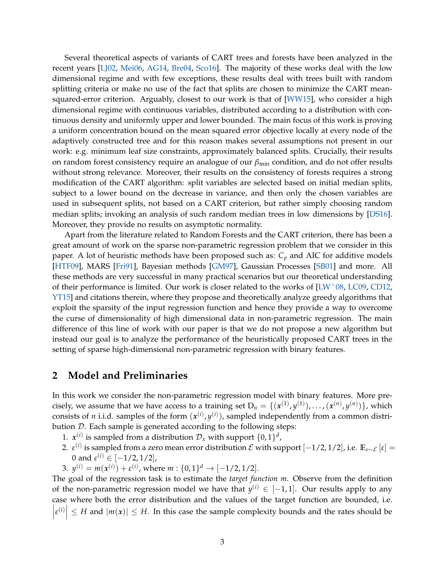Several theoretical aspects of variants of CART trees and forests have been analyzed in the recent years [\[LJ02,](#page-12-6) [Mei06,](#page-13-7) [AG14,](#page-11-1) [Bre04,](#page-12-7) [Sco16\]](#page-13-8). The majority of these works deal with the low dimensional regime and with few exceptions, these results deal with trees built with random splitting criteria or make no use of the fact that splits are chosen to minimize the CART meansquared-error criterion. Arguably, closest to our work is that of [\[WW15\]](#page-14-0), who consider a high dimensional regime with continuous variables, distributed according to a distribution with continuous density and uniformly upper and lower bounded. The main focus of this work is proving a uniform concentration bound on the mean squared error objective locally at every node of the adaptively constructed tree and for this reason makes several assumptions not present in our work: e.g. minimum leaf size constraints, approximately balanced splits. Crucially, their results on random forest consistency require an analogue of our  $\beta_{\text{min}}$  condition, and do not offer results without strong relevance. Moreover, their results on the consistency of forests requires a strong modification of the CART algorithm: split variables are selected based on initial median splits, subject to a lower bound on the decrease in variance, and then only the chosen variables are used in subsequent splits, not based on a CART criterion, but rather simply choosing random median splits; invoking an analysis of such random median trees in low dimensions by [\[DS16\]](#page-12-8). Moreover, they provide no results on asymptotic normality.

Apart from the literature related to Random Forests and the CART criterion, there has been a great amount of work on the sparse non-parametric regression problem that we consider in this paper. A lot of heuristic methods have been proposed such as: *C<sup>p</sup>* and AIC for additive models [\[HTF09\]](#page-12-9), MARS [\[Fri91\]](#page-12-10), Bayesian methods [\[GM97\]](#page-12-11), Gaussian Processes [\[SB01\]](#page-13-9) and more. All these methods are very successful in many practical scenarios but our theoretical understanding of their performance is limited. Our work is closer related to the works of  $[EW^+08,$  [LC09,](#page-12-12) [CD12,](#page-12-13) [YT15\]](#page-14-1) and citations therein, where they propose and theoretically analyze greedy algorithms that exploit the sparsity of the input regression function and hence they provide a way to overcome the curse of dimensionality of high dimensional data in non-parametric regression. The main difference of this line of work with our paper is that we do not propose a new algorithm but instead our goal is to analyze the performance of the heuristically proposed CART trees in the setting of sparse high-dimensional non-parametric regression with binary features.

# **2 Model and Preliminaries**

In this work we consider the non-parametric regression model with binary features. More precisely, we assume that we have access to a training set  $D_n = \{ (x^{(1)}, y^{(1)}), \ldots, (x^{(n)}, y^{(n)}) \}$ , which consists of *n* i.i.d. samples of the form  $(x^{(i)}, y^{(i)})$ , sampled independently from a common distribution  $D$ . Each sample is generated according to the following steps:

- 1.  $x^{(i)}$  is sampled from a distribution  $\mathcal{D}_x$  with support  $\{0, 1\}^d$ ,
- 2.  $\varepsilon^{(i)}$  is sampled from a zero mean error distribution  $\mathcal E$  with support  $[-1/2, 1/2]$ , i.e.  $\mathbb E_{\varepsilon \sim \mathcal E} [ \varepsilon ] =$ 0 and  $\varepsilon^{(i)} \in [-1/2, 1/2]$ ,
- 3.  $y^{(i)} = m(x^{(i)}) + \varepsilon^{(i)}$ , where  $m : \{0, 1\}^d \to [-1/2, 1/2]$ .

The goal of the regression task is to estimate the *target function m*. Observe from the definition of the non-parametric regression model we have that  $y^{(i)} \in [-1,1]$ . Our results apply to any case where both the error distribution and the values of the target function are bounded, i.e.  $\begin{array}{c} \begin{array}{c} \begin{array}{c} \end{array} \\ \begin{array}{c} \end{array} \end{array} \end{array}$  $\left| \mathcal{E}^{(i)} \right| \leq H$  and  $|m(x)| \leq H$ . In this case the sample complexity bounds and the rates should be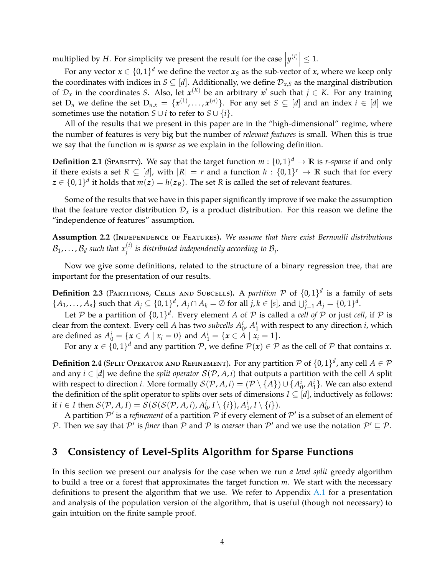multiplied by *H*. For simplicity we present the result for the case  $|y^{(i)}| \leq 1$ .

For any vector  $x \in \{0,1\}^d$  we define the vector  $x_S$  as the sub-vector of *x*, where we keep only the coordinates with indices in  $S \subseteq [d]$ . Additionally, we define  $\mathcal{D}_{x,S}$  as the marginal distribution of  $\mathcal{D}_x$  in the coordinates *S*. Also, let  $x^{(K)}$  be an arbitrary  $x^j$  such that  $j \in K$ . For any training set  $D_n$  we define the set  $D_{n,x} = \{x^{(1)},...,x^{(n)}\}$ . For any set  $S \subseteq [d]$  and an index  $i \in [d]$  we sometimes use the notation *S* ∪ *i* to refer to *S* ∪ {*i*}.

All of the results that we present in this paper are in the "high-dimensional" regime, where the number of features is very big but the number of *relevant features* is small. When this is true we say that the function *m* is *sparse* as we explain in the following definition.

**Definition 2.1** (Sparsity). We say that the target function  $m: \{0,1\}^d \to \mathbb{R}$  is *r-sparse* if and only if there exists a set  $R \subseteq [d]$ , with  $|R| = r$  and a function  $h : \{0,1\}^r \to \mathbb{R}$  such that for every  $z \in \{0,1\}^d$  it holds that  $m(z) = h(z_R)$ . The set *R* is called the set of relevant features.

Some of the results that we have in this paper significantly improve if we make the assumption that the feature vector distribution  $\mathcal{D}_x$  is a product distribution. For this reason we define the "independence of features" assumption.

<span id="page-3-0"></span>**Assumption 2.2** (Independence of Features)**.** *We assume that there exist Bernoulli distributions*  $\mathcal{B}_1, \ldots, \mathcal{B}_d$  such that  $x_j^{(i)}$  is distributed independently according to  $\mathcal{B}_j$ .

Now we give some definitions, related to the structure of a binary regression tree, that are important for the presentation of our results.

**Definition 2.3** (PARTITIONS, CELLS AND SUBCELLS). A *partition*  $P$  of  $\{0, 1\}^d$  is a family of sets  $\{A_1,\ldots,A_s\}$  such that  $A_j \subseteq \{0,1\}^d$ ,  $A_j \cap A_k = \emptyset$  for all  $j,k \in [s]$ , and  $\bigcup_{j=1}^s A_j = \{0,1\}^d$ .

Let  $P$  be a partition of  $\{0,1\}^d$ . Every element  $A$  of  $P$  is called a *cell of*  $P$  or just *cell*, if  $P$  is clear from the context. Every cell *A* has two *subcells*  $A_0^i$ ,  $A_1^i$  with respect to any direction *i*, which are defined as  $A_0^i = \{x \in A \mid x_i = 0\}$  and  $A_1^i = \{x \in A \mid x_i = 1\}.$ 

For any  $x \in \{0,1\}^d$  and any partition  $\mathcal{P}$ , we define  $\mathcal{P}(x) \in \mathcal{P}$  as the cell of  $\mathcal P$  that contains  $x$ .

**Definition 2.4** (SPLIT OPERATOR AND REFINEMENT). For any partition  $P$  of  $\{0,1\}^d$ , any cell  $A \in \mathcal{P}$ and any  $i \in [d]$  we define the *split operator*  $S(\mathcal{P}, A, i)$  that outputs a partition with the cell A split with respect to direction *i*. More formally  $\mathcal{S}(\mathcal{P}, A, i) = (\mathcal{P} \setminus \{A\}) \cup \{A_0^i, A_1^i\}$ . We can also extend the definition of the split operator to splits over sets of dimensions  $I \subseteq [d]$ , inductively as follows: if  $i \in I$  then  $\mathcal{S}(\mathcal{P}, A, I) = \mathcal{S}(\mathcal{S}(\mathcal{S}(\mathcal{P}, A, i), A_0^i, I \setminus \{i\}), A_1^i, I \setminus \{i\}).$ 

A partition  $\mathcal{P}'$  is a *refinement* of a partition  $\mathcal P$  if every element of  $\mathcal{P}'$  is a subset of an element of P. Then we say that  $\mathcal{P}'$  is *finer* than  $\mathcal P$  and  $\mathcal P$  is *coarser* than  $\mathcal{P}'$  and we use the notation  $\mathcal{P}' \sqsubseteq \mathcal{P}$ .

# **3 Consistency of Level-Splits Algorithm for Sparse Functions**

In this section we present our analysis for the case when we run *a level split* greedy algorithm to build a tree or a forest that approximates the target function *m*. We start with the necessary definitions to present the algorithm that we use. We refer to Appendix  $A.1$  for a presentation and analysis of the population version of the algorithm, that is useful (though not necessary) to gain intuition on the finite sample proof.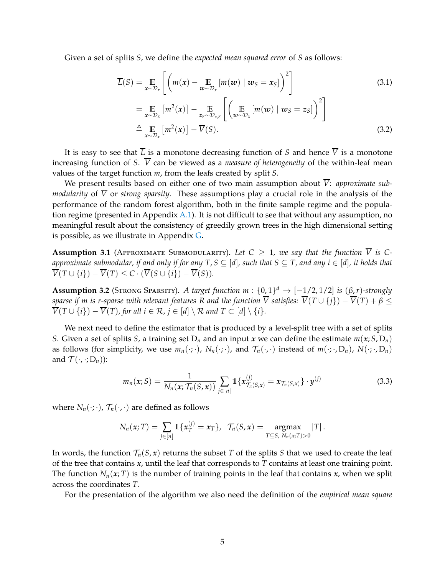Given a set of splits *S*, we define the *expected mean squared error* of *S* as follows:

$$
\overline{L}(S) = \mathop{\mathbb{E}}_{x \sim \mathcal{D}_x} \left[ \left( m(x) - \mathop{\mathbb{E}}_{w \sim \mathcal{D}_x} \left[ m(w) \mid w_S = x_S \right] \right)^2 \right] \tag{3.1}
$$

<span id="page-4-4"></span><span id="page-4-0"></span>
$$
= \mathop{\mathbb{E}}\limits_{x \sim \mathcal{D}_x} \left[ m^2(x) \right] - \mathop{\mathbb{E}}\limits_{z_S \sim \mathcal{D}_{x,S}} \left[ \left( \mathop{\mathbb{E}}\limits_{w \sim \mathcal{D}_x} \left[ m(w) \mid w_S = z_S \right] \right)^2 \right]
$$
  

$$
\triangleq \mathop{\mathbb{E}}\limits_{x \sim \mathcal{D}_x} \left[ m^2(x) \right] - \overline{V}(S).
$$
 (3.2)

It is easy to see that  $\overline{L}$  is a monotone decreasing function of *S* and hence  $\overline{V}$  is a monotone increasing function of *S*.  $\overline{V}$  can be viewed as a *measure of heterogeneity* of the within-leaf mean values of the target function *m*, from the leafs created by split *S*.

We present results based on either one of two main assumption about  $\overline{V}$ : *approximate submodularity* of  $\overline{V}$  or *strong sparsity*. These assumptions play a crucial role in the analysis of the performance of the random forest algorithm, both in the finite sample regime and the population regime (presented in Appendix [A.1\)](#page-15-0). It is not difficult to see that without any assumption, no meaningful result about the consistency of greedily grown trees in the high dimensional setting is possible, as we illustrate in Appendix  $G$ .

<span id="page-4-2"></span>**Assumption 3.1** (APPROXIMATE SUBMODULARITY). Let  $C \geq 1$ , we say that the function  $\overline{V}$  is C*approximate submodular, if and only if for any T, S*  $\subseteq$  [*d*], such that *S*  $\subseteq$  *T, and any i*  $\in$  [*d*], *it holds that*  $\overline{V}(T \cup \{i\}) - \overline{V}(T) \leq C \cdot (\overline{V}(S \cup \{i\}) - \overline{V}(S)).$ 

<span id="page-4-3"></span>**Assumption 3.2** (STRONG SPARSITY). *A target function m* :  $\{0,1\}^d \rightarrow [-1/2, 1/2]$  *is*  $(\beta, r)$ *-strongly sparse if m is r-sparse with relevant features R and the function*  $\overline{V}$  satisfies:  $\overline{V}(T \cup \{j\}) - \overline{V}(T) + \beta \leq$  $\overline{V}(T \cup \{i\}) - \overline{V}(T)$ , for all  $i \in \mathcal{R}$ ,  $j \in [d] \setminus \mathcal{R}$  and  $T \subset [d] \setminus \{i\}$ .

We next need to define the estimator that is produced by a level-split tree with a set of splits *S*. Given a set of splits *S*, a training set  $D_n$  and an input *x* we can define the estimate  $m(x; S, D_n)$ as follows (for simplicity, we use  $m_n(\cdot;\cdot)$ ,  $N_n(\cdot;\cdot)$ , and  $\mathcal{T}_n(\cdot;\cdot)$  instead of  $m(\cdot;\cdot,D_n)$ ,  $N(\cdot;\cdot,D_n)$ and  $\mathcal{T}(\cdot, \cdot; D_n)$ :

<span id="page-4-1"></span>
$$
m_n(x;S) = \frac{1}{N_n(x; \mathcal{T}_n(S,x))} \sum_{j \in [n]} \mathbb{1} \{x_{\mathcal{T}_n(S,x)}^{(j)} = x_{\mathcal{T}_n(S,x)}\} \cdot y^{(j)}
$$
(3.3)

where  $N_n(\cdot;\cdot)$ ,  $\mathcal{T}_n(\cdot;\cdot)$  are defined as follows

$$
N_n(x;T) = \sum_{j \in [n]} \mathbb{1}\{x_T^{(j)} = x_T\}, \ \ \mathcal{T}_n(S,x) = \underset{T \subseteq S, \ N_n(x;T) > 0}{\text{argmax}} |T|.
$$

In words, the function  $\mathcal{T}_n(S, x)$  returns the subset *T* of the splits *S* that we used to create the leaf of the tree that contains *x*, until the leaf that corresponds to *T* contains at least one training point. The function  $N_n(x; T)$  is the number of training points in the leaf that contains  $x$ , when we split across the coordinates *T*.

For the presentation of the algorithm we also need the definition of the *empirical mean square*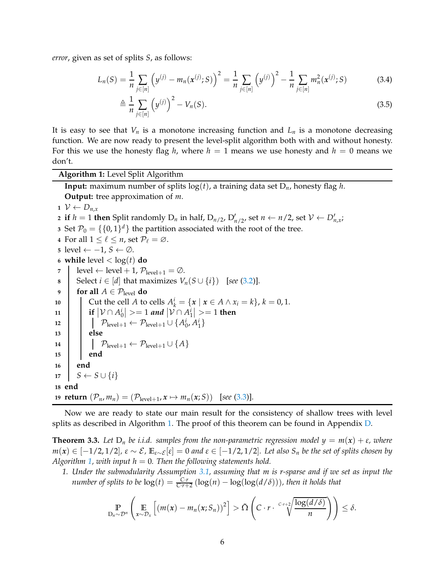*error*, given as set of splits *S*, as follows:

$$
L_n(S) = \frac{1}{n} \sum_{j \in [n]} \left( y^{(j)} - m_n(x^{(j)}; S) \right)^2 = \frac{1}{n} \sum_{j \in [n]} \left( y^{(j)} \right)^2 - \frac{1}{n} \sum_{j \in [n]} m_n^2(x^{(j)}; S) \tag{3.4}
$$

$$
\triangleq \frac{1}{n} \sum_{j \in [n]} \left( y^{(j)} \right)^2 - V_n(S). \tag{3.5}
$$

It is easy to see that  $V_n$  is a monotone increasing function and  $L_n$  is a monotone decreasing function. We are now ready to present the level-split algorithm both with and without honesty. For this we use the honesty flag *h*, where  $h = 1$  means we use honesty and  $h = 0$  means we don't.

<span id="page-5-0"></span>**Algorithm 1:** Level Split Algorithm

**Input:** maximum number of splits  $log(t)$ , a training data set  $D_n$ , honesty flag *h*. **Output:** tree approximation of *m*.

**1**  $V$  ←  $D_{n,x}$ 

```
2 if h = 1 then Split randomly D_n in half, D_{n/2}, D'_{n/2}, set n \leftarrow n/2, set \mathcal{V} \leftarrow D'_{n,x};
```
**3** Set  $\mathcal{P}_0 = \{\{0,1\}^d\}$  the partition associated with the root of the tree.

**4** For all  $1 \leq \ell \leq n$ , set  $\mathcal{P}_{\ell} = \emptyset$ .

**5** level ←  $-1$ ,  $S$  ← ∅.

- **6 while** level  $<$  log(*t*) **do**
- **7**  $\vert$  level  $\leftarrow$  level  $+1$ ,  $\mathcal{P}_{\text{level}+1} = \emptyset$ .
- **8** Select *i* ∈ [*d*] that maximizes *V<sub>n</sub>*(*S* ∪ {*i*}) [*see* [\(3.2\)](#page-4-0)].<br>**6** for all *A* ∈  $\mathcal{P}_{\text{level}}$  do
- **for all**  $A \in \mathcal{P}_{\text{level}}$  **do**
- **10** Cut the cell *A* to cells  $A_k^i = \{x \mid x \in A \land x_i = k\}, k = 0, 1$ .
- 11 **i**  $|\mathcal{V} \cap A_0^i|$  > = 1 *and*  $|\mathcal{V} \cap A_1^i|$  > = 1 then
- 12  $\bigcap_{\text{level}+1} \leftarrow \mathcal{P}_{\text{level}+1} \cup \{A_0^i, A_1^i\}$ **13 else**

**14**  $\left[\begin{array}{c} \mathcal{P}_{\text{level}+1} \leftarrow \mathcal{P}_{\text{level}+1} \cup \{A\} \end{array}\right]$ **15 end 16 end**

 $17 \mid S \leftarrow S \cup \{i\}$ **18 end**

**19 return**  $(\mathcal{P}_n, m_n) = (\mathcal{P}_{level+1}, x \mapsto m_n(x; S))$  [see [\(3.3\)](#page-4-1)].

Now we are ready to state our main result for the consistency of shallow trees with level splits as described in Algorithm [1.](#page-5-0) The proof of this theorem can be found in Appendix [D.](#page-27-0)

<span id="page-5-1"></span>**Theorem 3.3.** Let  $D_n$  be i.i.d. samples from the non-parametric regression model  $y = m(x) + \varepsilon$ , where  $m(x)$  ∈ [−1/2,1/2],  $\varepsilon \sim \mathcal{E}$ ,  $\mathbb{E}_{\varepsilon \sim \mathcal{E}}[\varepsilon] = 0$  and  $\varepsilon \in [-1/2, 1/2]$ . Let also  $S_n$  be the set of splits chosen by *Algorithm [1,](#page-5-0) with input h* = 0*. Then the following statements hold.*

*1. Under the submodularity Assumption [3.1,](#page-4-2) assuming that m is r-sparse and if we set as input the number of splits to be*  $log(t) = \frac{C \cdot r}{C \cdot r + 2} (log(n) - log(log(d/\delta)))$ *, then it holds that* 

$$
\mathbb{P}_{D_n \sim \mathcal{D}^n}\left(\mathbb{E}_{x \sim \mathcal{D}_x}\left[(m(x) - m_n(x; S_n))^2\right] > \tilde{\Omega}\left(C \cdot r \cdot \frac{c \cdot r + 2}{\sqrt{\frac{\log(d/\delta)}{n}}}\right)\right) \leq \delta.
$$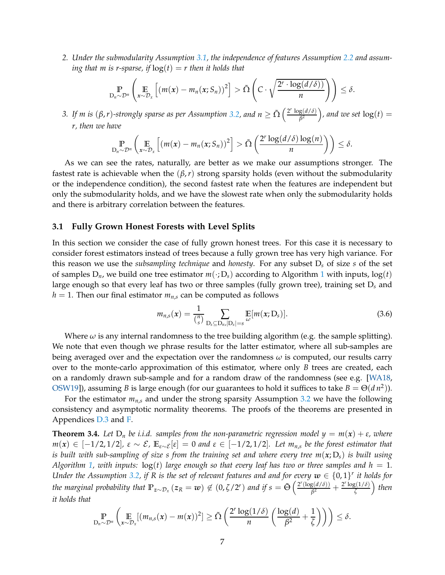*2. Under the submodularity Assumption [3.1,](#page-4-2) the independence of features Assumption [2.2](#page-3-0) and assuming that m is r-sparse, if*  $log(t) = r$  *then it holds that* 

$$
\mathbb{P}_{D_n \sim \mathcal{D}^n}\left(\mathbb{E}_{x \sim \mathcal{D}_x}\left[(m(x) - m_n(x; S_n))^2\right] > \tilde{\Omega}\left(C \cdot \sqrt{\frac{2^r \cdot \log(d/\delta))}{n}}\right)\right) \leq \delta.
$$

*3.* If m is  $(\beta, r)$ -strongly sparse as per Assumption [3.2,](#page-4-3) and  $n \ge \tilde{\Omega} \left( \frac{2^r \log(d/\delta)}{\beta^2} \right)$  $\left(\frac{g(d/\delta)}{\beta^2}\right)$ , and we set  $\log(t) =$ *r, then we have*

$$
\mathop{\mathbb{P}}_{D_n \sim \mathcal{D}^n} \left( \mathop{\mathbb{E}}_{x \sim \mathcal{D}_x} \left[ \left( m(x) - m_n(x; S_n) \right)^2 \right] > \tilde{\Omega} \left( \frac{2^r \log(d/\delta) \log(n)}{n} \right) \right) \leq \delta.
$$

As we can see the rates, naturally, are better as we make our assumptions stronger. The fastest rate is achievable when the  $(\beta, r)$  strong sparsity holds (even without the submodularity or the independence condition), the second fastest rate when the features are independent but only the submodularity holds, and we have the slowest rate when only the submodularity holds and there is arbitrary correlation between the features.

#### **3.1 Fully Grown Honest Forests with Level Splits**

In this section we consider the case of fully grown honest trees. For this case it is necessary to consider forest estimators instead of trees because a fully grown tree has very high variance. For this reason we use the *subsampling technique* and *honesty*. For any subset D*<sup>s</sup>* of size *s* of the set of samples  $D_n$ , we build one tree estimator  $m(\cdot; D_s)$  according to Algorithm [1](#page-5-0) with inputs,  $log(t)$ large enough so that every leaf has two or three samples (fully grown tree), training set D*<sup>s</sup>* and  $h = 1$ . Then our final estimator  $m_{n,s}$  can be computed as follows

$$
m_{n,s}(x) = \frac{1}{\binom{n}{s}} \sum_{\substack{\mathbf{D}_s \subseteq \mathbf{D}_{n,r}|\mathbf{D}_s| = s}} \mathbb{E}[m(x; \mathbf{D}_s)]. \tag{3.6}
$$

Where  $\omega$  is any internal randomness to the tree building algorithm (e.g. the sample splitting). We note that even though we phrase results for the latter estimator, where all sub-samples are being averaged over and the expectation over the randomness  $\omega$  is computed, our results carry over to the monte-carlo approximation of this estimator, where only *B* trees are created, each on a randomly drawn sub-sample and for a random draw of the randomness (see e.g. [\[WA18,](#page-13-5) [OSW19\]](#page-13-11)), assuming *B* is large enough (for our guarantees to hold it suffices to take  $B = \Theta(d n^2)$ ).

For the estimator  $m_{n,s}$  and under the strong sparsity Assumption [3.2](#page-4-3) we have the following consistency and asymptotic normality theorems. The proofs of the theorems are presented in Appendices [D.3](#page-36-0) and [F.](#page-47-0)

<span id="page-6-0"></span>**Theorem 3.4.** Let  $D_n$  be i.i.d. samples from the non-parametric regression model  $y = m(x) + \varepsilon$ , where  $m(x)$  ∈ [−1/2,1/2],  $\varepsilon \sim \mathcal{E}$ ,  $\mathbb{E}_{\varepsilon \sim \mathcal{E}}[\varepsilon] = 0$  and  $\varepsilon \in [-1/2, 1/2]$ *. Let m<sub>n,s</sub> be the forest estimator that is built with sub-sampling of size s from the training set and where every tree m*(*x*; D*s*) *is built using Algorithm* [1,](#page-5-0) with inputs:  $log(t)$  *large enough so that every leaf has two or three samples and h* = 1. *Under the Assumption [3.2,](#page-4-3) if R is the set of relevant features and and for every*  $w \in \{0,1\}^r$  *it holds for the marginal probability that*  $\mathbb{P}_{z \sim \mathcal{D}_x}(z_R = w) \notin (0, \zeta/2^r)$  *and if*  $s = \tilde{\Theta}\left(\frac{2^r(\log(d/\delta))}{\beta^2}\right)$  $\frac{g(d/\delta)}{\beta^2} + \frac{2^r \log(1/\delta)}{\zeta}$ *ζ then it holds that*

$$
\mathbb{P}_{D_n \sim \mathcal{D}^n} \left( \mathop{\mathbb{E}}_{x \sim \mathcal{D}_x} [(m_{n,s}(x) - m(x))^2] \geq \tilde{\Omega} \left( \frac{2^r \log(1/\delta)}{n} \left( \frac{\log(d)}{\beta^2} + \frac{1}{\zeta} \right) \right) \right) \leq \delta.
$$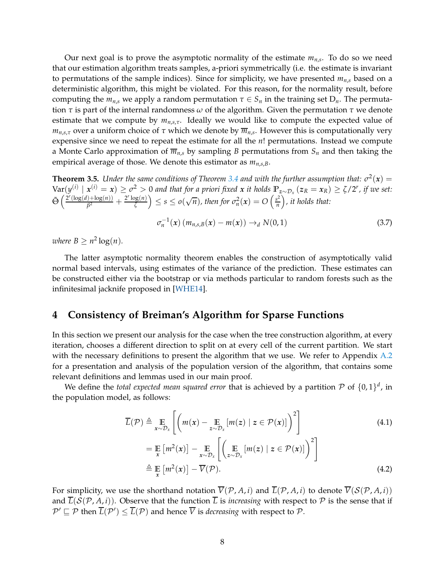Our next goal is to prove the asymptotic normality of the estimate *mn*,*<sup>s</sup>* . To do so we need that our estimation algorithm treats samples, a-priori symmetrically (i.e. the estimate is invariant to permutations of the sample indices). Since for simplicity, we have presented *mn*,*<sup>s</sup>* based on a deterministic algorithm, this might be violated. For this reason, for the normality result, before computing the  $m_{n,s}$  we apply a random permutation  $\tau \in S_n$  in the training set  $D_n$ . The permutation *τ* is part of the internal randomness *ω* of the algorithm. Given the permutation *τ* we denote estimate that we compute by *mn*,*s*,*τ*. Ideally we would like to compute the expected value of *mn*,*s*,*<sup>τ</sup>* over a uniform choice of *τ* which we denote by *mn*,*<sup>s</sup>* . However this is computationally very expensive since we need to repeat the estimate for all the *n*! permutations. Instead we compute a Monte Carlo approximation of  $\overline{m}_{n,s}$  by sampling *B* permutations from  $S_n$  and then taking the empirical average of those. We denote this estimator as *mn*,*s*,*B*.

<span id="page-7-1"></span>**Theorem 3.5.** *Under the same conditions of Theorem [3.4](#page-6-0) and with the further assumption that:*  $\sigma^2(x)$  =  $\text{Var}(y^{(i)} \mid x^{(i)} = x) \geq \sigma^2 > 0$  and that for a priori fixed x it holds  $\mathbb{P}_{z \sim \mathcal{D}_x}(z_R = x_R) \geq \zeta/2^r$ , if we set:  $\tilde{\Theta}$   $\left( \frac{2^r (\log(d) + \log(n))}{\rho^2} \right)$  $\frac{(\gamma)+\log(n)}{\beta^2}+\frac{2^r\log(n)}{\zeta}$  $\left(\frac{\log(n)}{\zeta}\right) \leq s \leq o(\sqrt{n}),$  then for  $\sigma_n^2(x) = O\left(\frac{s^2}{n}\right)$  $\binom{s^2}{n}$ , it holds that:

$$
\sigma_n^{-1}(x) \left( m_{n,s,B}(x) - m(x) \right) \rightarrow_d N(0,1) \tag{3.7}
$$

*where*  $B \geq n^2 \log(n)$ *.* 

The latter asymptotic normality theorem enables the construction of asymptotically valid normal based intervals, using estimates of the variance of the prediction. These estimates can be constructed either via the bootstrap or via methods particular to random forests such as the infinitesimal jacknife proposed in [\[WHE14\]](#page-14-2).

# <span id="page-7-0"></span>**4 Consistency of Breiman's Algorithm for Sparse Functions**

In this section we present our analysis for the case when the tree construction algorithm, at every iteration, chooses a different direction to split on at every cell of the current partition. We start with the necessary definitions to present the algorithm that we use. We refer to Appendix [A.2](#page-17-0) for a presentation and analysis of the population version of the algorithm, that contains some relevant definitions and lemmas used in our main proof.

We define the *total expected mean squared error* that is achieved by a partition  $P$  of  $\{0,1\}^d$ , in the population model, as follows:

$$
\overline{L}(\mathcal{P}) \triangleq \mathop{\mathbb{E}}_{x \sim \mathcal{D}_x} \left[ \left( m(x) - \mathop{\mathbb{E}}_{z \sim \mathcal{D}_x} \left[ m(z) \mid z \in \mathcal{P}(x) \right] \right)^2 \right] \tag{4.1}
$$

$$
= \mathbb{E}_{x} [m^{2}(x)] - \mathbb{E}_{x \sim \mathcal{D}_{x}} \left[ \left( \mathbb{E}_{z \sim \mathcal{D}_{x}} [m(z) \mid z \in \mathcal{P}(x)] \right)^{2} \right]
$$
  

$$
\triangleq \mathbb{E}_{x} [m^{2}(x)] - \overline{V}(\mathcal{P}).
$$
 (4.2)

For simplicity, we use the shorthand notation  $\overline{V}(\mathcal{P}, A, i)$  and  $\overline{L}(\mathcal{P}, A, i)$  to denote  $\overline{V}(S(\mathcal{P}, A, i))$ and  $\overline{L}(\mathcal{S}(\mathcal{P}, A, i))$ . Observe that the function  $\overline{L}$  is *increasing* with respect to  $\mathcal P$  is the sense that if  $\mathcal{P}' \sqsubseteq \mathcal{P}$  then  $L(\mathcal{P}') \leq L(\mathcal{P})$  and hence *V* is *decreasing* with respect to  $\mathcal{P}$ .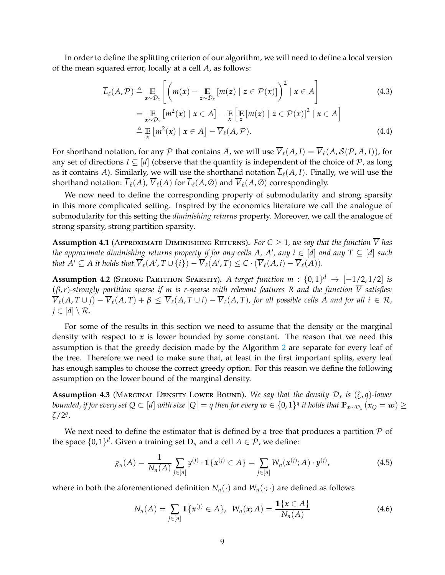In order to define the splitting criterion of our algorithm, we will need to define a local version of the mean squared error, locally at a cell *A*, as follows:

<span id="page-8-4"></span><span id="page-8-3"></span>
$$
\overline{L}_{\ell}(A, \mathcal{P}) \triangleq \mathop{\mathbb{E}}_{x \sim \mathcal{D}_x} \left[ \left( m(x) - \mathop{\mathbb{E}}_{z \sim \mathcal{D}_x} [m(z) \mid z \in \mathcal{P}(x)] \right)^2 \mid x \in A \right]
$$
\n
$$
= \mathop{\mathbb{E}}_{x \sim \mathcal{D}_x} \left[ m^2(x) \mid x \in A \right] - \mathop{\mathbb{E}}_{x} \left[ \mathop{\mathbb{E}}_{z} [m(z) \mid z \in \mathcal{P}(x)]^2 \mid x \in A \right]
$$
\n
$$
\triangleq \mathop{\mathbb{E}}_{x} \left[ m^2(x) \mid x \in A \right] - \overline{V}_{\ell}(A, \mathcal{P}). \tag{4.4}
$$

For shorthand notation, for any P that contains A, we will use  $\overline{V}_{\ell}(A, I) = \overline{V}_{\ell}(A, S(\mathcal{P}, A, I))$ , for any set of directions  $I \subseteq [d]$  (observe that the quantity is independent of the choice of P, as long as it contains *A*). Similarly, we will use the shorthand notation  $\overline{L}_{\ell}(A, I)$ . Finally, we will use the

We now need to define the corresponding property of submodularity and strong sparsity in this more complicated setting. Inspired by the economics literature we call the analogue of submodularity for this setting the *diminishing returns* property. Moreover, we call the analogue of strong sparsity, strong partition sparsity.

shorthand notation:  $\overline{L}_{\ell}(A), \overline{V}_{\ell}(A)$  for  $\overline{L}_{\ell}(A, \emptyset)$  and  $\overline{V}_{\ell}(A, \emptyset)$  correspondingly.

<span id="page-8-0"></span>**Assumption 4.1** (APPROXIMATE DIMINISHING RETURNS). For  $C \geq 1$ , we say that the function  $\overline{V}$  has *the approximate diminishing returns property if for any cells*  $A$ *,*  $A'$ *, any i*  $\in$  [*d*] *and any*  $T \subseteq [d]$  *such that*  $A' \subseteq A$  *it holds that*  $\overline{V}_{\ell}(A', T \cup \{i\}) - \overline{V}_{\ell}(A', T) \leq C \cdot (\overline{V}_{\ell}(A, i) - \overline{V}_{\ell}(A)).$ 

<span id="page-8-2"></span>**Assumption 4.2** (STRONG PARTITION SPARSITY). *A target function m* :  $\{0,1\}^d$   $\rightarrow$   $[-1/2,1/2]$  *is* (*β*,*r*)*-strongly partition sparse if m is r-sparse with relevant features R and the function V satisfies:*  $\overline{V}_\ell(A, T \cup j) - \overline{V}_\ell(A, T) + \beta \leq \overline{V}_\ell(A, T \cup i) - \overline{V}_\ell(A, T)$ , for all possible cells A and for all  $i \in \mathcal{R}$ ,  $j \in [d] \setminus \mathcal{R}$ .

For some of the results in this section we need to assume that the density or the marginal density with respect to *x* is lower bounded by some constant. The reason that we need this assumption is that the greedy decision made by the Algorithm [2](#page-9-0) are separate for every leaf of the tree. Therefore we need to make sure that, at least in the first important splits, every leaf has enough samples to choose the correct greedy option. For this reason we define the following assumption on the lower bound of the marginal density.

<span id="page-8-1"></span>**Assumption 4.3** (MARGINAL DENSITY LOWER BOUND). We say that the density  $\mathcal{D}_x$  is  $(\zeta, q)$ -lower *bounded, if for every set Q*  $\subset$  [*d*] *with size*  $|Q| = q$  *then for every*  $w \in \{0,1\}^q$  *it holds that*  $\mathbb{P}_{x \sim \mathcal{D}_x} (x_Q = w) \ge$ *ζ*/2*<sup>q</sup> .*

We next need to define the estimator that is defined by a tree that produces a partition  $P$  of the space  $\{0,1\}^d$ . Given a training set  $D_n$  and a cell  $A \in \mathcal{P}$ , we define:

$$
g_n(A) = \frac{1}{N_n(A)} \sum_{j \in [n]} y^{(j)} \cdot \mathbb{1}\{x^{(j)} \in A\} = \sum_{j \in [n]} W_n(x^{(j)}; A) \cdot y^{(j)}, \tag{4.5}
$$

where in both the aforementioned definition  $N_n(\cdot)$  and  $W_n(\cdot;\cdot)$  are defined as follows

$$
N_n(A) = \sum_{j \in [n]} 1\{x^{(j)} \in A\}, \ \ W_n(x;A) = \frac{1\{x \in A\}}{N_n(A)}
$$
(4.6)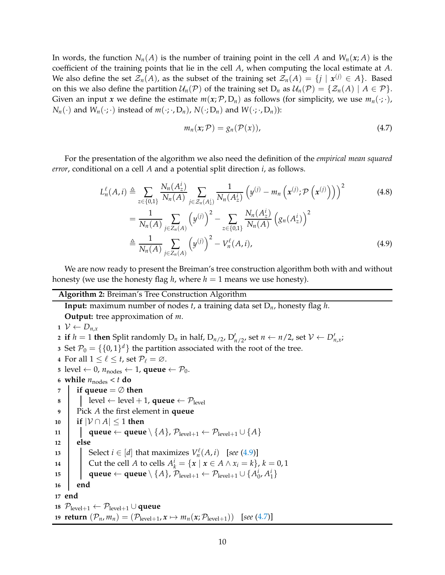In words, the function  $N_n(A)$  is the number of training point in the cell A and  $W_n(x; A)$  is the coefficient of the training points that lie in the cell *A*, when computing the local estimate at *A*. We also define the set  $\mathcal{Z}_n(A)$ , as the subset of the training set  $\mathcal{Z}_n(A) = \{j \mid x^{(j)} \in A\}$ . Based on this we also define the partition  $U_n(\mathcal{P})$  of the training set  $D_n$  as  $U_n(\mathcal{P}) = \{Z_n(A) | A \in \mathcal{P}\}\.$ Given an input *x* we define the estimate  $m(x; P, D_n)$  as follows (for simplicity, we use  $m_n(\cdot; \cdot)$ ,  $N_n(\cdot)$  and  $W_n(\cdot;\cdot)$  instead of  $m(\cdot;\cdot,D_n)$ ,  $N(\cdot;D_n)$  and  $W(\cdot;\cdot,D_n)$ :

<span id="page-9-2"></span><span id="page-9-1"></span>
$$
m_n(x; \mathcal{P}) = g_n(\mathcal{P}(x)), \tag{4.7}
$$

For the presentation of the algorithm we also need the definition of the *empirical mean squared error*, conditional on a cell *A* and a potential split direction *i*, as follows.

$$
L_n^{\ell}(A, i) \triangleq \sum_{z \in \{0,1\}} \frac{N_n(A_z^i)}{N_n(A)} \sum_{j \in \mathcal{Z}_n(A_z^i)} \frac{1}{N_n(A_z^i)} \left( y^{(j)} - m_n \left( x^{(j)} ; \mathcal{P} \left( x^{(j)} \right) \right) \right)^2
$$
\n
$$
= \frac{1}{N_n(A)} \sum_{j \in \mathcal{Z}_n(A)} \left( y^{(j)} \right)^2 - \sum_{z \in \{0,1\}} \frac{N_n(A_z^i)}{N_n(A)} \left( g_n(A_z^i) \right)^2
$$
\n
$$
\triangleq \frac{1}{N_n(A)} \sum_{j \in \mathcal{Z}_n(A)} \left( y^{(j)} \right)^2 - V_n^{\ell}(A, i), \tag{4.9}
$$

We are now ready to present the Breiman's tree construction algorithm both with and without honesty (we use the honesty flag *h*, where  $h = 1$  means we use honesty).

## **Algorithm 2:** Breiman's Tree Construction Algorithm

<span id="page-9-0"></span>**Input:** maximum number of nodes *t*, a training data set D*n*, honesty flag *h*. **Output:** tree approximation of *m*.

1  $V \leftarrow D_{n,x}$ 

**2** if  $h = 1$  then Split randomly  $D_n$  in half,  $D_{n/2}$ ,  $D'_{n/2}$ , set  $n \leftarrow n/2$ , set  $\mathcal{V} \leftarrow D'_{n,x}$ ;

**3** Set  $\mathcal{P}_0 = \{\{0,1\}^d\}$  the partition associated with the root of the tree.

**4** For all  $1 \leq \ell \leq t$ , set  $\mathcal{P}_{\ell} = \emptyset$ .

- **5** level ← 0,  $n_{nodes}$  ← 1, **queue** ←  $P_0$ .
- **6 while**  $n_{\text{nodes}} < t$  **do**
- *7* **if queue**  $=$   $\oslash$  **then**
- **8 e** level  $\leftarrow$  level + 1, **queue**  $\leftarrow$   $\mathcal{P}_{\text{level}}$
- **9** Pick *A* the first element in **queue**
- **<sup>10</sup> if** |V ∩ *A*| ≤ 1 **then**
- **11 dueue** ← **queue**  $\setminus \{A\}$ ,  $\mathcal{P}_{level+1}$  ←  $\mathcal{P}_{level+1} \cup \{A\}$
- **12 else**
- **13** Select  $i \in [d]$  that maximizes  $V_n^{\ell}$ *n* (*A*, *i*) [*see* [\(4.9\)](#page-9-1)]

14 | Cut the cell A to cells 
$$
A_k^i = \{x \mid x \in A \land x_i = k\}, k = 0, 1
$$

15 | queue 
$$
\leftarrow
$$
 queue  $\setminus \{A\}, \mathcal{P}_{level+1} \leftarrow \mathcal{P}_{level+1} \cup \{A_0^i, A_1^i\}$ 

**16 end**

**17 end**

**18**  $\mathcal{P}_{level+1}$  ←  $\mathcal{P}_{level+1}$  ∪ **queue** 

**19 return**  $(\mathcal{P}_n, m_n) = (\mathcal{P}_{level+1}, x \mapsto m_n(x; \mathcal{P}_{level+1}))$  [see [\(4.7\)](#page-9-2)]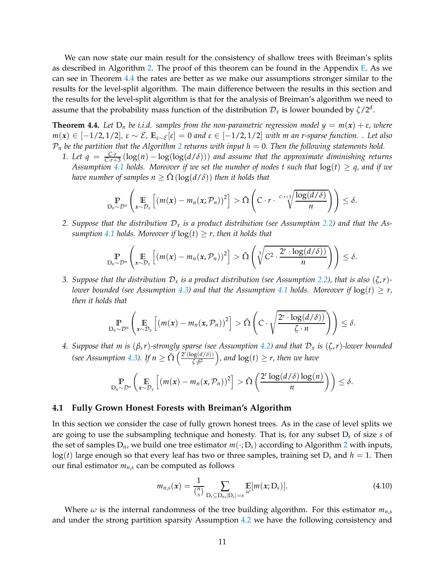We can now state our main result for the consistency of shallow trees with Breiman's splits as described in Algorithm [2.](#page-9-0) The proof of this theorem can be found in the Appendix [E.](#page-37-0) As we can see in Theorem [4.4](#page-10-0) the rates are better as we make our assumptions stronger similar to the results for the level-split algorithm. The main difference between the results in this section and the results for the level-split algorithm is that for the analysis of Breiman's algorithm we need to assume that the probability mass function of the distribution  $\mathcal{D}_x$  is lower bounded by  $\zeta/2^d$ .

<span id="page-10-0"></span>**Theorem 4.4.** Let  $D_n$  be i.i.d. samples from the non-parametric regression model  $y = m(x) + \varepsilon$ , where  $m(x)$  ∈ [−1/2,1/2],  $\varepsilon \sim \mathcal{E}$ ,  $\mathbb{E}_{\varepsilon \sim \mathcal{E}}[\varepsilon] = 0$  and  $\varepsilon \in [-1/2, 1/2]$  with *m* an *r*-sparse function. . Let also  $P_n$  be the partition that the Algorithm [2](#page-9-0) returns with input  $h = 0$ . Then the following statements hold.

*1. Let q* =  $\frac{Cr}{Cr+3}(\log(n) - \log(\log(d/\delta)))$  *and assume that the approximate diminishing returns Assumption* [4.1](#page-8-0) *holds.* Moreover if we set the number of nodes t such that  $log(t) \geq q$ , and if we *have number of samples n*  $\geq \Omega$  (log( $d/\delta$ )) *then it holds that* 

$$
\mathbb{P}_{D_n \sim \mathcal{D}^n}\left(\mathbb{E}_{x \sim \mathcal{D}_x}\left[(m(x) - m_n(x; \mathcal{P}_n))^2\right] > \tilde{\Omega}\left(C \cdot r \cdot \frac{C r + 3}{\sqrt{\frac{\log(d/\delta)}{n}}}\right)\right) \leq \delta.
$$

*2. Suppose that the distribution* D*<sup>x</sup> is a product distribution (see Assumption [2.2\)](#page-3-0) and that the Assumption* [4.1](#page-8-0) *holds.* Moreover if  $log(t) \ge r$ , then it holds that

$$
\mathbb{P}_{D_n \sim \mathcal{D}^n}\left(\mathbb{E}_{x \sim \mathcal{D}_x}\left[(m(x) - m_n(x,\mathcal{P}_n))^2\right] > \tilde{\Omega}\left(\sqrt[3]{C^2 \cdot \frac{2^r \cdot \log(d/\delta))}{n}}\right)\right) \leq \delta.
$$

*3. Suppose that the distribution*  $\mathcal{D}_x$  *is a product distribution (see Assumption [2.2\)](#page-3-0), that is also*  $(\zeta, r)$ -*lower bounded (see Assumption [4.3\)](#page-8-1)* and that the Assumption [4.1](#page-8-0) holds. Moreover if  $log(t) \geq r$ , *then it holds that*

$$
\mathbb{P}_{D_n \sim \mathcal{D}^n} \left( \mathop{\mathbb{E}}_{x \sim \mathcal{D}_x} \left[ \left( m(x) - m_n(x, \mathcal{P}_n) \right)^2 \right] > \tilde{\Omega} \left( C \cdot \sqrt{\frac{2^r \cdot \log(d/\delta)}{\zeta \cdot n}} \right) \right) \leq \delta.
$$

*4. Suppose that m is* (*β*,*r*)*-strongly sparse (see Assumption [4.2\)](#page-8-2) and that* D*<sup>x</sup> is* (*ζ*,*r*)*-lower bounded (see Assumption [4.3\)](#page-8-1). If*  $n \geq \tilde{\Omega} \left( \frac{2^r (\log(d/\delta))}{\zeta \cdot \beta^2} \right)$  $\frac{\log(d/\delta)}{\delta \sqrt{\beta^2}}$ , and  $\log(t) \geq r$ , then we have

$$
\mathbb{P}_{D_n \sim \mathcal{D}^n} \left( \mathop{\mathbb{E}}_{x \sim \mathcal{D}_x} \left[ \left( m(x) - m_n(x, \mathcal{P}_n) \right)^2 \right] > \tilde{\Omega} \left( \frac{2^r \log(d/\delta) \log(n)}{n} \right) \right) \leq \delta.
$$

#### **4.1 Fully Grown Honest Forests with Breiman's Algorithm**

In this section we consider the case of fully grown honest trees. As in the case of level splits we are going to use the subsampling technique and honesty. That is, for any subset D*<sup>s</sup>* of size *s* of the set of samples  $D_n$ , we build one tree estimator  $m(\cdot; D_s)$  according to Algorithm [2](#page-9-0) with inputs,  $log(t)$  large enough so that every leaf has two or three samples, training set  $D_s$  and  $h = 1$ . Then our final estimator  $m_{n,s}$  can be computed as follows

$$
m_{n,s}(x) = \frac{1}{\binom{n}{s}} \sum_{\substack{\mathbf{D}_s \subseteq \mathbf{D}_{n,r}|\mathbf{D}_s| = s}} \mathbb{E}[m(x; \mathbf{D}_s)]. \tag{4.10}
$$

Where  $\omega$  is the internal randomness of the tree building algorithm. For this estimator  $m_{n,s}$ and under the strong partition sparsity Assumption [4.2](#page-8-2) we have the following consistency and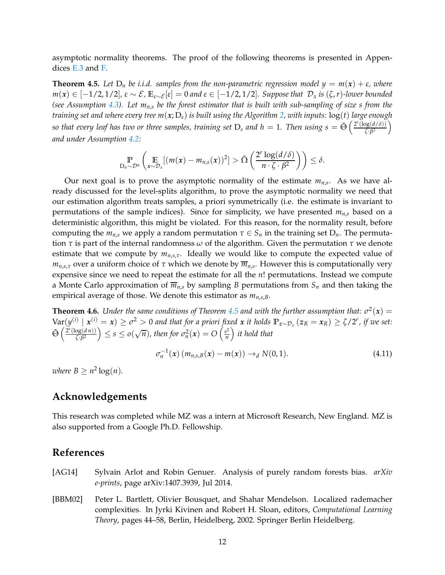asymptotic normality theorems. The proof of the following theorems is presented in Appendices [E.3](#page-47-1) and [F.](#page-47-0)

<span id="page-11-2"></span>**Theorem 4.5.** Let  $D_n$  be i.i.d. samples from the non-parametric regression model  $y = m(x) + \varepsilon$ , where *m*(*x*) ∈ [−1/2, 1/2],  $\varepsilon \sim \mathcal{E}$ ,  $\mathbb{E}_{\varepsilon \sim \mathcal{E}}[\varepsilon] = 0$  and  $\varepsilon \in [-1/2, 1/2]$ . Suppose that  $\mathcal{D}_x$  is (ζ, *r*)-lower bounded *(see Assumption [4.3\)](#page-8-1). Let mn*,*<sup>s</sup> be the forest estimator that is built with sub-sampling of size s from the training set and where every tree m*(*x*; D*s*) *is built using the Algorithm [2,](#page-9-0) with inputs:* log(*t*) *large enough* so that every leaf has two or three samples, training set  $D_s$  and  $h=1$ . Then using  $s=\tilde{\Theta}\left(\frac{2^r(\log(d/\delta))}{7\cdot\beta^2}\right)$ *ζ*·*β* 2 *and under Assumption [4.2:](#page-8-2)*

$$
\mathbb{P}_{D_n \sim \mathcal{D}^n} \left( \mathop{\mathbb{E}}_{x \sim \mathcal{D}_x} [(m(x) - m_{n,s}(x))^2] > \tilde{\Omega} \left( \frac{2^r \log(d/\delta)}{n \cdot \zeta \cdot \beta^2} \right) \right) \leq \delta.
$$

Our next goal is to prove the asymptotic normality of the estimate *mn*,*<sup>s</sup>* . As we have already discussed for the level-splits algorithm, to prove the asymptotic normality we need that our estimation algorithm treats samples, a priori symmetrically (i.e. the estimate is invariant to permutations of the sample indices). Since for simplicity, we have presented  $m_{n,s}$  based on a deterministic algorithm, this might be violated. For this reason, for the normality result, before computing the  $m_{n,s}$  we apply a random permutation  $\tau \in S_n$  in the training set  $D_n$ . The permutation *τ* is part of the internal randomness *ω* of the algorithm. Given the permutation *τ* we denote estimate that we compute by *mn*,*s*,*τ*. Ideally we would like to compute the expected value of *mn*,*s*,*<sup>τ</sup>* over a uniform choice of *τ* which we denote by *mn*,*<sup>s</sup>* . However this is computationally very expensive since we need to repeat the estimate for all the *n*! permutations. Instead we compute a Monte Carlo approximation of  $\overline{m}_{n,s}$  by sampling *B* permutations from  $S_n$  and then taking the empirical average of those. We denote this estimator as *mn*,*s*,*B*.

<span id="page-11-3"></span>**Theorem 4.6.** *Under the same conditions of Theorem [4.5](#page-11-2) and with the further assumption that:*  $\sigma^2(x)$  =  $\text{Var}(y^{(i)} \mid x^{(i)} = x) \ge \sigma^2 > 0$  and that for a priori fixed x it holds  $\mathbb{P}_{z \sim \mathcal{D}_x}(z_R = x_R) \ge \zeta/2^r$ , if we set:  $\tilde{\Theta}$   $\left( \frac{2^r (\log(d n))}{r^2}\right)$  $\left(\frac{\log(d n))}{\zeta \cdot \beta^2}\right) \leq s \leq o(\sqrt{n})$ , then for  $\sigma_n^2(x) = O\left(\frac{s^2}{n}\right)$  $\left(\frac{s^2}{n}\right)$  *it hold that* 

$$
\sigma_n^{-1}(x) (m_{n,s,B}(x) - m(x)) \to_d N(0,1).
$$
 (4.11)

*where*  $B \geq n^2 \log(n)$ *.* 

# **Acknowledgements**

This research was completed while MZ was a intern at Microsoft Research, New England. MZ is also supported from a Google Ph.D. Fellowship.

# **References**

- <span id="page-11-1"></span>[AG14] Sylvain Arlot and Robin Genuer. Analysis of purely random forests bias. *arXiv e-prints*, page arXiv:1407.3939, Jul 2014.
- <span id="page-11-0"></span>[BBM02] Peter L. Bartlett, Olivier Bousquet, and Shahar Mendelson. Localized rademacher complexities. In Jyrki Kivinen and Robert H. Sloan, editors, *Computational Learning Theory*, pages 44–58, Berlin, Heidelberg, 2002. Springer Berlin Heidelberg.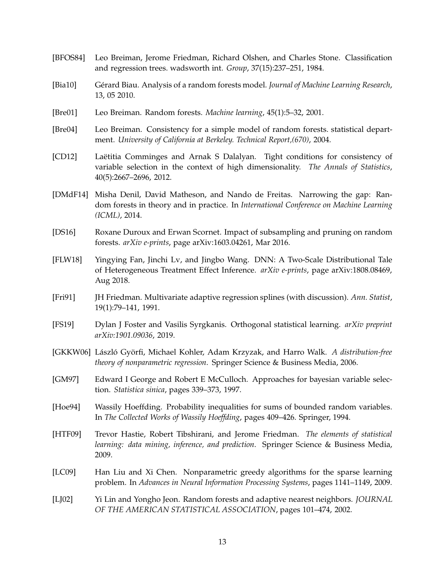- <span id="page-12-0"></span>[BFOS84] Leo Breiman, Jerome Friedman, Richard Olshen, and Charles Stone. Classification and regression trees. wadsworth int. *Group*, 37(15):237–251, 1984.
- <span id="page-12-2"></span>[Bia10] Gérard Biau. Analysis of a random forests model. *Journal of Machine Learning Research*, 13, 05 2010.
- <span id="page-12-1"></span>[Bre01] Leo Breiman. Random forests. *Machine learning*, 45(1):5–32, 2001.
- <span id="page-12-7"></span>[Bre04] Leo Breiman. Consistency for a simple model of random forests. statistical department. *University of California at Berkeley. Technical Report,(670)*, 2004.
- <span id="page-12-13"></span>[CD12] Laëtitia Comminges and Arnak S Dalalyan. Tight conditions for consistency of variable selection in the context of high dimensionality. *The Annals of Statistics*, 40(5):2667–2696, 2012.
- <span id="page-12-3"></span>[DMdF14] Misha Denil, David Matheson, and Nando de Freitas. Narrowing the gap: Random forests in theory and in practice. In *International Conference on Machine Learning (ICML)*, 2014.
- <span id="page-12-8"></span>[DS16] Roxane Duroux and Erwan Scornet. Impact of subsampling and pruning on random forests. *arXiv e-prints*, page arXiv:1603.04261, Mar 2016.
- <span id="page-12-5"></span>[FLW18] Yingying Fan, Jinchi Lv, and Jingbo Wang. DNN: A Two-Scale Distributional Tale of Heterogeneous Treatment Effect Inference. *arXiv e-prints*, page arXiv:1808.08469, Aug 2018.
- <span id="page-12-10"></span>[Fri91] JH Friedman. Multivariate adaptive regression splines (with discussion). *Ann. Statist*, 19(1):79–141, 1991.
- <span id="page-12-14"></span>[FS19] Dylan J Foster and Vasilis Syrgkanis. Orthogonal statistical learning. *arXiv preprint arXiv:1901.09036*, 2019.
- <span id="page-12-4"></span>[GKKW06] László Györfi, Michael Kohler, Adam Krzyzak, and Harro Walk. *A distribution-free theory of nonparametric regression*. Springer Science & Business Media, 2006.
- <span id="page-12-11"></span>[GM97] Edward I George and Robert E McCulloch. Approaches for bayesian variable selection. *Statistica sinica*, pages 339–373, 1997.
- <span id="page-12-15"></span>[Hoe94] Wassily Hoeffding. Probability inequalities for sums of bounded random variables. In *The Collected Works of Wassily Hoeffding*, pages 409–426. Springer, 1994.
- <span id="page-12-9"></span>[HTF09] Trevor Hastie, Robert Tibshirani, and Jerome Friedman. *The elements of statistical learning: data mining, inference, and prediction*. Springer Science & Business Media, 2009.
- <span id="page-12-12"></span>[LC09] Han Liu and Xi Chen. Nonparametric greedy algorithms for the sparse learning problem. In *Advances in Neural Information Processing Systems*, pages 1141–1149, 2009.
- <span id="page-12-6"></span>[LJ02] Yi Lin and Yongho Jeon. Random forests and adaptive nearest neighbors. *JOURNAL OF THE AMERICAN STATISTICAL ASSOCIATION*, pages 101–474, 2002.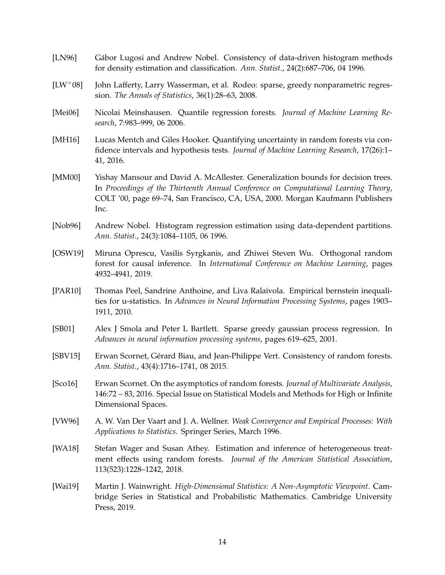- <span id="page-13-1"></span>[LN96] Gábor Lugosi and Andrew Nobel. Consistency of data-driven histogram methods for density estimation and classification. *Ann. Statist.*, 24(2):687–706, 04 1996.
- <span id="page-13-10"></span>[LW+08] John Lafferty, Larry Wasserman, et al. Rodeo: sparse, greedy nonparametric regression. *The Annals of Statistics*, 36(1):28–63, 2008.
- <span id="page-13-7"></span>[Mei06] Nicolai Meinshausen. Quantile regression forests. *Journal of Machine Learning Research*, 7:983–999, 06 2006.
- <span id="page-13-4"></span>[MH16] Lucas Mentch and Giles Hooker. Quantifying uncertainty in random forests via confidence intervals and hypothesis tests. *Journal of Machine Learning Research*, 17(26):1– 41, 2016.
- <span id="page-13-2"></span>[MM00] Yishay Mansour and David A. McAllester. Generalization bounds for decision trees. In *Proceedings of the Thirteenth Annual Conference on Computational Learning Theory*, COLT '00, page 69–74, San Francisco, CA, USA, 2000. Morgan Kaufmann Publishers Inc.
- <span id="page-13-0"></span>[Nob96] Andrew Nobel. Histogram regression estimation using data-dependent partitions. *Ann. Statist.*, 24(3):1084–1105, 06 1996.
- <span id="page-13-11"></span>[OSW19] Miruna Oprescu, Vasilis Syrgkanis, and Zhiwei Steven Wu. Orthogonal random forest for causal inference. In *International Conference on Machine Learning*, pages 4932–4941, 2019.
- <span id="page-13-13"></span>[PAR10] Thomas Peel, Sandrine Anthoine, and Liva Ralaivola. Empirical bernstein inequalities for u-statistics. In *Advances in Neural Information Processing Systems*, pages 1903– 1911, 2010.
- <span id="page-13-9"></span>[SB01] Alex J Smola and Peter L Bartlett. Sparse greedy gaussian process regression. In *Advances in neural information processing systems*, pages 619–625, 2001.
- <span id="page-13-3"></span>[SBV15] Erwan Scornet, Gérard Biau, and Jean-Philippe Vert. Consistency of random forests. *Ann. Statist.*, 43(4):1716–1741, 08 2015.
- <span id="page-13-8"></span>[Sco16] Erwan Scornet. On the asymptotics of random forests. *Journal of Multivariate Analysis*, 146:72 – 83, 2016. Special Issue on Statistical Models and Methods for High or Infinite Dimensional Spaces.
- <span id="page-13-12"></span>[VW96] A. W. Van Der Vaart and J. A. Wellner. *Weak Convergence and Empirical Processes: With Applications to Statistics*. Springer Series, March 1996.
- <span id="page-13-5"></span>[WA18] Stefan Wager and Susan Athey. Estimation and inference of heterogeneous treatment effects using random forests. *Journal of the American Statistical Association*, 113(523):1228–1242, 2018.
- <span id="page-13-6"></span>[Wai19] Martin J. Wainwright. *High-Dimensional Statistics: A Non-Asymptotic Viewpoint*. Cambridge Series in Statistical and Probabilistic Mathematics. Cambridge University Press, 2019.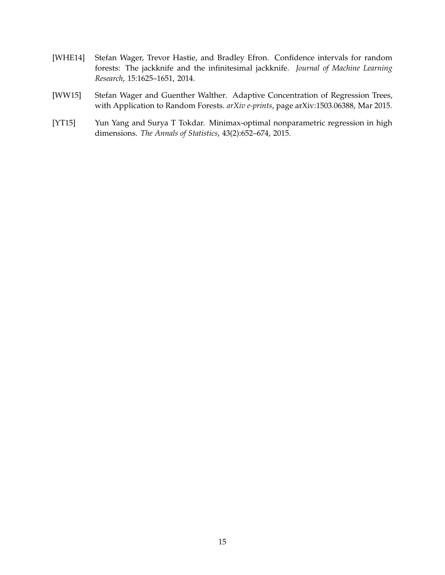- <span id="page-14-2"></span>[WHE14] Stefan Wager, Trevor Hastie, and Bradley Efron. Confidence intervals for random forests: The jackknife and the infinitesimal jackknife. *Journal of Machine Learning Research*, 15:1625–1651, 2014.
- <span id="page-14-0"></span>[WW15] Stefan Wager and Guenther Walther. Adaptive Concentration of Regression Trees, with Application to Random Forests. *arXiv e-prints*, page arXiv:1503.06388, Mar 2015.
- <span id="page-14-1"></span>[YT15] Yun Yang and Surya T Tokdar. Minimax-optimal nonparametric regression in high dimensions. *The Annals of Statistics*, 43(2):652–674, 2015.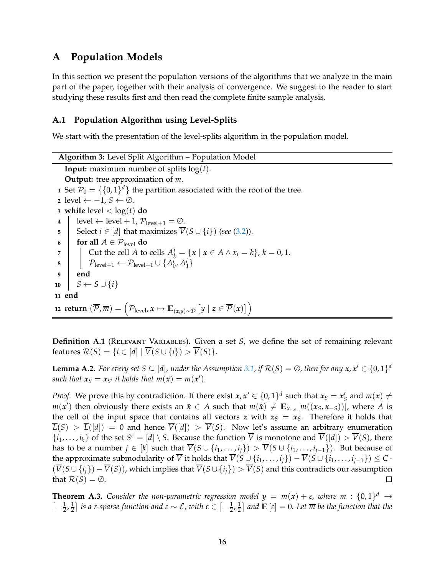# **A Population Models**

In this section we present the population versions of the algorithms that we analyze in the main part of the paper, together with their analysis of convergence. We suggest to the reader to start studying these results first and then read the complete finite sample analysis.

# <span id="page-15-0"></span>**A.1 Population Algorithm using Level-Splits**

We start with the presentation of the level-splits algorithm in the population model.

<span id="page-15-1"></span>**Algorithm 3:** Level Split Algorithm – Population Model **Input:** maximum number of splits  $log(t)$ . **Output:** tree approximation of *m*. **1** Set  $\mathcal{P}_0 = \{\{0,1\}^d\}$  the partition associated with the root of the tree. **<sup>2</sup>** level ← −1, *<sup>S</sup>* ← <sup>∅</sup>. **3 while** level  $\langle \log(t) \rangle$  **do 4**  $\vert$  level  $\leftarrow$  level + 1,  $\mathcal{P}_{\text{level}+1} = \emptyset$ . **5** Select *i* ∈ [*d*] that maximizes  $\overline{V}(S \cup \{i\})$  (*see* [\(3.2\)](#page-4-0)). **6 for all**  $A \in \mathcal{P}_{level}$  **do 7** Cut the cell *A* to cells  $A_k^i = \{x \mid x \in A \land x_i = k\}, k = 0, 1$ . **8**  $\left[ \quad \mathcal{P}_{\text{level}+1} \leftarrow \mathcal{P}_{\text{level}+1} \cup \{A_0^i, A_1^i\} \right]$ **9 end**  $10 \quad S \leftarrow S \cup \{i\}$ **11 end** 12  ${\sf return} \, \left(\overline{\mathcal{P}}, \overline{m}\right) = \left(\mathcal{P}_{\text{level}}, x \mapsto \mathbb{E}_{(z,y) \sim \mathcal{D}}\left[y \mid z \in \overline{\mathcal{P}}(x)\right]\right)$ 

<span id="page-15-3"></span>**Definition A.1** (RELEVANT VARIABLES). Given a set *S*, we define the set of remaining relevant features  $\mathcal{R}(S) = \{i \in [d] \mid \overline{V}(S \cup \{i\}) > \overline{V}(S)\}.$ 

<span id="page-15-2"></span>**Lemma A.2.** For every set  $S \subseteq [d]$ , under the Assumption [3.1,](#page-4-2) if  $\mathcal{R}(S) = \emptyset$ , then for any  $x, x' \in \{0, 1\}^d$ *such that*  $x_S = x_{S'}$  *it holds that*  $m(x) = m(x').$ 

*Proof.* We prove this by contradiction. If there exist  $x, x' \in \{0, 1\}^d$  such that  $x_S = x'_S$  and  $m(x) \neq 0$ *m*(*x*<sup> $′$ </sup>) then obviously there exists an  $\tilde{x}$  ∈ *A* such that  $m(\tilde{x}) \neq \mathbb{E}_{x_{-S}}[m((x_S, x_{-S}))]$ , where *A* is the cell of the input space that contains all vectors *z* with  $z_s = x_s$ . Therefore it holds that  $\overline{L}(S) > \overline{L}([d]) = 0$  and hence  $\overline{V}([d]) > \overline{V}(S)$ . Now let's assume an arbitrary enumeration  $\{i_1, \ldots, i_k\}$  of the set  $S^c = [d] \setminus S$ . Because the function  $\overline{V}$  is monotone and  $\overline{V}([d]) > \overline{V}(S)$ , there has to be a number  $j \in [k]$  such that  $\overline{V}(S \cup \{i_1, \ldots, i_j\}) > \overline{V}(S \cup \{i_1, \ldots, i_{j-1}\})$ . But because of the approximate submodularity of  $\overline{V}$  it holds that  $\overline{V}(S \cup \{i_1, \ldots, i_j\}) - \overline{V}(S \cup \{i_1, \ldots, i_{j-1}\}) \leq C$ .  $(\overline{V}(S \cup \{i_j\}) - \overline{V}(S))$ , which implies that  $\overline{V}(S \cup \{i_j\}) > \overline{V}(S)$  and this contradicts our assumption that  $\mathcal{R}(S) = \emptyset$ . □ that  $\mathcal{R}(S) = \emptyset$ .

**Theorem A.3.** Consider the non-parametric regression model  $y = m(x) + \varepsilon$ , where  $m : \{0,1\}^d \rightarrow$  $\left[-\frac{1}{2},\frac{1}{2}\right]$  $\frac{1}{2}$ ] *is a r-sparse function and* ε ∼ *ε*, with ε ∈  $\left[-\frac{1}{2},\frac{1}{2}\right]$  $\frac{1}{2}$  and  $\mathbb{E}\left[\varepsilon\right]=0$ . Let  $\overline{m}$  be the function that the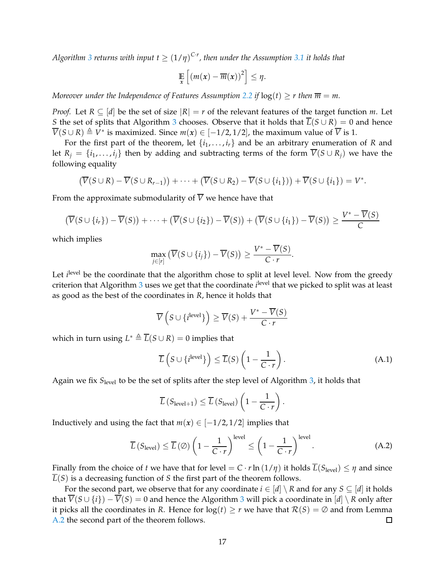Algorithm [3](#page-15-1) returns with input  $t \geq (1/\eta)^{C \cdot r}$ , then under the Assumption [3.1](#page-4-2) it holds that

$$
\mathop{\mathbb{E}}_x\left[\left(m(x)-\overline{m}(x)\right)^2\right] \leq \eta.
$$

*Moreover under the Independence of Features Assumption* [2.2](#page-3-0) *if*  $log(t) \ge r$  *then*  $\overline{m} = m$ *.* 

*Proof.* Let  $R \subseteq [d]$  be the set of size  $|R| = r$  of the relevant features of the target function *m*. Let *S* the set of splits that Algorithm [3](#page-15-1) chooses. Observe that it holds that  $\overline{L}(S \cup R) = 0$  and hence  $\overline{V}(S \cup R) \triangleq V^*$  is maximized. Since  $m(x) \in [-1/2, 1/2]$ , the maximum value of  $\overline{V}$  is 1.

For the first part of the theorem, let  $\{i_1, \ldots, i_r\}$  and be an arbitrary enumeration of *R* and let  $R_i = \{i_1, \ldots, i_i\}$  then by adding and subtracting terms of the form  $\overline{V}(S \cup R_i)$  we have the following equality

$$
(\overline{V}(S \cup R) - \overline{V}(S \cup R_{r-1})) + \cdots + (\overline{V}(S \cup R_2) - \overline{V}(S \cup \{i_1\})) + \overline{V}(S \cup \{i_1\}) = V^*.
$$

From the approximate submodularity of  $\overline{V}$  we hence have that

$$
\left(\overline{V}(S \cup \{i_r\}) - \overline{V}(S)\right) + \cdots + \left(\overline{V}(S \cup \{i_2\}) - \overline{V}(S)\right) + \left(\overline{V}(S \cup \{i_1\}) - \overline{V}(S)\right) \ge \frac{V^* - V(S)}{C}
$$

which implies

$$
\max_{j\in[r]} \left( \overline{V}(S\cup\{i_j\}) - \overline{V}(S) \right) \ge \frac{V^* - \overline{V}(S)}{C\cdot r}.
$$

Let *i*<sup>level</sup> be the coordinate that the algorithm chose to split at level level. Now from the greedy criterion that Algorithm [3](#page-15-1) uses we get that the coordinate *i*<sup>level</sup> that we picked to split was at least as good as the best of the coordinates in *R*, hence it holds that

$$
\overline{V}\left(S \cup \{i^{\text{level}}\}\right) \ge \overline{V}(S) + \frac{V^* - \overline{V}(S)}{C \cdot r}
$$

which in turn using  $L^* \triangleq \overline{L}(S \cup R) = 0$  implies that

$$
\overline{L}\left(S \cup \{i^{\text{level}}\}\right) \le \overline{L}(S)\left(1 - \frac{1}{C \cdot r}\right). \tag{A.1}
$$

Again we fix *S*level to be the set of splits after the step level of Algorithm [3,](#page-15-1) it holds that

$$
\overline{L}\left(S_{\text{level}+1}\right) \leq \overline{L}\left(S_{\text{level}}\right)\left(1 - \frac{1}{C \cdot r}\right).
$$

Inductively and using the fact that  $m(x) \in [-1/2, 1/2]$  implies that

$$
\overline{L}\left(S_{\text{level}}\right) \leq \overline{L}\left(\emptyset\right) \left(1 - \frac{1}{C \cdot r}\right)^{\text{level}} \leq \left(1 - \frac{1}{C \cdot r}\right)^{\text{level}}.\tag{A.2}
$$

Finally from the choice of *t* we have that for level =  $C \cdot r \ln(1/\eta)$  it holds  $\overline{L}(S_{\text{level}}) \leq \eta$  and since  $\overline{L}(S)$  is a decreasing function of *S* the first part of the theorem follows.

For the second part, we observe that for any coordinate  $i \in [d] \setminus R$  and for any  $S \subseteq [d]$  it holds that  $\overline{V}(S \cup \{i\}) - \overline{V}(S) = 0$  and hence the Algorithm [3](#page-15-1) will pick a coordinate in  $[d] \setminus R$  only after it picks all the coordinates in *R*. Hence for  $log(t) \ge r$  we have that  $R(S) = ∅$  and from Lemma A.2 the second part of the theorem follows.  $□$ [A.2](#page-15-2) the second part of the theorem follows.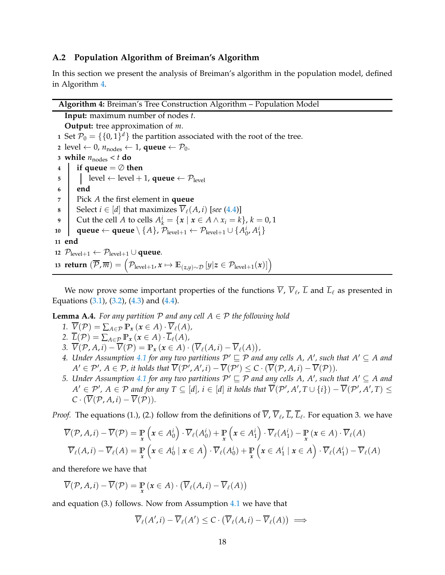## <span id="page-17-0"></span>**A.2 Population Algorithm of Breiman's Algorithm**

In this section we present the analysis of Breiman's algorithm in the population model, defined in Algorithm [4.](#page-17-1)

<span id="page-17-1"></span>

**Input:** maximum number of nodes *t*. **Output:** tree approximation of *m*. Set  $\mathcal{P}_0 = \{\{0,1\}^d\}$  the partition associated with the root of the tree. level ← 0,  $n_{nodes}$  ← 1, **queue** ←  $P_0$ . **while**  $n_{\text{nodes}} < t$  **do if queue**  $=$   $\oslash$  **then**   $\vert$  level  $\leftarrow$  level + 1, **queue**  $\leftarrow$   $\mathcal{P}_{\text{level}}$ **6 end** Pick *A* the first element in **queue** Select  $i \in [d]$  that maximizes  $\overline{V}_\ell(A, i)$  [*see* [\(4.4\)](#page-8-3)] Cut the cell *A* to cells  $A_k^i = \{x \mid x \in A \land x_i = k\}, k = 0, 1$   $\left| \quad \textbf{queue} \leftarrow \textbf{queue} \setminus \{A\}, \, \mathcal{P}_{\text{level+1}} \leftarrow \mathcal{P}_{\text{level+1}} \cup \{A_0^i, A_1^i\}$ **11 end**  $\mathcal{P}_{level+1}$  ←  $\mathcal{P}_{level+1}$  ∪ **queue.**  ${\bf return} \ (\overline{\mathcal{P}}, \overline{m}) = \left( \mathcal{P}_{\text{level}+1}, x \mapsto \mathbb{E}_{(z,y) \sim \mathcal{D}} \left[ y | z \in \mathcal{P}_{\text{level}+1}(x) \right] \right)$ 

We now prove some important properties of the functions *V*, *V*ℓ , *L* and *L*ℓ as presented in Equations  $(3.1)$ ,  $(3.2)$ ,  $(4.3)$  and  $(4.4)$ .

<span id="page-17-2"></span>**Lemma A.4.** *For any partition*  $P$  *and any cell*  $A \in P$  *the following hold* 

- 1.  $\overline{V}(\mathcal{P}) = \sum_{A \in \mathcal{P}} \mathbb{P}_x(x \in A) \cdot \overline{V}_{\ell}(A)$
- 2.  $\overline{L}(\mathcal{P}) = \sum_{A \in \mathcal{P}} \mathbb{P}_x \left( x \in A \right) \cdot \overline{L}_{\ell}(A)$
- 3.  $\overline{V}(\mathcal{P}, A, i) \overline{V}(\mathcal{P}) = \mathbb{P}_x(x \in A) \cdot (\overline{V}_{\ell}(A, i) \overline{V}_{\ell}(A)),$
- 4. Under Assumption [4.1](#page-8-0) for any two partitions  $P' \sqsubseteq P$  and any cells A, A', such that  $A' \subseteq A$  and  $A' \in \mathcal{P}'$ ,  $A \in \mathcal{P}$ , it holds that  $V(\mathcal{P}', A', i) - V(\mathcal{P}') \leq C \cdot (V(\mathcal{P}, A, i) - V(\mathcal{P})).$
- *5. Under Assumption* [4.1](#page-8-0) for any two partitions  $P' \sqsubseteq P$  and any cells A, A', such that  $A' \subseteq A$  and  $A' \in \mathcal{P}'$ ,  $A \in \mathcal{P}$  and for any  $T \subseteq [d]$ ,  $i \in [d]$  it holds that  $V(\mathcal{P}', A', T \cup \{i\}) - V(\mathcal{P}', A', T) \leq$  $C \cdot (\overline{V}(\mathcal{P}, A, i) - \overline{V}(\mathcal{P})).$

*Proof.* The equations (1.), (2.) follow from the definitions of *V*, *V*<sub>ℓ</sub>, *L*, *L*<sub>ℓ</sub>. For equation 3. we have

$$
\overline{V}(\mathcal{P}, A, i) - \overline{V}(\mathcal{P}) = \mathbb{P}_{x} \left( x \in A_{0}^{i} \right) \cdot \overline{V}_{\ell}(A_{0}^{i}) + \mathbb{P}_{x} \left( x \in A_{1}^{i} \right) \cdot \overline{V}_{\ell}(A_{1}^{i}) - \mathbb{P}_{x} \left( x \in A \right) \cdot \overline{V}_{\ell}(A)
$$
\n
$$
\overline{V}_{\ell}(A, i) - \overline{V}_{\ell}(A) = \mathbb{P}_{x} \left( x \in A_{0}^{i} \mid x \in A \right) \cdot \overline{V}_{\ell}(A_{0}^{i}) + \mathbb{P}_{x} \left( x \in A_{1}^{i} \mid x \in A \right) \cdot \overline{V}_{\ell}(A_{1}^{i}) - \overline{V}_{\ell}(A)
$$

and therefore we have that

$$
\overline{V}(\mathcal{P}, A, i) - \overline{V}(\mathcal{P}) = \mathbb{P}_{x} (x \in A) \cdot (\overline{V}_{\ell}(A, i) - \overline{V}_{\ell}(A))
$$

and equation (3.) follows. Now from Assumption [4.1](#page-8-0) we have that

 $\overline{V}_{\ell}(A',i) - \overline{V}_{\ell}(A') \leq C \cdot (\overline{V}_{\ell}(A,i) - \overline{V}_{\ell}(A)) \implies$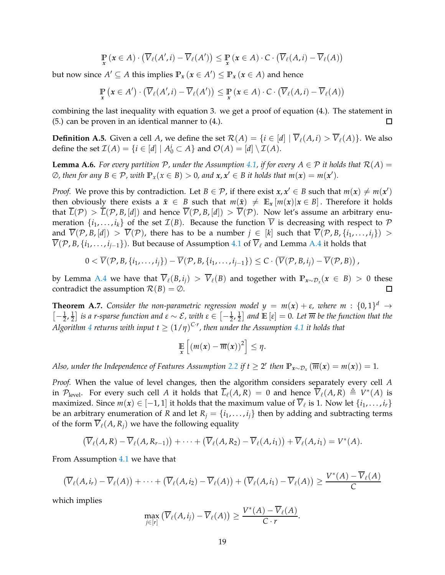$$
\mathop{\mathbb{P}}_{x} (x \in A) \cdot (\overline{V}_{\ell}(A', i) - \overline{V}_{\ell}(A')) \leq \mathop{\mathbb{P}}_{x} (x \in A) \cdot C \cdot (\overline{V}_{\ell}(A, i) - \overline{V}_{\ell}(A))
$$

but now since  $A' \subseteq A$  this implies  $\mathbb{P}_x$   $(x \in A') \leq \mathbb{P}_x$   $(x \in A)$  and hence

$$
\mathop{\mathbb{P}}_{x}\left(x\in A'\right)\cdot\left(\overline{V}_{\ell}(A',i)-\overline{V}_{\ell}(A')\right)\leq\mathop{\mathbb{P}}_{x}\left(x\in A\right)\cdot C\cdot\left(\overline{V}_{\ell}(A,i)-\overline{V}_{\ell}(A)\right)
$$

combining the last inequality with equation 3. we get a proof of equation (4.). The statement in (5.) can be proven in an identical manner to (4.).  $\Box$ 

<span id="page-18-1"></span>**Definition A.5.** Given a cell *A*, we define the set  $\mathcal{R}(A) = \{i \in [d] \mid \overline{V}_{\ell}(A, i) > \overline{V}_{\ell}(A)\}$ . We also define the set  $\mathcal{I}(A) = \{i \in [d] \mid A_0^i \subset A\}$  and  $\mathcal{O}(A) = [d] \setminus \mathcal{I}(A)$ .

<span id="page-18-0"></span>**Lemma A.6.** For every partition  $P$ , under the Assumption [4.1,](#page-8-0) if for every  $A \in P$  it holds that  $R(A) =$  $\emptyset$ , then for any  $B \in \mathcal{P}$ , with  $\mathbb{P}_x(x \in B) > 0$ , and  $x, x' \in B$  it holds that  $m(x) = m(x')$ .

*Proof.* We prove this by contradiction. Let  $B \in \mathcal{P}$ , if there exist  $x, x' \in B$  such that  $m(x) \neq m(x')$ then obviously there exists a  $\tilde{x} \in B$  such that  $m(\tilde{x}) \neq \mathbb{E}_x[m(x)|x \in B]$ . Therefore it holds that  $\overline{L}(\mathcal{P}) > \overline{L}(\mathcal{P}, B, [d])$  and hence  $\overline{V}(\mathcal{P}, B, [d]) > \overline{V}(\mathcal{P})$ . Now let's assume an arbitrary enumeration  $\{i_1, \ldots, i_k\}$  of the set  $\mathcal{I}(B)$ . Because the function  $\overline{V}$  is decreasing with respect to  $\mathcal P$ and  $\overline{V}(\mathcal{P}, B, [d]) > \overline{V}(\mathcal{P})$ , there has to be a number  $j \in [k]$  such that  $\overline{V}(\mathcal{P}, B, \{i_1, \ldots, i_j\}) >$  $\overline{V}(\mathcal{P}, B, \{i_1, \ldots, i_{i-1}\})$ . But because of Assumption [4.1](#page-8-0) of  $\overline{V}_\ell$  and Lemma [A.4](#page-17-2) it holds that

$$
0 < \overline{V}(\mathcal{P}, B, \{i_1, \ldots, i_j\}) - \overline{V}(\mathcal{P}, B, \{i_1, \ldots, i_{j-1}\}) \leq C \cdot (\overline{V}(\mathcal{P}, B, i_j) - \overline{V}(\mathcal{P}, B)).
$$

by Lemma [A.4](#page-17-2) we have that  $\overline{V}_{\ell}(B, i_j) > \overline{V}_{\ell}(B)$  and together with  $\mathbb{P}_{x \sim \mathcal{D}_x}(x \in B) > 0$  these contradict the assumption  $\mathcal{R}(B) = \emptyset$ .

**Theorem A.7.** Consider the non-parametric regression model  $y = m(x) + \varepsilon$ , where  $m : \{0,1\}^d \rightarrow$  $\left[-\frac{1}{2},\frac{1}{2}\right]$  $\frac{1}{2}$ ] *is a r-sparse function and ε* ∼ *E*, with ε ∈  $[-\frac{1}{2},\frac{1}{2}]$  $\frac{1}{2}$  and  $\mathbb{E}\left[\varepsilon\right]=0$ . Let  $\overline{m}$  be the function that the  $A$ lgorithm  $4$  returns with input  $t \geq (1/\eta)^{C \cdot r}$ , then under the Assumption  $4.1$  it holds that

$$
\mathop{\mathbb{E}}_x\left[\left(m(x)-\overline{m}(x)\right)^2\right] \leq \eta.
$$

*Also, under the Independence of Features Assumption [2.2](#page-3-0) if*  $t \geq 2^r$  *then*  $\mathbb{P}_{x \sim \mathcal{D}_x} (\overline{m}(x) = m(x)) = 1$ *.* 

*Proof.* When the value of level changes, then the algorithm considers separately every cell *A* in  $\mathcal{P}_{\text{level}}$ . For every such cell *A* it holds that  $\overline{L}_{\ell}(A,R) = 0$  and hence  $\overline{V}_{\ell}(A,R) \triangleq V^*(A)$  is maximized. Since  $m(x) \in [-1, 1]$  it holds that the maximum value of  $V_{\ell}$  is 1. Now let  $\{i_1, \ldots, i_r\}$ be an arbitrary enumeration of *R* and let  $R_j = \{i_1, \ldots, i_j\}$  then by adding and subtracting terms of the form  $\overline{V}_\ell(A, R_i)$  we have the following equality

$$
(\overline{V}_{\ell}(A,R)-\overline{V}_{\ell}(A,R_{r-1}))+\cdots+(\overline{V}_{\ell}(A,R_2)-\overline{V}_{\ell}(A,i_1))+\overline{V}_{\ell}(A,i_1)=V^*(A).
$$

From Assumption [4.1](#page-8-0) we have that

$$
\left(\overline{V}_{\ell}(A,i_r)-\overline{V}_{\ell}(A)\right)+\cdots+\left(\overline{V}_{\ell}(A,i_2)-\overline{V}_{\ell}(A)\right)+\left(\overline{V}_{\ell}(A,i_1)-\overline{V}_{\ell}(A)\right)\geq \frac{V^*(A)-V_{\ell}(A)}{C}
$$

which implies

$$
\max_{j\in[r]} \left( \overline{V}_{\ell}(A,i_j) - \overline{V}_{\ell}(A) \right) \geq \frac{V^*(A) - V_{\ell}(A)}{C \cdot r}.
$$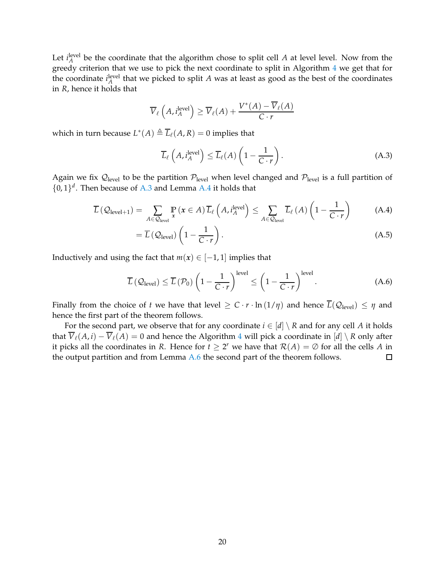Let  $i_A^{\text{level}}$  be the coordinate that the algorithm chose to split cell *A* at level level. Now from the greedy criterion that we use to pick the next coordinate to split in Algorithm [4](#page-17-1) we get that for the coordinate  $i_A^{\text{level}}$  that we picked to split *A* was at least as good as the best of the coordinates in *R*, hence it holds that

$$
\overline{V}_{\ell}\left(A, i_A^{\text{level}}\right) \ge \overline{V}_{\ell}(A) + \frac{V^*(A) - \overline{V}_{\ell}(A)}{C \cdot r}
$$

which in turn because  $L^*(A) \triangleq \overline{L}_{\ell}(A, R) = 0$  implies that

<span id="page-19-0"></span>
$$
\overline{L}_{\ell}\left(A, i_A^{\text{level}}\right) \le \overline{L}_{\ell}(A) \left(1 - \frac{1}{C \cdot r}\right). \tag{A.3}
$$

Again we fix  $\mathcal{Q}_{level}$  to be the partition  $\mathcal{P}_{level}$  when level changed and  $\mathcal{P}_{level}$  is a full partition of  $\{0,1\}^d$ . Then because of [A.3](#page-19-0) and Lemma [A.4](#page-17-2) it holds that

$$
\overline{L}\left(\mathcal{Q}_{\text{level}+1}\right) = \sum_{A \in \mathcal{Q}_{\text{level}}} \Pr_{\mathbf{x}}\left(\mathbf{x} \in A\right) \overline{L}_{\ell}\left(A, i_A^{\text{level}}\right) \le \sum_{A \in \mathcal{Q}_{\text{level}}} \overline{L}_{\ell}\left(A\right)\left(1 - \frac{1}{C \cdot r}\right) \tag{A.4}
$$

$$
= \overline{L} \left( \mathcal{Q}_{\text{level}} \right) \left( 1 - \frac{1}{C \cdot r} \right). \tag{A.5}
$$

Inductively and using the fact that  $m(x) \in [-1, 1]$  implies that

$$
\overline{L}\left(\mathcal{Q}_{\text{level}}\right) \leq \overline{L}\left(\mathcal{P}_0\right) \left(1 - \frac{1}{C \cdot r}\right)^{\text{level}} \leq \left(1 - \frac{1}{C \cdot r}\right)^{\text{level}}.\tag{A.6}
$$

Finally from the choice of *t* we have that level  $\geq C \cdot r \cdot \ln(1/\eta)$  and hence  $\overline{L}(\mathcal{Q}_{\text{level}}) \leq \eta$  and hence the first part of the theorem follows.

For the second part, we observe that for any coordinate  $i \in [d] \setminus R$  and for any cell A it holds that  $\overline{V}_\ell(A, i) - \overline{V}_\ell(A) = 0$  and hence the Algorithm [4](#page-17-1) will pick a coordinate in  $[d] \setminus R$  only after it picks all the coordinates in *R*. Hence for  $t \geq 2^r$  we have that  $\mathcal{R}(A) = \emptyset$  for all the cells *A* in the output partition and from Lemma [A.6](#page-18-0) the second part of the theorem follows.  $\Box$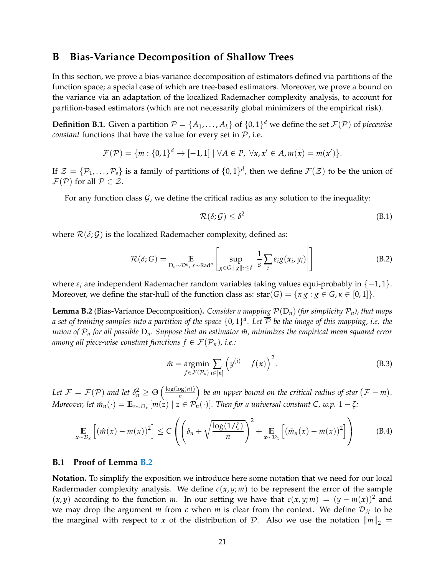# **B Bias-Variance Decomposition of Shallow Trees**

In this section, we prove a bias-variance decomposition of estimators defined via partitions of the function space; a special case of which are tree-based estimators. Moreover, we prove a bound on the variance via an adaptation of the localized Rademacher complexity analysis, to account for partition-based estimators (which are not necessarily global minimizers of the empirical risk).

**Definition B.1.** Given a partition  $\mathcal{P} = \{A_1, \ldots, A_k\}$  of  $\{0, 1\}^d$  we define the set  $\mathcal{F}(\mathcal{P})$  of *piecewise constant* functions that have the value for every set in  $P$ , i.e.

$$
\mathcal{F}(\mathcal{P}) = \{m : \{0,1\}^d \rightarrow [-1,1] \mid \forall A \in \mathcal{P}, \ \forall x, x' \in A, m(x) = m(x')\}.
$$

If  $\mathcal{Z} = \{P_1, \ldots, P_s\}$  is a family of partitions of  $\{0, 1\}^d$ , then we define  $\mathcal{F}(\mathcal{Z})$  to be the union of  $\mathcal{F}(\mathcal{P})$  for all  $\mathcal{P} \in \mathcal{Z}$ .

For any function class  $\mathcal G$ , we define the critical radius as any solution to the inequality:

$$
\mathcal{R}(\delta; \mathcal{G}) \le \delta^2 \tag{B.1}
$$

where  $\mathcal{R}(\delta; \mathcal{G})$  is the localized Rademacher complexity, defined as:

$$
\mathcal{R}(\delta;G) = \mathop{\mathbb{E}}_{D_n \sim \mathcal{D}^n, \ \varepsilon \sim \text{Rad}^n} \left[ \sup_{g \in G: \|g\|_2 \le \delta} \left| \frac{1}{s} \sum_i \varepsilon_i g(x_i, y_i) \right| \right]
$$
(B.2)

where  $\varepsilon_i$  are independent Rademacher random variables taking values equi-probably in  $\{-1,1\}$ . Moreover, we define the star-hull of the function class as:  $star(G) = \{ \kappa g : g \in G, \kappa \in [0,1] \}.$ 

<span id="page-20-0"></span>**Lemma B.2** (Bias-Variance Decomposition). *Consider a mapping*  $\mathcal{P}(D_n)$  *(for simplicity*  $\mathcal{P}_n$ *), that maps* a set of training samples into a partition of the space  $\{0,1\}^d$ . Let  $\overline{\mathcal{P}}$  be the image of this mapping, i.e. the *union of*  $P_n$  *for all possible*  $D_n$ *. Suppose that an estimator*  $\hat{m}$ *, minimizes the empirical mean squared error among all piece-wise constant functions*  $f \in \mathcal{F}(\mathcal{P}_n)$ *, i.e.:* 

$$
\hat{m} = \underset{f \in \mathcal{F}(\mathcal{P}_n)}{\operatorname{argmin}} \sum_{i \in [n]} \left( y^{(i)} - f(x) \right)^2.
$$
\n(B.3)

Let  $\overline{\mathcal{F}} = \mathcal{F}(\overline{\mathcal{P}})$  and let  $\delta_n^2 \geq \Theta\left(\frac{\log(\log(n))}{n}\right)$  $\left(\frac{\log(n)}{n}\right)$  be an upper bound on the critical radius of star  $(\overline{\mathcal{F}} - m)$ . *Moreover, let*  $\tilde{m}_n(\cdot) = \mathbb{E}_{z \sim D_x}[m(z) \mid z \in \mathcal{P}_n(\cdot)].$  *Then for a universal constant C, w.p.*  $1 - \zeta$ *:* 

<span id="page-20-1"></span>
$$
\mathop{\mathbb{E}}_{x \sim \mathcal{D}_x} \left[ \left( \hat{m}(x) - m(x) \right)^2 \right] \le C \left( \left( \delta_n + \sqrt{\frac{\log(1/\zeta)}{n}} \right)^2 + \mathop{\mathbb{E}}_{x \sim \mathcal{D}_x} \left[ \left( \tilde{m}_n(x) - m(x) \right)^2 \right] \right) \tag{B.4}
$$

#### **B.1 Proof of Lemma [B.2](#page-20-0)**

**Notation.** To simplify the exposition we introduce here some notation that we need for our local Radermader complexity analysis. We define  $c(x, y; m)$  to be represent the error of the sample  $(x, y)$  according to the function *m*. In our setting we have that  $c(x, y; m) = (y - m(x))^2$  and we may drop the argument *m* from *c* when *m* is clear from the context. We define  $D<sub>X</sub>$  to be the marginal with respect to *x* of the distribution of *D*. Also we use the notation  $\|m\|_2 =$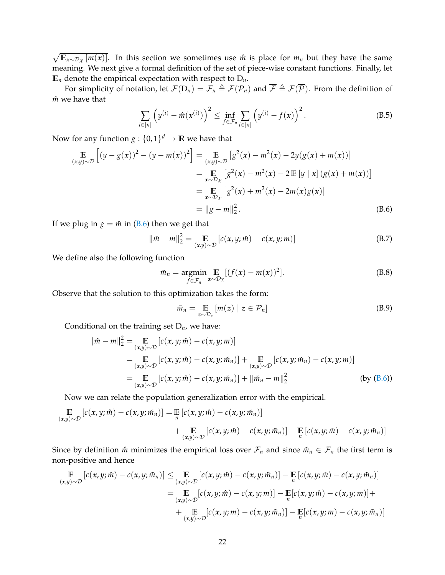$\sqrt{\mathbb{E}_{x \sim \mathcal{D}_x}[m(x)]}$ . In this section we sometimes use  $\hat{m}$  is place for  $m_n$  but they have the same meaning. We next give a formal definition of the set of piece-wise constant functions. Finally, let  $\mathbb{E}_n$  denote the empirical expectation with respect to  $D_n$ .

For simplicity of notation, let  $\mathcal{F}(D_n) = \mathcal{F}_n \triangleq \mathcal{F}(\mathcal{P}_n)$  and  $\overline{\mathcal{F}} \triangleq \mathcal{F}(\overline{\mathcal{P}})$ . From the definition of *m*<sup> $m$ </sup> we have that

$$
\sum_{i \in [n]} \left( y^{(i)} - \hat{m}(x^{(i)}) \right)^2 \le \inf_{f \in \mathcal{F}_n} \sum_{i \in [n]} \left( y^{(i)} - f(x) \right)^2.
$$
 (B.5)

Now for any function  $g: \{0,1\}^d \to \mathbb{R}$  we have that

$$
\mathbb{E}_{(x,y)\sim\mathcal{D}}\left[(y-g(x))^2 - (y-m(x))^2\right] = \mathbb{E}_{(x,y)\sim\mathcal{D}}\left[g^2(x) - m^2(x) - 2y(g(x) + m(x))\right]
$$
\n
$$
= \mathbb{E}_{x\sim\mathcal{D}_x}\left[g^2(x) - m^2(x) - 2\mathbb{E}\left[y \mid x\right](g(x) + m(x))\right]
$$
\n
$$
= \mathbb{E}_{x\sim\mathcal{D}_x}\left[g^2(x) + m^2(x) - 2m(x)g(x)\right]
$$
\n
$$
= \|g - m\|_2^2. \tag{B.6}
$$

If we plug in  $g = \hat{m}$  in [\(B.6\)](#page-21-0) then we get that

$$
\|\hat{m} - m\|_2^2 = \mathop{\mathbb{E}}_{(x,y)\sim\mathcal{D}} [c(x,y;\hat{m}) - c(x,y;m)]
$$
 (B.7)

We define also the following function

$$
\tilde{m}_n = \underset{f \in \mathcal{F}_n}{\operatorname{argmin}} \mathop{\mathbb{E}}_{x \sim \mathcal{D}_X} [(f(x) - m(x))^2]. \tag{B.8}
$$

Observe that the solution to this optimization takes the form:

<span id="page-21-0"></span>
$$
\tilde{m}_n = \mathop{\mathbb{E}}\limits_{z \sim \mathcal{D}_x} [m(z) \mid z \in \mathcal{P}_n]
$$
 (B.9)

Conditional on the training set D*n*, we have:

$$
\|\hat{m} - m\|_2^2 = \mathop{\mathbb{E}}_{(x,y)\sim\mathcal{D}} [c(x, y; \hat{m}) - c(x, y; m)]
$$
  
\n
$$
= \mathop{\mathbb{E}}_{(x,y)\sim\mathcal{D}} [c(x, y; \hat{m}) - c(x, y; \tilde{m}_n)] + \mathop{\mathbb{E}}_{(x,y)\sim\mathcal{D}} [c(x, y; \tilde{m}_n) - c(x, y; m)]
$$
  
\n
$$
= \mathop{\mathbb{E}}_{(x,y)\sim\mathcal{D}} [c(x, y; \hat{m}) - c(x, y; \tilde{m}_n)] + \|\tilde{m}_n - m\|_2^2
$$
 (by (B.6))

Now we can relate the population generalization error with the empirical.

$$
\mathbb{E}_{(x,y)\sim\mathcal{D}}[c(x,y;\hat{m}) - c(x,y;\tilde{m}_n)] = \mathbb{E}_{n}[c(x,y;\hat{m}) - c(x,y;\tilde{m}_n)] + \mathbb{E}_{(x,y)\sim\mathcal{D}}[c(x,y;\hat{m}) - c(x,y;\tilde{m}_n)] - \mathbb{E}_{n}[c(x,y;\hat{m}) - c(x,y;\tilde{m}_n)]
$$

Since by definition  $\hat{m}$  minimizes the empirical loss over  $\mathcal{F}_n$  and since  $\tilde{m}_n \in \mathcal{F}_n$  the first term is non-positive and hence

$$
\mathbb{E}\left[c(x,y;\hat{m})-c(x,y;\tilde{m}_n)\right] \leq \mathbb{E}\left[c(x,y;\hat{m})-c(x,y;\tilde{m}_n)\right] - \mathbb{E}\left[c(x,y;\hat{m})-c(x,y;\tilde{m}_n)\right]
$$
\n
$$
= \mathbb{E}\left[c(x,y;\hat{m})-c(x,y;\hat{m})\right] - \mathbb{E}\left[c(x,y;\hat{m})-c(x,y;\hat{m})\right] + \mathbb{E}\left[c(x,y;\hat{m})-c(x,y;\hat{m})\right] + \mathbb{E}\left[c(x,y;\hat{m})-c(x,y;\hat{m}_n)\right] - \mathbb{E}\left[c(x,y;\hat{m})-c(x,y;\tilde{m}_n)\right]
$$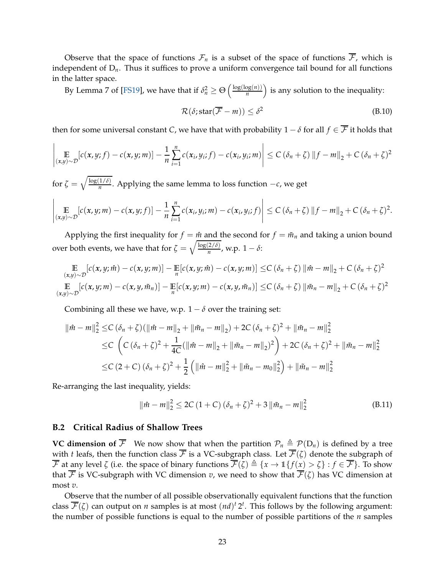Observe that the space of functions  $\mathcal{F}_n$  is a subset of the space of functions  $\overline{\mathcal{F}}$ , which is independent of D*n*. Thus it suffices to prove a uniform convergence tail bound for all functions in the latter space.

By Lemma 7 of [\[FS19\]](#page-12-14), we have that if  $\delta_n^2 \geq \Theta\left(\frac{\log(\log(n))}{n}\right)$  $\left(\frac{\log(n)}{n}\right)$  is any solution to the inequality:

$$
\mathcal{R}(\delta; \text{star}(\overline{\mathcal{F}} - m)) \le \delta^2 \tag{B.10}
$$

then for some universal constant *C*, we have that with probability  $1 - \delta$  for all  $f \in \overline{\mathcal{F}}$  it holds that

$$
\left|\mathop{\mathbb{E}}_{(x,y)\sim\mathcal{D}}[c(x,y;f)-c(x,y;m)]-\frac{1}{n}\sum_{i=1}^n c(x_i,y_i;f)-c(x_i,y_i;m)\right|\leq C(\delta_n+\zeta)\left\|f-m\right\|_2+C(\delta_n+\zeta)^2
$$

for  $\zeta = \sqrt{\frac{\log(1/\delta)}{n}}$ *n* . Applying the same lemma to loss function −*c*, we get

$$
\left|\mathop{\mathbb{E}}_{(x,y)\sim\mathcal{D}}[c(x,y;m)-c(x,y;f)]-\frac{1}{n}\sum_{i=1}^n c(x_i,y_i;m)-c(x_i,y_i;f)\right|\leq C(\delta_n+\zeta)\left\|f-m\right\|_2+C(\delta_n+\zeta)^2.
$$

Applying the first inequality for  $f = \hat{m}$  and the second for  $f = \tilde{m}_n$  and taking a union bound over both events, we have that for  $\zeta = \sqrt{\frac{\log(2/\delta)}{n}}$  $\frac{2}{n}$ , w.p.  $1 - \delta$ :

$$
\mathbb{E}\left[c(x,y;\hat{m})-c(x,y;\hat{m})\right]-\mathbb{E}\left[c(x,y;\hat{m})-c(x,y;\hat{m})\right]\leq C\left(\delta_n+\zeta\right)\left\|\hat{m}-m\right\|_2+C\left(\delta_n+\zeta\right)^2
$$
\n
$$
\mathbb{E}\left[c(x,y;\hat{m})-c(x,y,\tilde{m}_n)\right]-\mathbb{E}\left[c(x,y;\hat{m})-c(x,y,\tilde{m}_n)\right]\leq C\left(\delta_n+\zeta\right)\left\|\tilde{m}_n-m\right\|_2+C\left(\delta_n+\zeta\right)^2
$$

Combining all these we have, w.p.  $1 - \delta$  over the training set:

$$
\|\hat{m} - m\|_{2}^{2} \leq C \left(\delta_{n} + \zeta\right) \left(\|\hat{m} - m\|_{2} + \|\tilde{m}_{n} - m\|_{2}\right) + 2C \left(\delta_{n} + \zeta\right)^{2} + \|\tilde{m}_{n} - m\|_{2}^{2}
$$
  
\n
$$
\leq C \left(C \left(\delta_{n} + \zeta\right)^{2} + \frac{1}{4C} (\|\hat{m} - m\|_{2} + \|\tilde{m}_{n} - m\|_{2})^{2}\right) + 2C \left(\delta_{n} + \zeta\right)^{2} + \|\tilde{m}_{n} - m\|_{2}^{2}
$$
  
\n
$$
\leq C \left(2 + C \right) \left(\delta_{n} + \zeta\right)^{2} + \frac{1}{2} \left(\|\hat{m} - m\|_{2}^{2} + \|\tilde{m}_{n} - m_{0}\|_{2}^{2}\right) + \|\tilde{m}_{n} - m\|_{2}^{2}
$$

Re-arranging the last inequality, yields:

$$
\|\hat{m} - m\|_2^2 \le 2C\left(1 + C\right)(\delta_n + \zeta)^2 + 3\|\tilde{m}_n - m\|_2^2
$$
\n(B.11)

## **B.2 Critical Radius of Shallow Trees**

**VC dimension of**  $\overline{\mathcal{F}}$  We now show that when the partition  $\mathcal{P}_n \triangleq \mathcal{P}(D_n)$  is defined by a tree with *t* leafs, then the function class  $\overline{\mathcal{F}}$  is a VC-subgraph class. Let  $\overline{\mathcal{F}}(\zeta)$  denote the subgraph of  $\overline{\mathcal{F}}$  at any level  $\zeta$  (i.e. the space of binary functions  $\overline{\mathcal{F}}(\zeta) \triangleq \{x \to \mathbb{1}\{f(x) > \zeta\} : f \in \overline{\mathcal{F}}\}$ . To show that  $\overline{\mathcal{F}}$  is VC-subgraph with VC dimension *v*, we need to show that  $\overline{\mathcal{F}}(\zeta)$  has VC dimension at most *v*.

Observe that the number of all possible observationally equivalent functions that the function class  $\overline{\mathcal{F}}(\zeta)$  can output on *n* samples is at most  $(nd)^t 2^t$ . This follows by the following argument: the number of possible functions is equal to the number of possible partitions of the *n* samples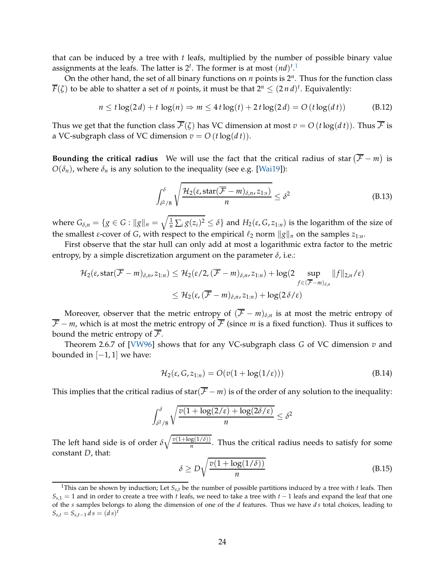that can be induced by a tree with *t* leafs, multiplied by the number of possible binary value assignments at the leafs. The latter is  $2^t$ . The former is at most  $(nd)^{t}$ .<sup>[1](#page-23-0)</sup>

On the other hand, the set of all binary functions on *n* points is 2*<sup>n</sup>* . Thus for the function class  $\overline{F}(\zeta)$  to be able to shatter a set of *n* points, it must be that  $2^n \leq (2 \, n \, d)^t$ . Equivalently:

$$
n \leq t \log(2d) + t \log(n) \Rightarrow m \leq 4t \log(t) + 2t \log(2d) = O(t \log(dt))
$$
 (B.12)

Thus we get that the function class  $\overline{\mathcal{F}}(\zeta)$  has VC dimension at most  $v = O(t \log(dt))$ . Thus  $\overline{\mathcal{F}}$  is a VC-subgraph class of VC dimension  $v = O(t \log(dt))$ .

**Bounding the critical radius** We will use the fact that the critical radius of star  $(\overline{\mathcal{F}} - m)$  is  $O(\delta_n)$ , where  $\delta_n$  is any solution to the inequality (see e.g. [\[Wai19\]](#page-13-6)):

$$
\int_{\delta^2/8}^{\delta} \sqrt{\frac{\mathcal{H}_2(\varepsilon, \text{star}(\overline{\mathcal{F}} - m)_{\delta, n}, z_{1:s})}{n}} \leq \delta^2
$$
\n(B.13)

where  $G_{\delta,n} = \{g \in G : ||g||_n = \sqrt{\frac{1}{n} \sum_i g(z_i)^2} \le \delta\}$  and  $H_2(\varepsilon, G, z_{1:n})$  is the logarithm of the size of the smallest *ε*-cover of *G*, with respect to the empirical  $\ell_2$  norm  $\|g\|_n$  on the samples  $z_{1:n}$ .

First observe that the star hull can only add at most a logarithmic extra factor to the metric entropy, by a simple discretization argument on the parameter  $\delta$ , i.e.:

$$
\mathcal{H}_2(\varepsilon, \operatorname{star}(\overline{\mathcal{F}}-m)_{\delta,n}, z_{1:n}) \leq \mathcal{H}_2(\varepsilon/2, (\overline{\mathcal{F}}-m)_{\delta,n}, z_{1:n}) + \log(2 \sup_{f \in (\overline{\mathcal{F}}-m)_{\delta,n}} \|f\|_{2,n}/\varepsilon)
$$
  

$$
\leq \mathcal{H}_2(\varepsilon, (\overline{\mathcal{F}}-m)_{\delta,n}, z_{1:n}) + \log(2\delta/\varepsilon)
$$

Moreover, observer that the metric entropy of  $(\overline{F} - m)_{\delta,n}$  is at most the metric entropy of  $\overline{\mathcal{F}}$  − *m*, which is at most the metric entropy of  $\overline{\mathcal{F}}$  (since *m* is a fixed function). Thus it suffices to bound the metric entropy of  $\overline{\mathcal{F}}$ .

Theorem 2.6.7 of [\[VW96\]](#page-13-12) shows that for any VC-subgraph class *G* of VC dimension *v* and bounded in  $[-1, 1]$  we have:

$$
\mathcal{H}_2(\varepsilon, G, z_{1:n}) = O(v(1 + \log(1/\varepsilon)))\tag{B.14}
$$

This implies that the critical radius of star( $\overline{F}$  − *m*) is of the order of any solution to the inequality:

$$
\int_{\delta^2/8}^{\delta} \sqrt{\frac{v(1+\log(2/\varepsilon)+\log(2\delta/\varepsilon)}{n}} \leq \delta^2
$$

The left hand side is of order  $\delta \sqrt{\frac{v(1+\log(1/\delta))}{n}}$  $\frac{g(1/v)}{n}$ . Thus the critical radius needs to satisfy for some constant *D*, that:

$$
\delta \ge D\sqrt{\frac{v(1+\log(1/\delta))}{n}}
$$
 (B.15)

<span id="page-23-0"></span><sup>&</sup>lt;sup>1</sup>This can be shown by induction; Let  $S_{s,t}$  be the number of possible partitions induced by a tree with *t* leafs. Then *Ss*,1 = 1 and in order to create a tree with *t* leafs, we need to take a tree with *t* − 1 leafs and expand the leaf that one of the *s* samples belongs to along the dimension of one of the *d* features. Thus we have *d s* total choices, leading to  $S_{s,t} = S_{s,t-1} d s = (ds)^t$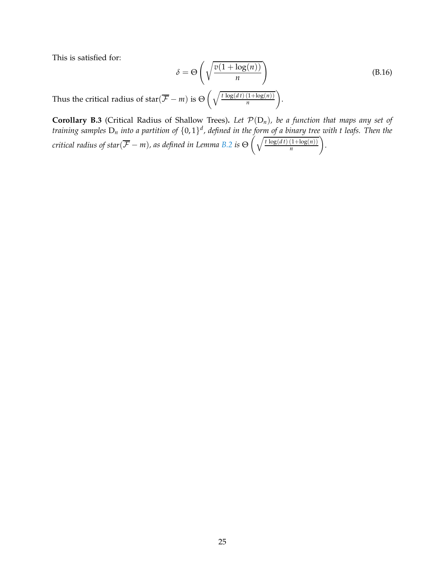This is satisfied for:

$$
\delta = \Theta\left(\sqrt{\frac{v(1 + \log(n))}{n}}\right)
$$
(B.16)

Thus the critical radius of star $(\overline{F} - m)$  is  $\Theta\left(\sqrt{\frac{t \log(dt) (1 + \log(n))}{n}}\right)$ *n* .

<span id="page-24-0"></span>**Corollary B.3** (Critical Radius of Shallow Trees). Let  $\mathcal{P}(D_n)$ , be a function that maps any set of *training samples* D*<sup>n</sup> into a partition of* {0, 1} *d , defined in the form of a binary tree with t leafs. Then the critical radius of star*( $\overline{\mathcal{F}}$  − *m*), *as defined in Lemma [B.2](#page-20-0) is*  $\Theta$   $\Big(\sqrt{\frac{t\log(dt)(1+\log(n))}{n}}$ *n .*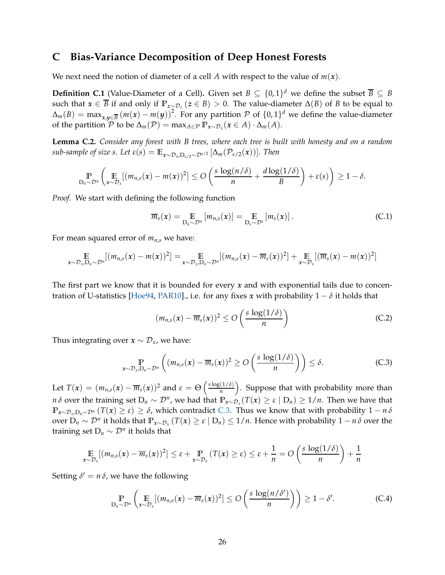# **C Bias-Variance Decomposition of Deep Honest Forests**

We next need the notion of diameter of a cell A with respect to the value of  $m(x)$ .

<span id="page-25-1"></span>**Definition C.1** (Value-Diameter of a Cell). Given set  $B \subseteq \{0,1\}^d$  we define the subset  $\overline{B} \subseteq B$ such that  $x \in \overline{B}$  if and only if  $\mathbb{P}_{z \sim \mathcal{D}_x}(z \in B) > 0$ . The value-diameter  $\Delta(B)$  of *B* to be equal to  $\Delta_m(B) = \max_{x,y \in \overline{B}} (m(x) - m(y))^2$ . For any partition P of  $\{0,1\}^d$  we define the value-diameter of the partition  $\mathcal{P}$  to be  $\Delta_m(\mathcal{P}) = \max_{A \in \mathcal{P}} \mathbb{P}_{x \sim \mathcal{D}_x}(x \in A) \cdot \Delta_m(A)$ .

<span id="page-25-2"></span>**Lemma C.2.** *Consider any forest with B trees, where each tree is built with honesty and on a random sub-sample of size s. Let*  $\varepsilon(s) = \mathbb{E}_{x \sim \mathcal{D}_x, D_s / 2} \left[ \Delta_m(\mathcal{P}_{s/2}(x)) \right]$ *. Then* 

$$
\mathbb{P}_{D_n \sim \mathcal{D}^n} \left( \mathop{\mathbb{E}}_{x \sim \mathcal{D}_x} [(m_{n,s}(x) - m(x))^2] \leq O\left( \frac{s \log(n/\delta)}{n} + \frac{d \log(1/\delta)}{B} \right) + \varepsilon(s) \right) \geq 1 - \delta.
$$

*Proof.* We start with defining the following function

$$
\overline{m}_s(x) = \mathop{\mathbb{E}}_{D_n \sim \mathcal{D}^n} [m_{n,s}(x)] = \mathop{\mathbb{E}}_{D_s \sim \mathcal{D}^s} [m_s(x)]. \tag{C.1}
$$

For mean squared error of  $m_{n,s}$  we have:

$$
\mathop{\mathbb{E}}_{x \sim \mathcal{D}_x, D_n \sim \mathcal{D}^n} [(m_{n,s}(x) - m(x))^2] = \mathop{\mathbb{E}}_{x \sim \mathcal{D}_x, D_n \sim \mathcal{D}^n} [(m_{n,s}(x) - \overline{m}_s(x))^2] + \mathop{\mathbb{E}}_{x \sim \mathcal{D}_x} [(\overline{m}_s(x) - m(x))^2]
$$

The first part we know that it is bounded for every *x* and with exponential tails due to concen-tration of U-statistics [\[Hoe94,](#page-12-15) [PAR10\]](#page-13-13)., i.e. for any fixes *x* with probability  $1 - \delta$  it holds that

$$
(m_{n,s}(x) - \overline{m}_s(x))^2 \le O\left(\frac{s \log(1/\delta)}{n}\right)
$$
 (C.2)

Thus integrating over  $x \sim \mathcal{D}_x$ , we have:

<span id="page-25-0"></span>
$$
\underset{\mathbf{x}\sim\mathcal{D}_{x},\mathcal{D}_{n}\sim\mathcal{D}^{n}}{\mathbb{P}}\left((m_{n,s}(\mathbf{x})-\overline{m}_{s}(\mathbf{x}))^{2}\geq O\left(\frac{s\log(1/\delta)}{n}\right)\right)\leq\delta.
$$
 (C.3)

Let  $T(x) = (m_{n,s}(x) - \overline{m}_s(x))^2$  and  $\varepsilon = \Theta\left(\frac{s \log(1/\delta)}{n}\right)$  $\left(\frac{(1/\delta)}{n}\right)$ . Suppose that with probability more than *n δ* over the training set  $D_n \sim \mathcal{D}^n$ , we had that  $\mathbb{P}_{x \sim \mathcal{D}_x}(T(x) \geq \varepsilon \mid D_n) \geq 1/n$ . Then we have that **<sup>P</sup>***x*∼D*x*,D*n*∼D*<sup>n</sup>* (*T*(*x*) <sup>≥</sup> *<sup>ε</sup>*) <sup>≥</sup> *<sup>δ</sup>*, which contradict [C.3.](#page-25-0) Thus we know that with probability 1 <sup>−</sup> *<sup>n</sup> <sup>δ</sup>* over  $D_n \sim \mathcal{D}^n$  it holds that  $\mathbb{P}_{x \sim \mathcal{D}_x} (T(x) \ge \varepsilon \mid D_n) \le 1/n$ . Hence with probability  $1-n\delta$  over the training set  $D_n \sim \mathcal{D}^n$  it holds that

$$
\mathop{\mathbb{E}}_{x \sim \mathcal{D}_x} [(m_{n,s}(x) - \overline{m}_s(x))^2] \leq \varepsilon + \mathop{\mathbb{P}}_{x \sim \mathcal{D}_x} (T(x) \geq \varepsilon) \leq \varepsilon + \frac{1}{n} = O\left(\frac{s \log(1/\delta)}{n}\right) + \frac{1}{n}
$$

Setting  $\delta' = n \, \delta$ , we have the following

$$
\mathbb{P}_{D_n \sim \mathcal{D}^n} \left( \mathbb{E}_{x \sim \mathcal{D}_x} [(m_{n,s}(x) - \overline{m}_s(x))^2] \le O \left( \frac{s \log(n/\delta')}{n} \right) \right) \ge 1 - \delta'. \tag{C.4}
$$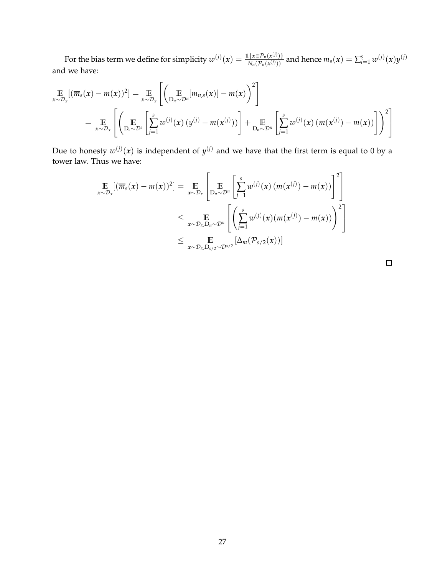For the bias term we define for simplicity  $w^{(j)}(x) = \frac{\mathbb{1}\{x \in \mathcal{P}_n(x^{(j)})\}}{N(\mathcal{P}_n(x^{(j)}))}$  $\frac{\{x \in \mathcal{P}_n(x^{(j)})\}}{N_n(\mathcal{P}_n(x^{(j)}))}$  and hence  $m_s(x) = \sum_{i=1}^s w^{(j)}(x) y^{(j)}$ and we have:

$$
\mathbb{E}_{x \sim \mathcal{D}_x}[(\overline{m}_s(x) - m(x))^2] = \mathbb{E}_{x \sim \mathcal{D}_x} \left[ \left( \mathbb{E}_{D_n \sim \mathcal{D}^n} [m_{n,s}(x)] - m(x) \right)^2 \right]
$$
\n
$$
= \mathbb{E}_{x \sim \mathcal{D}_x} \left[ \left( \mathbb{E}_{D_s \sim \mathcal{D}^s} \left[ \sum_{j=1}^s w^{(j)}(x) \left( y^{(j)} - m(x^{(j)}) \right) \right] + \mathbb{E}_{D_n \sim \mathcal{D}^n} \left[ \sum_{j=1}^s w^{(j)}(x) \left( m(x^{(j)}) - m(x) \right) \right] \right)^2 \right]
$$

Due to honesty  $w^{(j)}(x)$  is independent of  $y^{(j)}$  and we have that the first term is equal to 0 by a tower law. Thus we have:

$$
\mathop{\mathbb{E}}_{x \sim \mathcal{D}_x} [(\overline{m}_s(x) - m(x))^2] = \mathop{\mathbb{E}}_{x \sim \mathcal{D}_x} \left[ \mathop{\mathbb{E}}_{D_n \sim \mathcal{D}^n} \left[ \sum_{j=1}^s w^{(j)}(x) (m(x^{(j)}) - m(x)) \right]^2 \right]
$$
\n
$$
\leq \mathop{\mathbb{E}}_{x \sim \mathcal{D}_x, D_n \sim \mathcal{D}^n} \left[ \left( \sum_{j=1}^s w^{(j)}(x) (m(x^{(j)}) - m(x)) \right)^2 \right]
$$
\n
$$
\leq \mathop{\mathbb{E}}_{x \sim \mathcal{D}_x, D_{s/2} \sim \mathcal{D}^{s/2}} \left[ \Delta_m(\mathcal{P}_{s/2}(x)) \right]
$$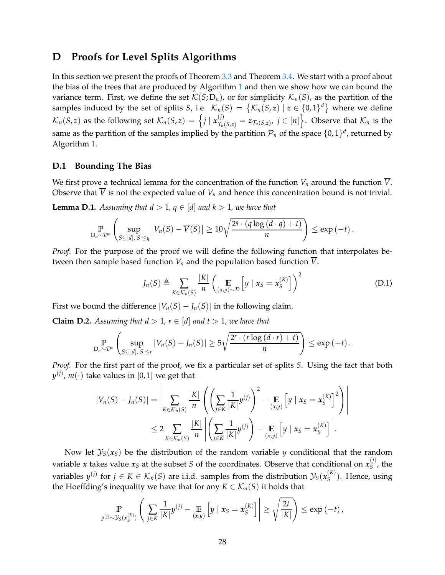# <span id="page-27-0"></span>**D Proofs for Level Splits Algorithms**

In this section we present the proofs of Theorem [3.3](#page-5-1) and Theorem [3.4.](#page-6-0) We start with a proof about the bias of the trees that are produced by Algorithm [1](#page-5-0) and then we show how we can bound the variance term. First, we define the set  $\mathcal{K}(S; D_n)$ , or for simplicity  $\mathcal{K}_n(S)$ , as the partition of the samples induced by the set of splits *S*, i.e.  $\mathcal{K}_n(S) = \{ \mathcal{K}_n(S, z) \mid z \in \{0, 1\}^d \}$  where we define  $\mathcal{K}_n(S,z)$  as the following set  $\mathcal{K}_n(S,z) = \left\{ j \mid \mathbf{x}_{\mathcal{T}_n(S,z)}^{(j)} = z_{\mathcal{T}_n(S,z)}, j \in [n] \right\}$ . Observe that  $\mathcal{K}_n$  is the same as the partition of the samples implied by the partition  $\mathcal{P}_n$  of the space  $\{0,1\}^d$ , returned by Algorithm [1.](#page-5-0)

## **D.1 Bounding The Bias**

We first prove a technical lemma for the concentration of the function  $V_n$  around the function  $\overline{V}$ . Observe that  $\overline{V}$  is not the expected value of  $V_n$  and hence this concentration bound is not trivial.

<span id="page-27-2"></span>**Lemma D.1.** Assuming that  $d > 1$ ,  $q \in [d]$  and  $k > 1$ , we have that

$$
\Pr_{D_n \sim \mathcal{D}^n} \left( \sup_{S \subseteq [d], |S| \le q} |V_n(S) - \overline{V}(S)| \ge 10 \sqrt{\frac{2^q \cdot (q \log (d \cdot q) + t)}{n}} \right) \le \exp(-t) \, .
$$

*Proof.* For the purpose of the proof we will define the following function that interpolates between then sample based function  $V_n$  and the population based function  $\overline{V}$ .

$$
J_n(S) \triangleq \sum_{K \in \mathcal{K}_n(S)} \frac{|K|}{n} \left( \mathop{\mathbb{E}}_{(x,y) \sim \mathcal{D}} \left[ y \mid x_S = x_S^{(K)} \right] \right)^2 \tag{D.1}
$$

First we bound the difference  $|V_n(S) - J_n(S)|$  in the following claim.

<span id="page-27-1"></span>**Claim D.2.** Assuming that  $d > 1$ ,  $r \in [d]$  and  $t > 1$ , we have that

$$
\Pr_{D_n \sim \mathcal{D}^n} \left( \sup_{S \subseteq [d], |S| \le r} |V_n(S) - J_n(S)| \ge 5\sqrt{\frac{2^r \cdot (r \log (d \cdot r) + t)}{n}} \right) \le \exp(-t) \, .
$$

*Proof.* For the first part of the proof, we fix a particular set of splits *S*. Using the fact that both  $y^{(j)}$ ,  $m(\cdot)$  take values in  $[0,1]$  we get that

$$
|V_n(S) - J_n(S)| = \left| \sum_{K \in \mathcal{K}_n(S)} \frac{|K|}{n} \left( \left( \sum_{j \in K} \frac{1}{|K|} y^{(j)} \right)^2 - \sum_{(x,y)} \left[ y \mid x_S = x_S^{(K)} \right]^2 \right) \right|
$$
  

$$
\leq 2 \sum_{K \in \mathcal{K}_n(S)} \frac{|K|}{n} \left| \left( \sum_{j \in K} \frac{1}{|K|} y^{(j)} \right) - \sum_{(x,y)} \left[ y \mid x_S = x_S^{(K)} \right] \right|.
$$

Now let  $\mathcal{Y}_S(x_S)$  be the distribution of the random variable *y* conditional that the random variable *x* takes value  $x_S$  at the subset *S* of the coordinates. Observe that conditional on  $x_S^{(j)}$  $S^{\prime\prime}$ , the variables  $y^{(j)}$  for  $j \in K \in \mathcal{K}_n(S)$  are i.i.d. samples from the distribution  $\mathcal{Y}_S(x_S^{(K)})$  $S^{(K)}$ ). Hence, using the Hoeffding's inequality we have that for any  $K \in \mathcal{K}_n(S)$  it holds that

$$
\Pr_{y^{(j)} \sim \mathcal{Y}_S(x_S^{(K)})} \left( \left| \sum_{j \in K} \frac{1}{|K|} y^{(j)} - \mathop{\mathbb{E}}_{(x,y)} \left[ y \mid x_S = x_S^{(K)} \right] \right| \geq \sqrt{\frac{2t}{|K|}} \right) \leq \exp(-t),
$$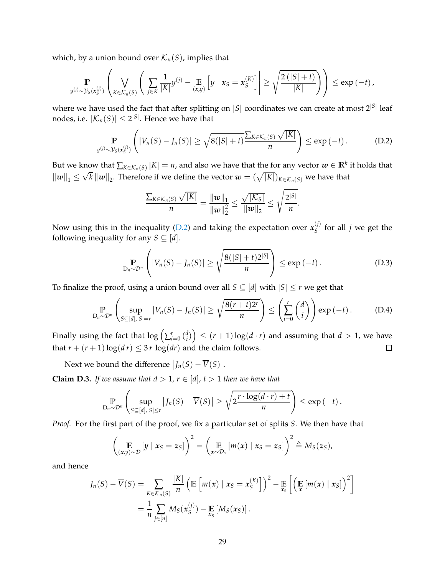which, by a union bound over  $\mathcal{K}_n(S)$ , implies that

$$
\Pr_{y^{(j)} \sim \mathcal{Y}_S(x_S^{(j)})} \left( \bigvee_{K \in \mathcal{K}_n(S)} \left( \left| \sum_{j \in K} \frac{1}{|K|} y^{(j)} - \mathop{\mathbb{E}}_{(x,y)} \left[ y \mid x_S = x_S^{(K)} \right] \right| \geq \sqrt{\frac{2\left( |S| + t \right)}{|K|}} \right) \right) \leq \exp(-t),
$$

where we have used the fact that after splitting on  $|S|$  coordinates we can create at most  $2^{|S|}$  leaf nodes, i.e.  $|\mathcal{K}_n(S)| \leq 2^{|S|}$ . Hence we have that

$$
\mathbb{P}_{y^{(j)} \sim \mathcal{Y}_S(x_S^{(j)})}\left(|V_n(S) - J_n(S)| \geq \sqrt{8(|S|+t)} \frac{\sum_{K \in \mathcal{K}_n(S)} \sqrt{|K|}}{n}\right) \leq \exp(-t).
$$
 (D.2)

But we know that  $\sum_{K \in \mathcal{K}_n(S)} |K| = n$ , and also we have that the for any vector  $w \in \mathbb{R}^k$  it holds that  $||w||_1 \leq \sqrt{k} ||w||_2$ . Therefore if we define the vector  $w = (\sqrt{|K|})_{K \in \mathcal{K}_n(S)}$  we have that

<span id="page-28-0"></span>
$$
\frac{\sum_{K\in\mathcal{K}_n(S)}\sqrt{|K|}}{n} = \frac{\|w\|_1}{\|w\|_2^2} \leq \frac{\sqrt{|K_S|}}{\|w\|_2} \leq \sqrt{\frac{2^{|S|}}{n}}.
$$

Now using this in the inequality [\(D.2\)](#page-28-0) and taking the expectation over  $x_{\rm S}^{(j)}$  $S^{\prime\prime}$  for all *j* we get the following inequality for any *S*  $\subseteq$  [*d*].

$$
\mathbb{P}_{D_n \sim \mathcal{D}^n} \left( |V_n(S) - J_n(S)| \ge \sqrt{\frac{8(|S| + t)2^{|S|}}{n}} \right) \le \exp\left(-t\right). \tag{D.3}
$$

To finalize the proof, using a union bound over all  $S \subseteq [d]$  with  $|S| \leq r$  we get that

$$
\Pr_{D_n \sim \mathcal{D}^n} \left( \sup_{S \subseteq [d], |S|=r} |V_n(S) - J_n(S)| \ge \sqrt{\frac{8(r+t)2^r}{n}} \right) \le \left( \sum_{i=0}^r \binom{d}{i} \right) \exp(-t).
$$
 (D.4)

Finally using the fact that  $\log\left(\sum_{i=0}^r\binom{d_i}{i}\right)$  $\binom{d}{i}$   $\leq$   $(r+1)\log(d\cdot r)$  and assuming that  $d>1$ , we have that  $r + (r + 1) \log(d r) \leq 3r \log(d r)$  and the claim follows.  $\Box$ 

Next we bound the difference  $|J_n(S) - \overline{V}(S)|$ .

<span id="page-28-1"></span>**Claim D.3.** *If we assume that*  $d > 1$ ,  $r \in [d]$ ,  $t > 1$  *then we have that* 

$$
\Pr_{D_n \sim \mathcal{D}^n} \left( \sup_{S \subseteq [d], |S| \le r} |J_n(S) - \overline{V}(S)| \ge \sqrt{2 \frac{r \cdot \log(d \cdot r) + t}{n}} \right) \le \exp(-t) \, .
$$

*Proof.* For the first part of the proof, we fix a particular set of splits *S*. We then have that

$$
\left(\mathop{\mathbb{E}}_{(x,y)\sim\mathcal{D}}[y \mid x_{S}=z_{S}]\right)^{2}=\left(\mathop{\mathbb{E}}_{x\sim\mathcal{D}_{x}}[m(x) \mid x_{S}=z_{S}]\right)^{2}\triangleq M_{S}(z_{S}),
$$

and hence

$$
J_n(S) - \overline{V}(S) = \sum_{K \in \mathcal{K}_n(S)} \frac{|K|}{n} \left( \mathbb{E} \left[ m(x) \mid x_S = x_S^{(K)} \right] \right)^2 - \mathbb{E} \left[ \left( \mathbb{E} \left[ m(x) \mid x_S \right] \right)^2 \right]
$$
  
= 
$$
\frac{1}{n} \sum_{j \in [n]} M_S(x_S^{(j)}) - \mathbb{E} \left[ M_S(x_S) \right].
$$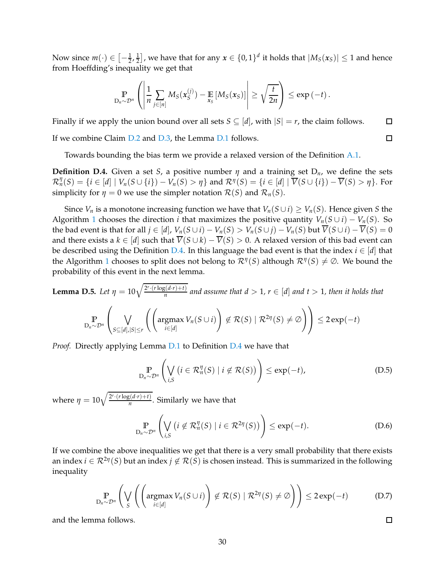Now since  $m(\cdot) \in \left[-\frac{1}{2}, \frac{1}{2}\right]$  $\left(\frac{1}{2}\right]$ , we have that for any  $x \in \{0,1\}^d$  it holds that  $|M_S(x_S)| \leq 1$  and hence from Hoeffding's inequality we get that

$$
\Pr_{D_n \sim \mathcal{D}^n} \left( \left| \frac{1}{n} \sum_{j \in [n]} M_S(x_S^{(j)}) - \mathop{\mathbb{E}}_{x_S} \left[ M_S(x_S) \right] \right| \geq \sqrt{\frac{t}{2n}} \right) \leq \exp(-t).
$$

Finally if we apply the union bound over all sets  $S \subseteq [d]$ , with  $|S| = r$ , the claim follows.  $\Box$ 

If we combine Claim [D.2](#page-27-1) and [D.3,](#page-28-1) the Lemma [D.1](#page-27-2) follows.

Towards bounding the bias term we provide a relaxed version of the Definition [A.1.](#page-15-3)

<span id="page-29-0"></span>**Definition D.4.** Given a set *S*, a positive number  $\eta$  and a training set  $D_n$ , we define the sets  $\mathcal{R}_n^{\eta}(S) = \{i \in [d] \mid V_n(S \cup \{i\}) - V_n(S) > \eta\}$  and  $\mathcal{R}^{\eta}(S) = \{i \in [d] \mid \overline{V}(S \cup \{i\}) - \overline{V}(S) > \eta\}$ . For simplicity for  $\eta = 0$  we use the simpler notation  $\mathcal{R}(S)$  and  $\mathcal{R}_n(S)$ .

Since *V<sub>n</sub>* is a monotone increasing function we have that  $V_n(S \cup i) \geq V_n(S)$ . Hence given *S* the Algorithm [1](#page-5-0) chooses the direction *i* that maximizes the positive quantity  $V_n(S \cup i) - V_n(S)$ . So the bad event is that for all  $j \in [d]$ ,  $V_n(S \cup i) - V_n(S) > V_n(S \cup j) - V_n(S)$  but  $\overline{V}(S \cup i) - \overline{V}(S) = 0$ and there exists a  $k \in [d]$  such that  $\overline{V}(S \cup k) - \overline{V}(S) > 0$ . A relaxed version of this bad event can be described using the Definition [D.4.](#page-29-0) In this language the bad event is that the index  $i \in [d]$  that the Algorithm [1](#page-5-0) chooses to split does not belong to  $\mathcal{R}^{\eta}(S)$  although  $\mathcal{R}^{\eta}(S) \neq \emptyset$ . We bound the probability of this event in the next lemma.

<span id="page-29-1"></span>**Lemma D.5.** Let 
$$
\eta = 10\sqrt{\frac{2^r \cdot (r \log(d \cdot r) + t)}{n}}
$$
 and assume that  $d > 1$ ,  $r \in [d]$  and  $t > 1$ , then it holds that

$$
\mathop{\mathbb{P}}_{D_n \sim \mathcal{D}^n} \left( \bigvee_{S \subseteq [d], |S| \leq r} \left( \left( \operatorname{argmax}_{i \in [d]} V_n(S \cup i) \right) \notin \mathcal{R}(S) \mid \mathcal{R}^{2\eta}(S) \neq \emptyset \right) \right) \leq 2 \exp(-t)
$$

*Proof.* Directly applying Lemma [D.1](#page-27-2) to Definition [D.4](#page-29-0) we have that

$$
\mathbb{P}_{D_n \sim \mathcal{D}^n} \left( \bigvee_{i,S} \left( i \in \mathcal{R}_n^{\eta}(S) \mid i \notin \mathcal{R}(S) \right) \right) \le \exp(-t), \tag{D.5}
$$

where  $\eta = 10 \sqrt{\frac{2^r \cdot (r \log(d \cdot r) + t)}{n}}$ . Similarly we have that

$$
\mathbb{P}_{D_n \sim \mathcal{D}^n} \left( \bigvee_{i,S} \left( i \notin \mathcal{R}_n^{\eta}(S) \mid i \in \mathcal{R}^{2\eta}(S) \right) \right) \le \exp(-t). \tag{D.6}
$$

If we combine the above inequalities we get that there is a very small probability that there exists an index  $i \in \mathcal{R}^{2\eta}(S)$  but an index  $j \notin \mathcal{R}(S)$  is chosen instead. This is summarized in the following inequality

$$
\mathbb{P}_{D_n \sim \mathcal{D}^n} \left( \bigvee_{S} \left( \left( \operatorname{argmax}_{i \in [d]} V_n(S \cup i) \right) \notin \mathcal{R}(S) \mid \mathcal{R}^{2\eta}(S) \neq \emptyset \right) \right) \leq 2 \exp(-t) \tag{D.7}
$$

and the lemma follows.

30

 $\Box$ 

 $\Box$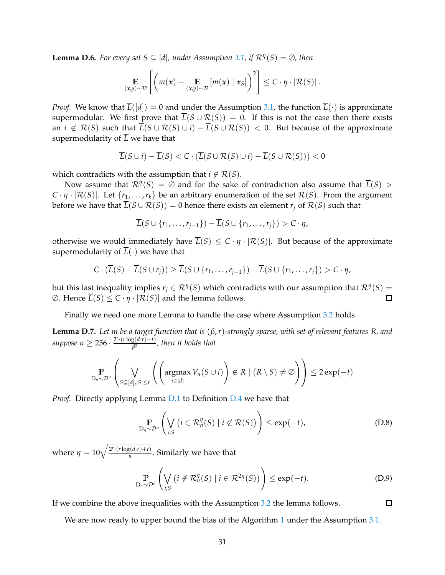<span id="page-30-0"></span>**Lemma D.6.** *For every set*  $S \subseteq [d]$ *, under Assumption* [3.1,](#page-4-2) *if*  $\mathcal{R}^{\eta}(S) = \emptyset$ *, then* 

$$
\mathop{\mathbb{E}}_{(x,y)\sim\mathcal{D}}\left[\left(m(x)-\mathop{\mathbb{E}}_{(x,y)\sim\mathcal{D}}[m(x)\mid x_{S}]\right)^{2}\right]\leq C\cdot\eta\cdot\left|\mathcal{R}(S)\right|.
$$

*Proof.* We know that  $\overline{L}([d]) = 0$  and under the Assumption [3.1,](#page-4-2) the function  $\overline{L}(\cdot)$  is approximate supermodular. We first prove that  $\overline{L}(S \cup \mathcal{R}(S)) = 0$ . If this is not the case then there exists an  $i \notin \mathcal{R}(S)$  such that  $\overline{L}(S \cup \mathcal{R}(S) \cup i) - \overline{L}(S \cup \mathcal{R}(S)) < 0$ . But because of the approximate supermodularity of  $\overline{L}$  we have that

$$
\overline{L}(S \cup i) - \overline{L}(S) < C \cdot (\overline{L}(S \cup \mathcal{R}(S) \cup i) - \overline{L}(S \cup \mathcal{R}(S))) < 0
$$

which contradicts with the assumption that  $i \notin \mathcal{R}(S)$ .

Now assume that  $\mathcal{R}^{\eta}(S) = \emptyset$  and for the sake of contradiction also assume that  $\overline{L}(S) > \emptyset$  $C \cdot \eta \cdot |\mathcal{R}(S)|$ . Let  $\{r_1, \ldots, r_k\}$  be an arbitrary enumeration of the set  $\mathcal{R}(S)$ . From the argument before we have that  $\overline{L}(S \cup \mathcal{R}(S)) = 0$  hence there exists an element  $r_i$  of  $\mathcal{R}(S)$  such that

$$
\overline{L}(S \cup \{r_1,\ldots,r_{j-1}\}) - \overline{L}(S \cup \{r_1,\ldots,r_j\}) > C \cdot \eta,
$$

otherwise we would immediately have  $\overline{L}(S) \leq C \cdot \eta \cdot |\mathcal{R}(S)|$ . But because of the approximate supermodularity of  $\overline{L}(\cdot)$  we have that

$$
C \cdot (\overline{L}(S) - \overline{L}(S \cup r_j)) \ge \overline{L}(S \cup \{r_1, \ldots, r_{j-1}\}) - \overline{L}(S \cup \{r_1, \ldots, r_j\}) > C \cdot \eta,
$$

but this last inequality implies  $r_j \in \mathcal{R}^{\eta}(S)$  which contradicts with our assumption that  $\mathcal{R}^{\eta}(S)$  =  $\emptyset$ . Hence  $\overline{L}(S) \leq C \cdot \eta \cdot |\mathcal{R}(S)|$  and the lemma follows.  $\Box$ 

Finally we need one more Lemma to handle the case where Assumption [3.2](#page-4-3) holds.

<span id="page-30-1"></span>**Lemma D.7.** *Let m be a target function that is* (*β*,*r*)*-strongly sparse, with set of relevant features R, and*  $suppose \ n \geq 256 \cdot \frac{2^r \cdot (r \log(d \cdot r) + t)}{\beta^2}$ , then it holds that

$$
\mathbb{P}_{D_n \sim \mathcal{D}^n} \left( \bigvee_{S \subseteq [d], |S| \le r} \left( \left( \operatorname{argmax}_{i \in [d]} V_n(S \cup i) \right) \notin R \mid (R \setminus S) \neq \emptyset \right) \right) \le 2 \exp(-t)
$$

*Proof.* Directly applying Lemma [D.1](#page-27-2) to Definition [D.4](#page-29-0) we have that

$$
\mathbb{P}_{D_n \sim \mathcal{D}^n} \left( \bigvee_{i,S} \left( i \in \mathcal{R}_n^{\eta}(S) \mid i \notin \mathcal{R}(S) \right) \right) \le \exp(-t), \tag{D.8}
$$

where  $\eta = 10 \sqrt{\frac{2^r \cdot (r \log(d \cdot r) + t)}{n}}$ . Similarly we have that

$$
\mathbb{P}_{D_n \sim \mathcal{D}^n} \left( \bigvee_{i,S} \left( i \notin \mathcal{R}_n^{\eta}(S) \mid i \in \mathcal{R}^{2\eta}(S) \right) \right) \le \exp(-t). \tag{D.9}
$$

 $\Box$ 

If we combine the above inequalities with the Assumption [3.2](#page-4-3) the lemma follows.

We are now ready to upper bound the bias of the Algorithm [1](#page-5-0) under the Assumption [3.1.](#page-4-2)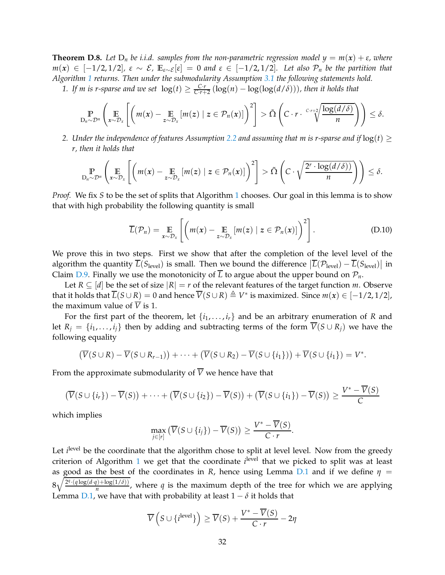<span id="page-31-0"></span>**Theorem D.8.** Let  $D_n$  be i.i.d. samples from the non-parametric regression model  $y = m(x) + \varepsilon$ , where *m*(*x*) ∈ [−1/2, 1/2],  $\varepsilon \sim \mathcal{E}$ ,  $\mathbb{E}_{\varepsilon \sim \mathcal{E}}[\varepsilon] = 0$  and  $\varepsilon \in [-1/2, 1/2]$ *. Let also*  $\mathcal{P}_n$  be the partition that *Algorithm [1](#page-5-0) returns. Then under the submodularity Assumption [3.1](#page-4-2) the following statements hold.*

1. If m is r-sparse and we set  $log(t) \geq \frac{C \cdot r}{C \cdot r+2} (log(n) - log(log(d/\delta)))$ , then it holds that

$$
\mathbb{P}_{D_n \sim \mathcal{D}^n} \left( \mathop{\mathbb{E}}_{x \sim \mathcal{D}_x} \left[ \left( m(x) - \mathop{\mathbb{E}}_{z \sim \mathcal{D}_x} \left[ m(z) \mid z \in \mathcal{P}_n(x) \right] \right)^2 \right] > \tilde{\Omega} \left( C \cdot r \cdot \sqrt[C]{\frac{\log(d/\delta)}{n}} \right) \right) \leq \delta.
$$

*2. Under the independence of features Assumption* [2.2](#page-3-0) *and assuming that m is r-sparse and if*  $log(t) \ge$ *r, then it holds that*

$$
\mathbb{P}_{D_n \sim \mathcal{D}^n} \left( \mathop{\mathbb{E}}_{x \sim \mathcal{D}_x} \left[ \left( m(x) - \mathop{\mathbb{E}}_{z \sim \mathcal{D}_x} [m(z) \mid z \in \mathcal{P}_n(x)] \right)^2 \right] > \tilde{\Omega} \left( C \cdot \sqrt{\frac{2^r \cdot \log(d/\delta)}{n}} \right) \right) \leq \delta.
$$

*Proof.* We fix *S* to be the set of splits that Algorithm [1](#page-5-0) chooses. Our goal in this lemma is to show that with high probability the following quantity is small

$$
\overline{L}(\mathcal{P}_n) = \mathop{\mathbb{E}}_{x \sim \mathcal{D}_x} \left[ \left( m(x) - \mathop{\mathbb{E}}_{z \sim \mathcal{D}_x} \left[ m(z) \mid z \in \mathcal{P}_n(x) \right] \right)^2 \right]. \tag{D.10}
$$

We prove this in two steps. First we show that after the completion of the level level of the algorithm the quantity  $\overline{L}(S_{\text{level}})$  is small. Then we bound the difference  $|\overline{L}(\mathcal{P}_{\text{level}}) - \overline{L}(S_{\text{level}})|$  in Claim [D.9.](#page-32-0) Finally we use the monotonicity of  $\overline{L}$  to argue about the upper bound on  $\mathcal{P}_n$ .

Let  $R \subseteq [d]$  be the set of size  $|R| = r$  of the relevant features of the target function *m*. Observe that it holds that  $\overline{L}(S \cup R) = 0$  and hence  $\overline{V}(S \cup R) \triangleq V^*$  is maximized. Since  $m(x) \in [-1/2, 1/2]$ , the maximum value of  $\overline{V}$  is 1.

For the first part of the theorem, let  $\{i_1, \ldots, i_r\}$  and be an arbitrary enumeration of *R* and let  $R_i = \{i_1, \ldots, i_j\}$  then by adding and subtracting terms of the form  $V(S \cup R_i)$  we have the following equality

$$
(\overline{V}(S \cup R) - \overline{V}(S \cup R_{r-1})) + \cdots + (\overline{V}(S \cup R_2) - \overline{V}(S \cup \{i_1\})) + \overline{V}(S \cup \{i_1\}) = V^*.
$$

From the approximate submodularity of  $\overline{V}$  we hence have that

$$
\left(\overline{V}(S \cup \{i_r\}) - \overline{V}(S)\right) + \cdots + \left(\overline{V}(S \cup \{i_2\}) - \overline{V}(S)\right) + \left(\overline{V}(S \cup \{i_1\}) - \overline{V}(S)\right) \ge \frac{V^* - V(S)}{C}
$$

which implies

$$
\max_{j\in[r]} \left( \overline{V}(S\cup\{i_j\}) - \overline{V}(S) \right) \ge \frac{V^* - \overline{V}(S)}{C\cdot r}.
$$

Let *i*<sup>level</sup> be the coordinate that the algorithm chose to split at level level. Now from the greedy criterion of Algorithm [1](#page-5-0) we get that the coordinate *i*<sup>level</sup> that we picked to split was at least as good as the best of the coordinates in *R*, hence using Lemma [D.1](#page-27-2) and if we define  $\eta$  =  $8\sqrt{\frac{2^{q}\cdot(q\log(d\cdot q)+\log(1/\delta))}{n}}$ , where *q* is the maximum depth of the tree for which we are applying Lemma [D.1,](#page-27-2) we have that with probability at least  $1 - \delta$  it holds that

$$
\overline{V}\left(S \cup \{i^{\text{level}}\}\right) \geq \overline{V}(S) + \frac{V^* - \overline{V}(S)}{C \cdot r} - 2\eta
$$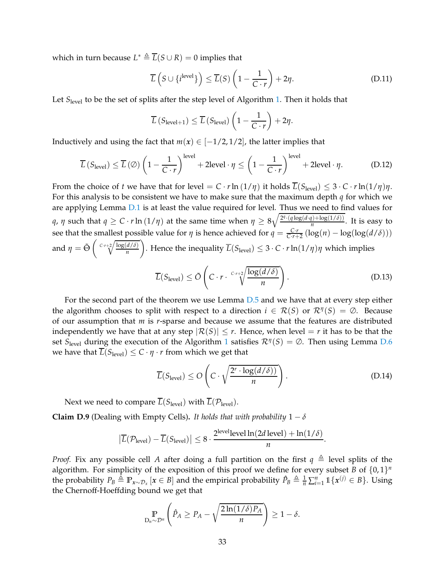which in turn because  $L^* \triangleq \overline{L}(S \cup R) = 0$  implies that

$$
\overline{L}\left(S \cup \{i^{\text{level}}\}\right) \le \overline{L}(S)\left(1 - \frac{1}{C \cdot r}\right) + 2\eta. \tag{D.11}
$$

Let *S*<sub>level</sub> to be the set of splits after the step level of Algorithm [1.](#page-5-0) Then it holds that

$$
\overline{L}\left(S_{\text{level}+1}\right) \leq \overline{L}\left(S_{\text{level}}\right)\left(1 - \frac{1}{C \cdot r}\right) + 2\eta.
$$

Inductively and using the fact that  $m(x) \in [-1/2, 1/2]$ , the latter implies that

$$
\overline{L}\left(S_{\text{level}}\right) \le \overline{L}\left(\emptyset\right) \left(1 - \frac{1}{C \cdot r}\right)^{\text{level}} + 2\text{level} \cdot \eta \le \left(1 - \frac{1}{C \cdot r}\right)^{\text{level}} + 2\text{level} \cdot \eta. \tag{D.12}
$$

From the choice of *t* we have that for level =  $C \cdot r \ln(1/\eta)$  it holds  $\overline{L}(S_{\text{level}}) \leq 3 \cdot C \cdot r \ln(1/\eta) \eta$ . For this analysis to be consistent we have to make sure that the maximum depth *q* for which we are applying Lemma [D.1](#page-27-2) is at least the value required for level. Thus we need to find values for *q*, *η* such that  $q \ge C \cdot r \ln{(1/\eta)}$  at the same time when  $\eta \ge 8\sqrt{\frac{2^q \cdot (q \log(d \cdot q) + \log(1/\delta))}{n}}$ . It is easy to see that the smallest possible value for *η* is hence achieved for  $q = \frac{C \cdot r}{C \cdot r + 2} (\log(n) - \log(\log(d/\delta)))$ and  $\eta = \tilde{\Theta} \left( \sqrt{\frac{C \cdot r + 2}{n}} \frac{\log(d/\delta)}{n} \right)$ *n* . Hence the inequality  $\overline{L}(S_{\text{level}}) \leq 3 \cdot C \cdot r \ln(1/\eta) \eta$  which implies

<span id="page-32-1"></span>
$$
\overline{L}(S_{\text{level}}) \le \tilde{O}\left(C \cdot r \cdot \sqrt[C]{\frac{\log(d/\delta)}{n}}\right). \tag{D.13}
$$

For the second part of the theorem we use Lemma [D.5](#page-29-1) and we have that at every step either the algorithm chooses to split with respect to a direction  $i \in \mathcal{R}(S)$  or  $\mathcal{R}^{\eta}(S) = \emptyset$ . Because of our assumption that *m* is *r*-sparse and because we assume that the features are distributed independently we have that at any step  $|\mathcal{R}(S)| \leq r$ . Hence, when level  $=r$  it has to be that the set *<sup>S</sup>*level during the execution of the Algorithm [1](#page-5-0) satisfies R*<sup>η</sup>* (*S*) = ∅. Then using Lemma [D.6](#page-30-0) we have that  $\overline{L}(S_{\text{level}}) \leq C \cdot \eta \cdot r$  from which we get that

<span id="page-32-2"></span>
$$
\overline{L}(S_{\text{level}}) \le O\left(C \cdot \sqrt{\frac{2^r \cdot \log(d/\delta)}{n}}\right). \tag{D.14}
$$

Next we need to compare  $\overline{L}(S_{\text{level}})$  with  $\overline{L}(\mathcal{P}_{\text{level}})$ .

<span id="page-32-0"></span>**Claim D.9** (Dealing with Empty Cells). It holds that with probability  $1 - \delta$ 

$$
\left|\overline{L}(\mathcal{P}_{level}) - \overline{L}(S_{level})\right| \leq 8 \cdot \frac{2^{\text{level}} \text{level} \ln(2d \text{ level}) + \ln(1/\delta)}{n}.
$$

*Proof.* Fix any possible cell *A* after doing a full partition on the first  $q \triangleq$  level splits of the algorithm. For simplicity of the exposition of this proof we define for every subset *B* of  $\{0,1\}^n$ the probability  $P_B \triangleq \mathbb{P}_{x \sim \mathcal{D}_x} [x \in B]$  and the empirical probability  $\hat{P}_B \triangleq \frac{1}{n} \sum_{i=1}^n \mathbb{1} \{x^{(j)} \in B\}$ . Using the Chernoff-Hoeffding bound we get that

$$
\Pr_{D_n \sim \mathcal{D}^n} \left( \hat{P}_A \ge P_A - \sqrt{\frac{2\ln(1/\delta)P_A}{n}} \right) \ge 1 - \delta.
$$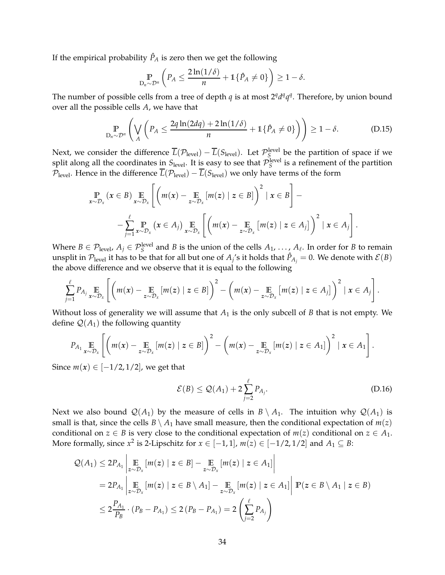If the empirical probability  $\hat{P}_A$  is zero then we get the following

<span id="page-33-0"></span>
$$
\mathbb{P}_{\mathbf{D}_n \sim \mathcal{D}^n} \left( P_A \le \frac{2 \ln(1/\delta)}{n} + \mathbb{1} \{ \hat{P}_A \ne 0 \} \right) \ge 1 - \delta.
$$

The number of possible cells from a tree of depth *q* is at most  $2<sup>q</sup>d<sup>q</sup>q<sup>q</sup>$ . Therefore, by union bound over all the possible cells *A*, we have that

$$
\mathbb{P}_{D_n \sim \mathcal{D}^n} \left( \bigvee_A \left( P_A \le \frac{2q \ln(2dq) + 2 \ln(1/\delta)}{n} + 1 \{ \hat{P}_A \ne 0 \} \right) \right) \ge 1 - \delta. \tag{D.15}
$$

Next, we consider the difference  $\overline{L}(\mathcal{P}_{level}) - \overline{L}(S_{level})$ . Let  $\mathcal{P}_{S}^{level}$  be the partition of space if we split along all the coordinates in  $S_{\text{level}}$ . It is easy to see that  $\mathcal{P}_S^{\text{level}}$  is a refinement of the partition  $P_{\text{level}}$ . Hence in the difference  $\overline{L}(\mathcal{P}_{\text{level}}) - \overline{L}(S_{\text{level}})$  we only have terms of the form

$$
\Pr_{x \sim \mathcal{D}_x} (x \in B) \underset{x \sim \mathcal{D}_x}{\mathbb{E}} \left[ \left( m(x) - \underset{z \sim \mathcal{D}_x}{\mathbb{E}} \left[ m(z) \mid z \in B \right] \right)^2 \mid x \in B \right] - \\ - \sum_{j=1}^{\ell} \underset{x \sim \mathcal{D}_x}{\mathbb{P}} \left[ x \in A_j \right] \underset{x \sim \mathcal{D}_x}{\mathbb{E}} \left[ \left( m(x) - \underset{z \sim \mathcal{D}_x}{\mathbb{E}} \left[ m(z) \mid z \in A_j \right] \right)^2 \mid x \in A_j \right].
$$

Where  $B \in \mathcal{P}_{\text{level}}$ ,  $A_j \in \mathcal{P}_{S}^{\text{level}}$  and *B* is the union of the cells  $A_1, \ldots, A_\ell$ . In order for *B* to remain unsplit in  $\mathcal{P}_{level}$  it has to be that for all but one of  $A_j$ 's it holds that  $\hat{P}_{A_j}=0$ . We denote with  $\mathcal{E}(B)$ the above difference and we observe that it is equal to the following

$$
\sum_{j=1}^{\ell} P_{A_j} \underset{x \sim \mathcal{D}_x}{\mathbb{E}} \left[ \left( m(x) - \underset{z \sim \mathcal{D}_x}{\mathbb{E}} \left[ m(z) \mid z \in B \right] \right)^2 - \left( m(x) - \underset{z \sim \mathcal{D}_x}{\mathbb{E}} \left[ m(z) \mid z \in A_j \right] \right)^2 \mid x \in A_j \right].
$$

Without loss of generality we will assume that  $A_1$  is the only subcell of  $B$  that is not empty. We define  $\mathcal{Q}(A_1)$  the following quantity

$$
P_{A_1} \underset{x \sim \mathcal{D}_x}{\mathbb{E}} \left[ \left( m(x) - \underset{z \sim \mathcal{D}_x}{\mathbb{E}} \left[ m(z) \mid z \in B \right] \right)^2 - \left( m(x) - \underset{z \sim \mathcal{D}_x}{\mathbb{E}} \left[ m(z) \mid z \in A_1 \right] \right)^2 \mid x \in A_1 \right].
$$

Since  $m(x) \in [-1/2, 1/2]$ , we get that

<span id="page-33-1"></span>
$$
\mathcal{E}(B) \le \mathcal{Q}(A_1) + 2\sum_{j=2}^{\ell} P_{A_j}.
$$
\n(D.16)

Next we also bound  $\mathcal{Q}(A_1)$  by the measure of cells in  $B \setminus A_1$ . The intuition why  $\mathcal{Q}(A_1)$  is small is that, since the cells  $B \setminus A_1$  have small measure, then the conditional expectation of  $m(z)$ conditional on *z*  $\in$  *B* is very close to the conditional expectation of *m*(*z*) conditional on *z*  $\in$  *A*<sub>1</sub>. More formally, since  $x^2$  is 2-Lipschitz for  $x \in [-1,1]$ ,  $m(z) \in [-1/2,1/2]$  and  $A_1 \subseteq B$ :

$$
\mathcal{Q}(A_1) \leq 2P_{A_1} \left| \underset{z \sim \mathcal{D}_x}{\mathbb{E}} [m(z) \mid z \in B] - \underset{z \sim \mathcal{D}_x}{\mathbb{E}} [m(z) \mid z \in A_1] \right|
$$
  
\n
$$
= 2P_{A_1} \left| \underset{z \sim \mathcal{D}_x}{\mathbb{E}} [m(z) \mid z \in B \setminus A_1] - \underset{z \sim \mathcal{D}_x}{\mathbb{E}} [m(z) \mid z \in A_1] \right| \mathbb{P}(z \in B \setminus A_1 \mid z \in B)
$$
  
\n
$$
\leq 2\frac{P_{A_1}}{P_B} \cdot (P_B - P_{A_1}) \leq 2(P_B - P_{A_1}) = 2\left(\sum_{j=2}^{\ell} P_{A_j}\right)
$$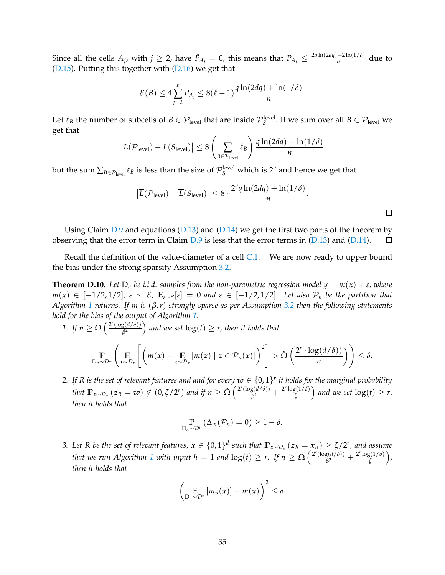Since all the cells  $A_j$ , with  $j \geq 2$ , have  $\hat{P}_{A_j} = 0$ , this means that  $P_{A_j} \leq \frac{2q \ln(2dq) + 2\ln(1/\delta)}{n}$  $\frac{+2\ln(1/\theta)}{n}$  due to  $(D.15)$ . Putting this together with  $(D.16)$  we get that

$$
\mathcal{E}(B) \le 4\sum_{j=2}^{\ell} P_{A_j} \le 8(\ell-1)\frac{q\ln(2dq) + \ln(1/\delta)}{n}.
$$

Let  $\ell_B$  the number of subcells of  $B \in \mathcal{P}_{level}$  that are inside  $\mathcal{P}_{S}^{level}$ . If we sum over all  $B \in \mathcal{P}_{level}$  we get that

$$
\left| \overline{L}(\mathcal{P}_{\text{level}}) - \overline{L}(S_{\text{level}}) \right| \le 8 \left( \sum_{B \in \mathcal{P}_{\text{level}}} \ell_B \right) \frac{q \ln(2dq) + \ln(1/\delta)}{n}
$$

but the sum  $\sum_{B \in \mathcal{P}_\text{level}} \ell_B$  is less than the size of  $\mathcal{P}_S^\text{level}$  which is  $2^q$  and hence we get that

$$
\left|\overline{L}(\mathcal{P}_{level}) - \overline{L}(S_{level})\right| \leq 8 \cdot \frac{2^q q \ln(2dq) + \ln(1/\delta)}{n}.
$$

 $\leq \delta$ .

Using Claim  $D.9$  and equations ( $D.13$ ) and ( $D.14$ ) we get the first two parts of the theorem by observing that the error term in Claim  $D.9$  is less that the error terms in [\(D.13\)](#page-32-1) and [\(D.14\)](#page-32-2). 口

Recall the definition of the value-diameter of a cell [C.1.](#page-25-1) We are now ready to upper bound the bias under the strong sparsity Assumption [3.2.](#page-4-3)

<span id="page-34-0"></span>**Theorem D.10.** Let  $D_n$  be i.i.d. samples from the non-parametric regression model  $y = m(x) + \varepsilon$ , where *m*(*x*) ∈ [−1/2, 1/2],  $\varepsilon \sim \mathcal{E}$ ,  $\mathbb{E}_{\varepsilon \sim \mathcal{E}}[\varepsilon] = 0$  and  $\varepsilon \in [-1/2, 1/2]$ . Let also  $\mathcal{P}_n$  be the partition that *Algorithm [1](#page-5-0) returns. If m is* (*β*,*r*)*-strongly sparse as per Assumption [3.2](#page-4-3) then the following statements hold for the bias of the output of Algorithm [1.](#page-5-0)*

1. If 
$$
n \ge \tilde{\Omega} \left( \frac{2^r (\log(d/\delta))}{\beta^2} \right)
$$
 and we set  $\log(t) \ge r$ , then it holds that\n
$$
\mathbb{P}_{D_n \sim \mathcal{D}^n} \left( \mathbb{E} \left[ \left( m(x) - \mathbb{E} \left[ m(z) \mid z \in \mathcal{P}_n(x) \right] \right)^2 \right] > \tilde{\Omega} \left( \frac{2^r \cdot \log(d/\delta)}{n} \right) \right)
$$

*2.* If R is the set of relevant features and and for every  $w \in \{0,1\}^r$  it holds for the marginal probability *that*  $\mathbb{P}_{z \sim \mathcal{D}_x} (z_R = w) \notin (0, \zeta/2^r)$  *and if n*  $\geq \tilde{\Omega} \left( \frac{2^r (\log(d/\delta))}{\beta^2} \right)$  $\frac{g(d/\delta)}{\beta^2} + \frac{2^r \log(1/\delta)}{\zeta}$  $\left(\frac{g(1/\delta)}{\zeta}\right)$  and we set  $\log(t) \geq r$ , *then it holds that*

$$
\mathop{\mathbb{P}}_{D_n \sim \mathcal{D}^n} (\Delta_m(\mathcal{P}_n) = 0) \geq 1 - \delta.
$$

*3.* Let R be the set of relevant features,  $x \in \{0,1\}^d$  such that  $\mathbb{P}_{z \sim \mathcal{D}_x}(z_R = x_R) \ge \zeta/2^r$ , and assume *that we run Algorithm* [1](#page-5-0) *with input h* = 1 *and*  $log(t) \ge r$ . If  $n \ge \tilde{\Omega} \left( \frac{2^r (log(d/\delta))}{\beta^2} \right)$  $\frac{g(d/\delta)}{\beta^2} + \frac{2^r \log(1/\delta)}{\zeta}$ *ζ , then it holds that*

$$
\left(\mathop{\mathbb{E}}_{D_n\sim\mathcal{D}^n}\left[m_n(x)\right]-m(x)\right)^2\leq\delta.
$$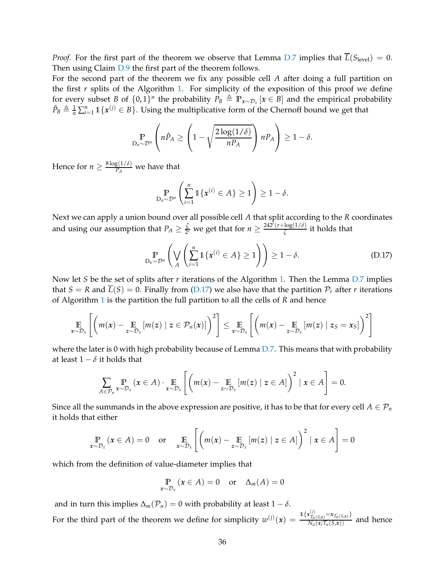*Proof.* For the first part of the theorem we observe that Lemma [D.7](#page-30-1) implies that  $L(S_{level}) = 0$ . Then using Claim  $D.9$  the first part of the theorem follows.

For the second part of the theorem we fix any possible cell *A* after doing a full partition on the first  $r$  splits of the Algorithm [1.](#page-5-0) For simplicity of the exposition of this proof we define for every subset *B* of  $\{0, 1\}$ <sup>*n*</sup> the probability  $P_B \triangleq \mathbb{P}_{x \sim \mathcal{D}_x}$  [ $x \in B$ ] and the empirical probability  $\hat{P}_B \triangleq \frac{1}{n} \sum_{i=1}^n \mathbb{1}\{\mathbf{x}^{(j)} \in B\}$ . Using the multiplicative form of the Chernoff bound we get that

$$
\mathop{\mathbb{P}}_{D_n \sim \mathcal{D}^n} \left( n \hat{P}_A \ge \left( 1 - \sqrt{\frac{2 \log(1/\delta)}{n P_A}} \right) n P_A \right) \ge 1 - \delta.
$$

Hence for  $n \geq \frac{8 \log(1/\delta)}{P_A}$  $\frac{B(1/U)}{P_A}$  we have that

<span id="page-35-0"></span>
$$
\mathop{\mathbb{P}}_{D_n \sim \mathcal{D}^n} \left( \sum_{i=1}^n \mathbb{1} \{ \boldsymbol{x}^{(i)} \in A \} \geq 1 \right) \geq 1 - \delta.
$$

Next we can apply a union bound over all possible cell *A* that split according to the *R* coordinates and using our assumption that  $P_A \geq \frac{\zeta}{2^2}$  $\frac{\zeta}{2r}$  we get that for  $n \geq \frac{242^r(r + \log(1/\delta))}{\zeta}$  $\frac{\log(1/\theta)}{\zeta}$  it holds that

$$
\mathbb{P}_{D_n \sim \mathcal{D}^n} \left( \bigvee_A \left( \sum_{i=1}^n \mathbb{1} \{ \boldsymbol{x}^{(i)} \in A \} \ge 1 \right) \right) \ge 1 - \delta. \tag{D.17}
$$

Now let *S* be the set of splits after *r* iterations of the Algorithm [1.](#page-5-0) Then the Lemma [D.7](#page-30-1) implies that  $S = R$  and  $\overline{L}(S) = 0$ . Finally from [\(D.17\)](#page-35-0) we also have that the partition  $\mathcal{P}_r$  after *r* iterations of Algorithm [1](#page-5-0) is the partition the full partition to all the cells of *R* and hence

$$
\mathop{\mathbb{E}}_{x \sim \mathcal{D}_x} \left[ \left( m(x) - \mathop{\mathbb{E}}_{z \sim \mathcal{D}_x} \left[ m(z) \mid z \in \mathcal{P}_n(x) \right] \right)^2 \right] \leq \mathop{\mathbb{E}}_{x \sim \mathcal{D}_x} \left[ \left( m(x) - \mathop{\mathbb{E}}_{z \sim \mathcal{D}_x} \left[ m(z) \mid z_S = x_S \right] \right)^2 \right]
$$

where the later is 0 with high probability because of Lemma [D.7.](#page-30-1) This means that with probability at least  $1 - \delta$  it holds that

$$
\sum_{A\in\mathcal{P}_n} \Pr_{\mathbf{x}\sim\mathcal{D}_x}(\mathbf{x}\in A) \cdot \Pr_{\mathbf{x}\sim\mathcal{D}_x} \left[ \left( m(\mathbf{x}) - \mathop{\mathbb{E}}_{z\sim\mathcal{D}_x} [m(z) \mid z\in A] \right)^2 \mid \mathbf{x}\in A \right] = 0.
$$

Since all the summands in the above expression are positive, it has to be that for every cell  $A \in \mathcal{P}_n$ it holds that either

$$
\Pr_{x \sim \mathcal{D}_x} (x \in A) = 0 \quad \text{or} \quad \underset{x \sim \mathcal{D}_x}{\mathbb{E}} \left[ \left( m(x) - \underset{z \sim \mathcal{D}_x}{\mathbb{E}} \left[ m(z) \mid z \in A \right] \right)^2 \mid x \in A \right] = 0
$$

which from the definition of value-diameter implies that

$$
\mathop{\mathbb{P}}_{x \sim \mathcal{D}_x} (x \in A) = 0 \quad \text{or} \quad \Delta_m(A) = 0
$$

and in turn this implies  $\Delta_m(\mathcal{P}_n) = 0$  with probability at least  $1 - \delta$ . For the third part of the theorem we define for simplicity  $w^{(j)}(x) = \frac{\mathbb{1}\{x_{\tau_n(s,x)}^{(j)} = x_{\tau_n(s,x)}\}}{N_n(x;\tau_n(s,x))}$  and hence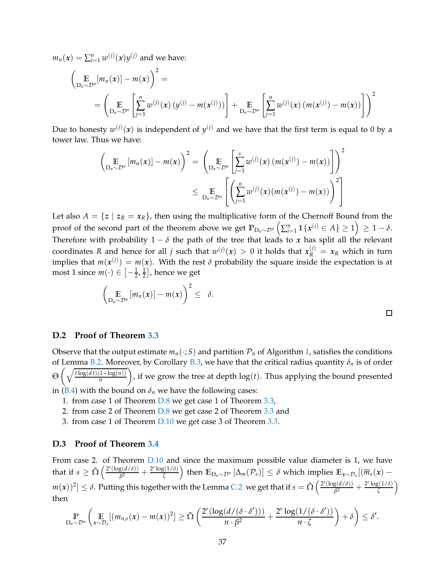$m_n(x) = \sum_{i=1}^n w^{(j)}(x) y^{(j)}$  and we have:

$$
\left(\mathop{\mathbb{E}}_{D_n \sim \mathcal{D}^n} [m_n(x)] - m(x) \right)^2 =
$$
\n
$$
= \left(\mathop{\mathbb{E}}_{D_n \sim \mathcal{D}^n} \left[ \sum_{j=1}^n w^{(j)}(x) \left( y^{(j)} - m(x^{(j)}) \right) \right] + \mathop{\mathbb{E}}_{D_n \sim \mathcal{D}^n} \left[ \sum_{j=1}^n w^{(j)}(x) \left( m(x^{(j)}) - m(x) \right) \right] \right)^2
$$

Due to honesty  $w^{(j)}(x)$  is independent of  $y^{(j)}$  and we have that the first term is equal to 0 by a tower law. Thus we have:

$$
\left(\underset{\mathcal{D}_n \sim \mathcal{D}^n}{\mathbb{E}}\left[m_n(x)\right] - m(x)\right)^2 = \left(\underset{\mathcal{D}_n \sim \mathcal{D}^n}{\mathbb{E}}\left[\sum_{j=1}^s w^{(j)}(x) \left(m(x^{(j)}) - m(x)\right)\right]\right)^2
$$
\n
$$
\leq \underset{\mathcal{D}_n \sim \mathcal{D}^n}{\mathbb{E}}\left[\left(\sum_{j=1}^n w^{(j)}(x) \left(m(x^{(j)}) - m(x)\right)\right)^2\right]
$$

Let also  $A = \{z \mid z_R = x_R\}$ , then using the multiplicative form of the Chernoff Bound from the  $\text{proof of the second part of the theorem above we get } \mathbb{P}_{\mathcal{D}_n \sim \mathcal{D}^n} \left( \sum_{i=1}^n \mathbb{1}\{ \pmb{x}^{(i)} \in A \} \geq 1 \right) \geq 1-\delta.$ Therefore with probability  $1 - \delta$  the path of the tree that leads to *x* has split all the relevant coordinates R and hence for all *j* such that  $w^{(j)}(x) > 0$  it holds that  $x_R^{(j)} = x_R$  which in turn implies that  $m(x^{(j)}) = m(x)$ . With the rest  $\delta$  probability the square inside the expectation is at most 1 since  $m(\cdot) \in \left[-\frac{1}{2}, \frac{1}{2}\right]$  $\frac{1}{2}$ , hence we get

$$
\left(\mathop{\mathbb{E}}_{D_n\sim\mathcal{D}^n}\left[m_n(x)\right]-m(x)\right)^2\leq\delta.
$$

## **D.2 Proof of Theorem [3.3](#page-5-1)**

Observe that the output estimate  $m_n(\cdot; S)$  and partition  $\mathcal{P}_n$  of Algorithm [1,](#page-5-0) satisfies the conditions of Lemma [B.2.](#page-20-0) Moreover, by Corollary [B.3,](#page-24-0) we have that the critical radius quantity *δ<sup>n</sup>* is of order Θ  $\int$ ,  $\sqrt{t \log(dt)(1+\log(n))}$ *n* ), if we grow the tree at depth  $log(t)$ . Thus applying the bound presented in [\(B.4\)](#page-20-1) with the bound on  $\delta_n$  we have the following cases:

- 1. from case 1 of Theorem [D.8](#page-31-0) we get case 1 of Theorem [3.3,](#page-5-1)
- 2. from case 2 of Theorem [D.8](#page-31-0) we get case 2 of Theorem [3.3](#page-5-1) and
- 3. from case 1 of Theorem [D.10](#page-34-0) we get case 3 of Theorem [3.3.](#page-5-1)

## <span id="page-36-0"></span>**D.3 Proof of Theorem [3.4](#page-6-0)**

From case 2. of Theorem  $D.10$  and since the maximum possible value diameter is 1, we have that if  $s \geq \tilde{\Omega} \left( \frac{2^r (\log(d/\delta))}{\beta^2} \right)$  $\frac{g(d/\delta)}{\beta^2} + \frac{2^r \log(1/\delta)}{\zeta}$  $\left(\frac{\zeta(1/\delta)}{\zeta}\right)$  then  $\mathbb{E}_{\mathbf{D}_n\sim\mathcal{D}^n}\left[\Delta_m(\mathcal{P}_s)\right]\leq\delta$  which implies  $\mathbb{E}_{\mathbf{x}\sim\mathcal{D}_x}[(\overline{m}_s(\mathbf{x})-\mathbf{D}_s(\mathbf{x})])$  $m(x))^2] \leq \delta.$  Putting this together with the Lemma [C.2](#page-25-2) we get that if  $s = \tilde{\Omega}\left(\frac{2^r(\log(d/\delta))}{\beta^2}\right)$  $\frac{g(d/\delta)}{\beta^2} + \frac{2^r \log(1/\delta)}{\zeta}$  $\left(\frac{1}{\zeta}\right)$ then

$$
\mathop{\mathbb{P}}_{D_n \sim \mathcal{D}^n} \left( \mathop{\mathbb{E}}_{x \sim \mathcal{D}_x} [(m_{n,s}(x) - m(x))^2] \geq \tilde{\Omega} \left( \frac{2^r (\log(d/(\delta \cdot \delta')))}{n \cdot \beta^2} + \frac{2^r \log(1/(\delta \cdot \delta'))}{n \cdot \zeta} \right) + \delta \right) \leq \delta'.
$$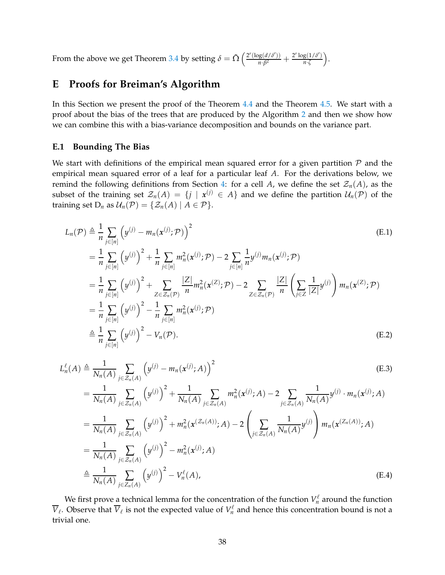From the above we get Theorem [3.4](#page-6-0) by setting  $\delta = \tilde{\Omega} \left( \frac{2^r (\log(d/\delta'))}{n \cdot \beta^2} \right)$  $\frac{\log(d/\delta')}{n \cdot \beta^2} + \frac{2^r \log(1/\delta')}{n \cdot \zeta}$ *n*·*ζ* .

# <span id="page-37-0"></span>**E Proofs for Breiman's Algorithm**

In this Section we present the proof of the Theorem [4.4](#page-10-0) and the Theorem [4.5.](#page-11-2) We start with a proof about the bias of the trees that are produced by the Algorithm [2](#page-9-0) and then we show how we can combine this with a bias-variance decomposition and bounds on the variance part.

### **E.1 Bounding The Bias**

We start with definitions of the empirical mean squared error for a given partition  $P$  and the empirical mean squared error of a leaf for a particular leaf *A*. For the derivations below, we remind the following definitions from Section [4:](#page-7-0) for a cell *A*, we define the set  $\mathcal{Z}_n(A)$ , as the subset of the training set  $\mathcal{Z}_n(A) = \{j \mid x^{(j)} \in A\}$  and we define the partition  $\mathcal{U}_n(\mathcal{P})$  of the training set  $D_n$  as  $\mathcal{U}_n(\mathcal{P}) = \{ \mathcal{Z}_n(A) \mid A \in \mathcal{P} \}.$ 

$$
L_n(\mathcal{P}) \triangleq \frac{1}{n} \sum_{j \in [n]} \left( y^{(j)} - m_n(x^{(j)}; \mathcal{P}) \right)^2
$$
\n
$$
= \frac{1}{n} \sum_{j \in [n]} \left( y^{(j)} \right)^2 + \frac{1}{n} \sum_{j \in [n]} m_n^2(x^{(j)}; \mathcal{P}) - 2 \sum_{j \in [n]} \frac{1}{n} y^{(j)} m_n(x^{(j)}; \mathcal{P})
$$
\n
$$
= \frac{1}{n} \sum_{j \in [n]} \left( y^{(j)} \right)^2 + \sum_{Z \in \mathcal{Z}_n(\mathcal{P})} \frac{|Z|}{n} m_n^2(x^{(Z)}; \mathcal{P}) - 2 \sum_{Z \in \mathcal{Z}_n(\mathcal{P})} \frac{|Z|}{n} \left( \sum_{j \in Z} \frac{1}{|Z|} y^{(j)} \right) m_n(x^{(Z)}; \mathcal{P})
$$
\n
$$
= \frac{1}{n} \sum_{j \in [n]} \left( y^{(j)} \right)^2 - \frac{1}{n} \sum_{j \in [n]} m_n^2(x^{(j)}; \mathcal{P})
$$
\n
$$
\triangleq \frac{1}{n} \sum_{j \in [n]} \left( y^{(j)} \right)^2 - V_n(\mathcal{P}).
$$
\n(E.2)

$$
L_n^{\ell}(A) \triangleq \frac{1}{N_n(A)} \sum_{j \in \mathcal{Z}_n(A)} \left( y^{(j)} - m_n(x^{(j)}; A) \right)^2
$$
(E.3)  
\n
$$
= \frac{1}{N_n(A)} \sum_{j \in \mathcal{Z}_n(A)} \left( y^{(j)} \right)^2 + \frac{1}{N_n(A)} \sum_{j \in \mathcal{Z}_n(A)} m_n^2(x^{(j)}; A) - 2 \sum_{j \in \mathcal{Z}_n(A)} \frac{1}{N_n(A)} y^{(j)} \cdot m_n(x^{(j)}; A)
$$
\n
$$
= \frac{1}{N_n(A)} \sum_{j \in \mathcal{Z}_n(A)} \left( y^{(j)} \right)^2 + m_n^2(x^{(\mathcal{Z}_n(A))}; A) - 2 \left( \sum_{j \in \mathcal{Z}_n(A)} \frac{1}{N_n(A)} y^{(j)} \right) m_n(x^{(\mathcal{Z}_n(A))}; A)
$$
\n
$$
= \frac{1}{N_n(A)} \sum_{j \in \mathcal{Z}_n(A)} \left( y^{(j)} \right)^2 - m_n^2(x^{(j)}; A)
$$
\n
$$
\triangleq \frac{1}{N_n(A)} \sum_{j \in \mathcal{Z}_n(A)} \left( y^{(j)} \right)^2 - V_n^{\ell}(A),
$$
\n(E.4)

We first prove a technical lemma for the concentration of the function  $V_n^\ell$  around the function  $\overline{V}_{\ell}$ . Observe that  $\overline{V}_{\ell}$  is not the expected value of  $V_n^{\ell}$  $\mathcal{L}_n^{\ell}$  and hence this concentration bound is not a trivial one.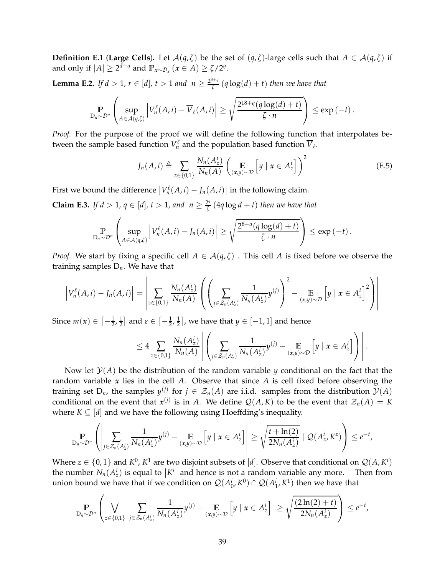**Definition E.1** (**Large Cells**). Let  $\mathcal{A}(q,\zeta)$  be the set of  $(q,\zeta)$ -large cells such that  $A \in \mathcal{A}(q,\zeta)$  if and only if  $|A| \geq 2^{d-q}$  and  $\mathbb{P}_{x \sim \mathcal{D}_x} (x \in A) \geq \zeta/2^q$ .

<span id="page-38-1"></span>**Lemma E.2.** *If d* > 1,  $r \in [d]$ ,  $t > 1$  *and*  $n \ge \frac{2^{3+q}}{\zeta}$ *ζ* (*q* log(*d*) + *t*) *then we have that*

$$
\Pr_{D_n \sim \mathcal{D}^n} \left( \sup_{A \in \mathcal{A}(q,\zeta)} \left| V_n^{\ell}(A,i) - \overline{V}_{\ell}(A,i) \right| \geq \sqrt{\frac{2^{18+q}(q \log(d) + t)}{\zeta \cdot n}} \right) \leq \exp(-t).
$$

*Proof.* For the purpose of the proof we will define the following function that interpolates between the sample based function  $V_n^{\ell}$  $V_t$ <sup> $\ell$ </sup> and the population based function  $V_{\ell}$ .

$$
J_n(A, i) \triangleq \sum_{z \in \{0,1\}} \frac{N_n(A_z^i)}{N_n(A)} \left( \underset{(x,y)\sim \mathcal{D}}{\mathbb{E}} \left[ y \mid x \in A_z^i \right] \right)^2 \tag{E.5}
$$

First we bound the difference  $\big| V_n^{\ell}$  $\left| \int_{n}^{\ell}(A, i) - J_n(A, i) \right|$  in the following claim.

<span id="page-38-0"></span>**Claim E.3.** *If*  $d > 1$ *,*  $q \in [d]$ *,*  $t > 1$ *, and*  $n \geq \frac{2^q}{\zeta}$ *ζ* (4*q* log *d* + *t*) *then we have that*

$$
\Pr_{D_n \sim \mathcal{D}^n} \left( \sup_{A \in \mathcal{A}(q,\zeta)} \left| V_n^{\ell}(A,i) - J_n(A,i) \right| \geq \sqrt{\frac{2^{8+q}(q \log(d) + t)}{\zeta \cdot n}} \right) \leq \exp(-t).
$$

*Proof.* We start by fixing a specific cell  $A \in \mathcal{A}(q,\zeta)$ . This cell A is fixed before we observe the training samples D*n*. We have that

$$
\left|V_n^{\ell}(A,i) - J_n(A,i)\right| = \left|\sum_{z \in \{0,1\}} \frac{N_n(A_z^i)}{N_n(A)} \left( \left(\sum_{j \in \mathcal{Z}_n(A_z^i)} \frac{1}{N_n(A_z^i)} y^{(j)}\right)^2 - \underset{(x,y) \sim \mathcal{D}}{\mathbb{E}} \left[ y \mid x \in A_z^i \right]^2 \right) \right|
$$

Since  $m(x) \in \left[ -\frac{1}{2}, \frac{1}{2} \right]$  $\frac{1}{2}$  and  $\varepsilon \in \left[-\frac{1}{2},\frac{1}{2}\right]$  $\left(\frac{1}{2}\right)$ , we have that  $y \in [-1,1]$  and hence

$$
\leq 4 \sum_{z \in \{0,1\}} \frac{N_n(A_z^i)}{N_n(A)} \left| \left( \sum_{j \in \mathcal{Z}_n(A_z^i)} \frac{1}{N_n(A_z^i)} y^{(j)} - \underset{(x,y) \sim \mathcal{D}}{\mathbb{E}} \left[ y \mid x \in A_z^i \right] \right) \right|.
$$

Now let  $\mathcal{Y}(A)$  be the distribution of the random variable *y* conditional on the fact that the random variable *x* lies in the cell *A*. Observe that since *A* is cell fixed before observing the training set  $D_n$ , the samples  $y^{(j)}$  for  $j \in \mathcal{Z}_n(A)$  are i.i.d. samples from the distribution  $\mathcal{Y}(A)$ conditional on the event that  $x^{(j)}$  is in *A*. We define  $Q(A,K)$  to be the event that  $\mathcal{Z}_n(A) = K$ where  $K \subseteq [d]$  and we have the following using Hoeffding's inequality.

$$
\Pr_{D_n \sim \mathcal{D}^n} \left( \left| \sum_{j \in \mathcal{Z}_n(A_z^i)} \frac{1}{N_n(A_z^i)} y^{(j)} - \underset{(x,y) \sim \mathcal{D}}{\mathbb{E}} \left[ y \mid x \in A_z^i \right] \right| \geq \sqrt{\frac{t + \ln(2)}{2N_n(A_z^i)}} \mid \mathcal{Q}(A_z^i, K^z) \right) \leq e^{-t},
$$

Where  $z \in \{0,1\}$  and  $K^0$ ,  $K^1$  are two disjoint subsets of [*d*]. Observe that conditional on  $\mathcal{Q}(A, K^i)$ the number  $N_n(A^i)$  is equal to  $|K^i|$  and hence is not a random variable any more. Then from union bound we have that if we condition on  $\mathcal{Q}(A_0^i, K^0) \cap \mathcal{Q}(A_1^i, K^1)$  then we have that

$$
\Pr_{D_n \sim \mathcal{D}^n} \left( \bigvee_{z \in \{0,1\}} \left| \sum_{j \in \mathcal{Z}_n(A_z^i)} \frac{1}{N_n(A_z^i)} y^{(j)} - \underset{(x,y) \sim \mathcal{D}}{\mathbb{E}} \left[ y \mid x \in A_z^i \right] \right| \ge \sqrt{\frac{(2\ln(2)+t)}{2N_n(A_z^i)}} \right) \le e^{-t},
$$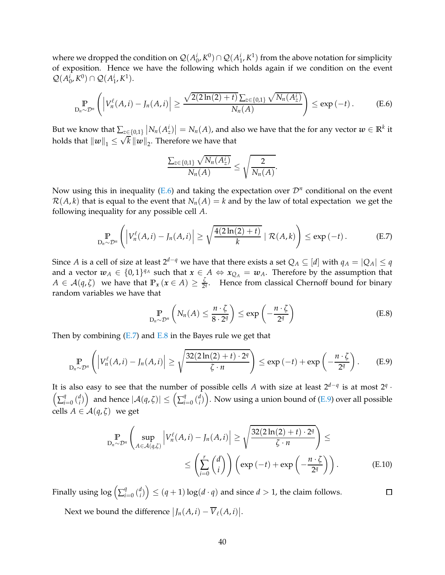where we dropped the condition on  $\mathcal{Q}(A_0^i, K^0) \cap \mathcal{Q}(A_1^i, K^1)$  from the above notation for simplicity of exposition. Hence we have the following which holds again if we condition on the event  $Q(A_0^i, K^0) \cap Q(A_1^i, K^1).$ 

$$
\mathbb{P}_{D_n \sim \mathcal{D}^n}\left(\left|V_n^{\ell}(A,i) - J_n(A,i)\right| \geq \frac{\sqrt{2(2\ln(2) + t)}\sum_{z \in \{0,1\}}\sqrt{N_n(A_z^i)}}{N_n(A)}\right) \leq \exp\left(-t\right). \tag{E.6}
$$

But we know that  $\sum_{z\in\{0,1\}}\left|N_n(A_z^i)\right|=N_n(A)$ , and also we have that the for any vector  $w\in\mathbb{R}^k$  it holds that  $||w||_1 \le \sqrt{k} ||w||_2$ . Therefore we have that

<span id="page-39-1"></span><span id="page-39-0"></span>
$$
\frac{\sum_{z\in\{0,1\}}\sqrt{N_n(A_z')}}{N_n(A)}\leq \sqrt{\frac{2}{N_n(A)}}.
$$

Now using this in inequality [\(E.6\)](#page-39-0) and taking the expectation over  $\mathcal{D}^n$  conditional on the event  $\mathcal{R}(A, k)$  that is equal to the event that  $N_n(A) = k$  and by the law of total expectation we get the following inequality for any possible cell *A*.

$$
\Pr_{D_n \sim \mathcal{D}^n} \left( \left| V_n^{\ell}(A,i) - J_n(A,i) \right| \geq \sqrt{\frac{4(2\ln(2)+t)}{k}} \mid \mathcal{R}(A,k) \right) \leq \exp\left(-t\right). \tag{E.7}
$$

Since *A* is a cell of size at least  $2^{d-q}$  we have that there exists a set  $Q_A \subseteq [d]$  with  $q_A = |Q_A| \leq q$ and a vector  $w_A \in \{0,1\}^{q_A}$  such that  $x \in A \Leftrightarrow x_{Q_A} = w_A$ . Therefore by the assumption that  $A \in \mathcal{A}(q,\zeta)$  we have that  $\mathbb{P}_x(x \in A) \geq \frac{\zeta}{2^d}$  $\frac{6}{24}$ . Hence from classical Chernoff bound for binary random variables we have that

$$
\mathbb{P}_{D_n \sim \mathcal{D}^n} \left( N_n(A) \leq \frac{n \cdot \zeta}{8 \cdot 2^q} \right) \leq \exp \left( -\frac{n \cdot \zeta}{2^q} \right) \tag{E.8}
$$

Then by combining  $(E.7)$  and  $E.8$  in the Bayes rule we get that

$$
\mathbb{P}_{D_n \sim \mathcal{D}^n} \left( \left| V_n^{\ell}(A, i) - J_n(A, i) \right| \geq \sqrt{\frac{32(2\ln(2) + t) \cdot 2^q}{\zeta \cdot n}} \right) \leq \exp\left( -t \right) + \exp\left( -\frac{n \cdot \zeta}{2^q} \right). \tag{E.9}
$$

It is also easy to see that the number of possible cells *A* with size at least 2*d*−*<sup>q</sup>* is at most 2*<sup>q</sup>* It is also easy to see that the number of possible cells A with size at least  $2^{n}$  is at most  $2^{n}$ .<br> $\left(\sum_{i=0}^{q} {d \choose i}\right)$  and hence  $|\mathcal{A}(q,\zeta)| \leq \left(\sum_{i=0}^{q} {d \choose i}\right)$ . Now using a union bound of (E.9) over all poss *i*=0 ( *d*  $\left\{ \begin{array}{l} d \ d \end{array} \right\}$  and hence  $|\mathcal{A}(q,\zeta)| \leq \left( \sum_{i=1}^q \zeta_i \right)$  $\binom{q}{i=0}$   $\binom{d}{i}$  $\binom{d}{i}$ ). Now using a union bound of [\(E.9\)](#page-39-3) over all possible cells  $A \in \mathcal{A}(q,\zeta)$  we get

$$
\Pr_{D_n \sim \mathcal{D}^n} \left( \sup_{A \in \mathcal{A}(q,\zeta)} \left| V_n^{\ell}(A,i) - J_n(A,i) \right| \ge \sqrt{\frac{32(2\ln(2) + t) \cdot 2^q}{\zeta \cdot n}} \right) \le
$$
\n
$$
\le \left( \sum_{i=0}^r \binom{d}{i} \right) \left( \exp\left(-t\right) + \exp\left(-\frac{n \cdot \zeta}{2^q}\right) \right). \tag{E.10}
$$

<span id="page-39-3"></span><span id="page-39-2"></span> $\Box$ 

Finally using  $\log\left(\sum_i^q$ *i*=0 ( *d*  $\binom{d}{i}$   $\leq (q+1)\log(d\cdot q)$  and since  $d>1$ , the claim follows.

Next we bound the difference  $\big| J_n(A,i) - \overline{V}_{\ell}(A,i) \big|$ .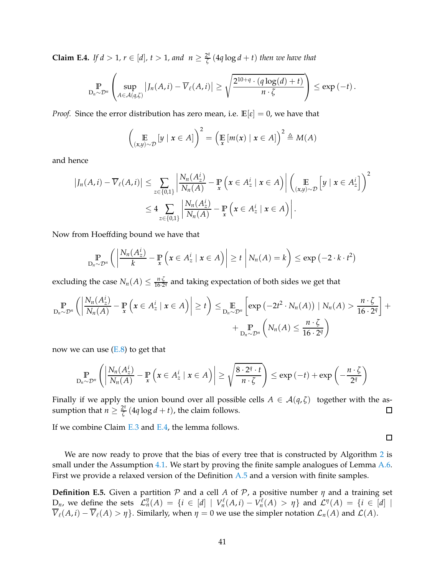<span id="page-40-0"></span>**Claim E.4.** *If*  $d > 1$ *,*  $r \in [d]$ *,*  $t > 1$ *, and*  $n \geq \frac{2^q}{\zeta}$ *ζ* (4*q* log *d* + *t*) *then we have that*

$$
\Pr_{D_n \sim \mathcal{D}^n} \left( \sup_{A \in \mathcal{A}(q,\zeta)} |J_n(A,i) - \overline{V}_{\ell}(A,i)| \ge \sqrt{\frac{2^{10+q} \cdot (q \log(d) + t)}{n \cdot \zeta}} \right) \le \exp(-t).
$$

*Proof.* Since the error distribution has zero mean, i.e.  $\mathbb{E}[\varepsilon] = 0$ , we have that

$$
\left(\mathop{\mathbb{E}}_{(x,y)\sim\mathcal{D}}[y \mid x \in A]\right)^2 = \left(\mathop{\mathbb{E}}_{x}[m(x) \mid x \in A]\right)^2 \triangleq M(A)
$$

and hence

$$
\left|J_n(A,i) - \overline{V}_{\ell}(A,i)\right| \leq \sum_{z \in \{0,1\}} \left|\frac{N_n(A_z^i)}{N_n(A)} - \mathbb{P}\left(x \in A_z^i \mid x \in A\right)\right| \left(\mathbb{E}_{(x,y) \sim \mathcal{D}}\left[y \mid x \in A_z^i\right]\right)^2
$$
  

$$
\leq 4 \sum_{z \in \{0,1\}} \left|\frac{N_n(A_z^i)}{N_n(A)} - \mathbb{P}\left(x \in A_z^i \mid x \in A\right)\right|.
$$

Now from Hoeffding bound we have that

$$
\Pr_{D_n \sim \mathcal{D}^n} \left( \left| \frac{N_n(A_z^i)}{k} - \Pr_{\mathbf{x}} \left( \mathbf{x} \in A_z^i \mid \mathbf{x} \in A \right) \right| \geq t \mid N_n(A) = k \right) \leq \exp(-2 \cdot k \cdot t^2)
$$

excluding the case  $N_n(A) \leq \frac{n \cdot \zeta}{16 \cdot 2}$  $\frac{n \cdot \zeta}{16 \cdot 2^q}$  and taking expectation of both sides we get that

$$
\mathbb{P}_{D_n \sim \mathcal{D}^n} \left( \left| \frac{N_n(A_2^i)}{N_n(A)} - \mathbb{P}_{x} \left( x \in A_2^i \mid x \in A \right) \right| \geq t \right) \leq \mathbb{E}_{D_n \sim \mathcal{D}^n} \left[ \exp \left( -2t^2 \cdot N_n(A) \right) \mid N_n(A) > \frac{n \cdot \zeta}{16 \cdot 2^q} \right] + \\ + \mathbb{P}_{D_n \sim \mathcal{D}^n} \left( N_n(A) \leq \frac{n \cdot \zeta}{16 \cdot 2^q} \right)
$$

now we can use  $(E.8)$  to get that

$$
\mathop{\mathbb{P}}_{D_n \sim \mathcal{D}^n} \left( \left| \frac{N_n(A_z^i)}{N_n(A)} - \mathop{\mathbb{P}}_{x} \left( x \in A_z^i \mid x \in A \right) \right| \geq \sqrt{\frac{8 \cdot 2^q \cdot t}{n \cdot \zeta}} \right) \leq \exp(-t) + \exp\left(-\frac{n \cdot \zeta}{2^q}\right)
$$

Finally if we apply the union bound over all possible cells *A* ∈ *A*(*q*, *ζ*) together with the as-<br>sumption that *n* >  $\frac{2^q}{7}$  (*Aq* log *d* + *t*), the claim follows. sumption that  $n \geq \frac{2^q}{\zeta}$  $\frac{Z_1}{\zeta}$  (4*q* log *d* + *t*), the claim follows.

If we combine Claim [E.3](#page-38-0) and [E.4,](#page-40-0) the lemma follows.

We are now ready to prove that the bias of every tree that is constructed by Algorithm [2](#page-9-0) is small under the Assumption [4.1.](#page-8-0) We start by proving the finite sample analogues of Lemma  $A.6$ . First we provide a relaxed version of the Definition [A.5](#page-18-1) and a version with finite samples.

 $\Box$ 

<span id="page-40-1"></span>**Definition E.5.** Given a partition  $P$  and a cell  $A$  of  $P$ , a positive number  $\eta$  and a training set  $D_n$ , we define the sets  $\mathcal{L}_n^{\eta}(A) = \{i \in [d] \mid V_n^{\ell}\}$  $V_n^{\ell}(A,i) - V_n^{\ell}$ *n*<sup> $\ell$ </sup><sub>*n*</sub>(*A*)  $>$  *η*} and *L<sup><i>n*</sup></sup>(*A*) = {*i* ∈ [*d*] |  $\overline{V}_{\ell}(A, i) - \overline{V}_{\ell}(A) > \eta$ . Similarly, when  $\eta = 0$  we use the simpler notation  $\mathcal{L}_n(A)$  and  $\mathcal{L}(A)$ .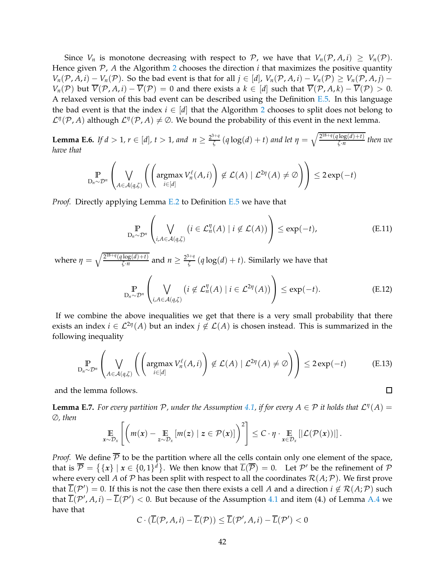Since  $V_n$  is monotone decreasing with respect to P, we have that  $V_n(\mathcal{P}, A, i) \geq V_n(\mathcal{P})$ . Hence given  $P$ ,  $A$  the Algorithm [2](#page-9-0) chooses the direction  $i$  that maximizes the positive quantity *V*<sup>n</sup>(P, *A*, *i*) − *V*<sub>n</sub>(P). So the bad event is that for all  $j \in [d]$ ,  $V_n(P, A, i) - V_n(P) \geq V_n(P, A, i) - V_n(P)$ *V<sub>n</sub>*( $\mathcal{P}$ ) but  $\overline{V}(\mathcal{P}, A, i) - \overline{V}(\mathcal{P}) = 0$  and there exists a  $k \in [d]$  such that  $\overline{V}(\mathcal{P}, A, k) - \overline{V}(\mathcal{P}) > 0$ . A relaxed version of this bad event can be described using the Definition  $E.5$ . In this language the bad event is that the index  $i \in [d]$  that the Algorithm [2](#page-9-0) chooses to split does not belong to  $\mathcal{L}^{\eta}(\mathcal{P}, A)$  although  $\mathcal{L}^{\eta}(\mathcal{P}, A) \neq \emptyset$ . We bound the probability of this event in the next lemma.

<span id="page-41-0"></span>**Lemma E.6.** *If d* > 1,  $r \in [d]$ ,  $t > 1$ , and  $n \ge \frac{2^{3+q}}{\zeta}$ *ξ* (*q* log(*d*) + *t*) *and let*  $η = \sqrt{\frac{2^{18+q}(q\log(d)+t)}{\zeta \cdot n}}$  $\frac{\log(u)+i}{\zeta \cdot n}$  then we *have that*

$$
\mathop{\mathbb{P}}_{D_n \sim \mathcal{D}^n} \left( \bigvee_{A \in \mathcal{A}(q,\zeta)} \left( \left( \operatorname{argmax}_{i \in [d]} V_n^{\ell}(A,i) \right) \notin \mathcal{L}(A) \mid \mathcal{L}^{2\eta}(A) \neq \emptyset \right) \right) \leq 2 \exp(-t)
$$

*Proof.* Directly applying Lemma [E.2](#page-38-1) to Definition [E.5](#page-40-1) we have that

$$
\mathbb{P}_{D_n \sim \mathcal{D}^n} \left( \bigvee_{i, A \in \mathcal{A}(q, \zeta)} \left( i \in \mathcal{L}_n^{\eta}(A) \mid i \notin \mathcal{L}(A) \right) \right) \le \exp(-t), \tag{E.11}
$$

where  $\eta = \sqrt{\frac{2^{18+q}(q \log(d)+t)}{\zeta \cdot n}}$  $\frac{\log(d) + t}{\zeta \cdot n}$  and  $n \geq \frac{2^{3+q}}{\zeta}$  $\frac{f_{\overline{f}}(f)}{\zeta}(q \log(d) + t)$ . Similarly we have that

$$
\Pr_{D_n \sim \mathcal{D}^n} \left( \bigvee_{i, A \in \mathcal{A}(q, \zeta)} \left( i \notin \mathcal{L}_n^{\eta}(A) \mid i \in \mathcal{L}^{2\eta}(A) \right) \right) \le \exp(-t). \tag{E.12}
$$

If we combine the above inequalities we get that there is a very small probability that there exists an index  $i \in \mathcal{L}^{2\eta}(A)$  but an index  $j \notin \mathcal{L}(A)$  is chosen instead. This is summarized in the following inequality

$$
\mathbb{P}_{D_n \sim \mathcal{D}^n} \left( \bigvee_{A \in \mathcal{A}(q,\zeta)} \left( \left( \operatorname{argmax}_{i \in [d]} V_n^{\ell}(A,i) \right) \notin \mathcal{L}(A) \mid \mathcal{L}^{2\eta}(A) \neq \emptyset \right) \right) \leq 2 \exp(-t) \tag{E.13}
$$

and the lemma follows.

<span id="page-41-1"></span>**Lemma E.7.** For every partition  $P$ , under the Assumption [4.1,](#page-8-0) if for every  $A \in P$  it holds that  $\mathcal{L}^{\eta}(A) =$ ∅*, then*

$$
\mathop{\mathbb{E}}_{x \sim \mathcal{D}_x} \left[ \left( m(x) - \mathop{\mathbb{E}}_{z \sim \mathcal{D}_x} [m(z) \mid z \in \mathcal{P}(x)] \right)^2 \right] \leq C \cdot \eta \cdot \mathop{\mathbb{E}}_{x \in \mathcal{D}_x} [|\mathcal{L}(\mathcal{P}(x))|].
$$

*Proof.* We define  $\overline{P}$  to be the partition where all the cells contain only one element of the space, that is  $\overline{\mathcal{P}} = \{ \{x\} \mid x \in \{0,1\}^d \}$ . We then know that  $\overline{L}(\overline{\mathcal{P}}) = 0$ . Let  $\mathcal{P}'$  be the refinement of  $\mathcal{P}$ where every cell *A* of *P* has been split with respect to all the coordinates  $\mathcal{R}(A;P)$ . We first prove that  $L(\mathcal{P}') = 0$ . If this is not the case then there exists a cell *A* and a direction  $i \notin \mathcal{R}(A; \mathcal{P})$  such that  $\overline{L}(\mathcal{P}', A, i) - \overline{L}(\mathcal{P}') < 0$ . But because of the Assumption [4.1](#page-8-0) and item (4.) of Lemma [A.4](#page-17-2) we have that

$$
C \cdot (\overline{L}(\mathcal{P}, A, i) - \overline{L}(\mathcal{P})) \leq \overline{L}(\mathcal{P}', A, i) - \overline{L}(\mathcal{P}') < 0
$$

 $\Box$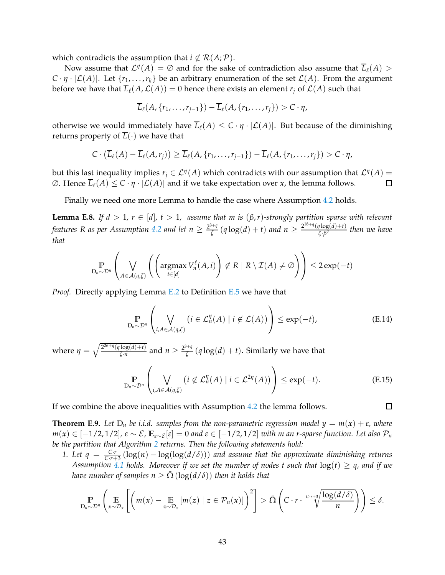which contradicts the assumption that  $i \notin \mathcal{R}(A; \mathcal{P})$ .

Now assume that  $\mathcal{L}^{\eta}(A) = \emptyset$  and for the sake of contradiction also assume that  $\overline{L}_{\ell}(A) >$  $C \cdot \eta \cdot |\mathcal{L}(A)|$ . Let  $\{r_1, \ldots, r_k\}$  be an arbitrary enumeration of the set  $\mathcal{L}(A)$ . From the argument before we have that  $\overline{L}_{\ell}(A,\mathcal{L}(A)) = 0$  hence there exists an element  $r_i$  of  $\mathcal{L}(A)$  such that

$$
\overline{L}_{\ell}(A, \{r_1, \ldots, r_{j-1}\}) - \overline{L}_{\ell}(A, \{r_1, \ldots, r_j\}) > C \cdot \eta,
$$

otherwise we would immediately have  $\overline{L}_{\ell}(A) \leq C \cdot \eta \cdot |\mathcal{L}(A)|$ . But because of the diminishing returns property of  $\overline{L}(\cdot)$  we have that

$$
C\cdot (\overline{L}_{\ell}(A)-\overline{L}_{\ell}(A,r_j))\geq \overline{L}_{\ell}(A,\{r_1,\ldots,r_{j-1}\})-\overline{L}_{\ell}(A,\{r_1,\ldots,r_j\})>C\cdot \eta,
$$

but this last inequality implies  $r_j \in \mathcal{L}^{\eta}(A)$  which contradicts with our assumption that  $\mathcal{L}^{\eta}(A)$  =  $\emptyset$ . Hence  $\overline{L}_{\ell}(A)$  ≤ *C* ⋅ *η* ⋅ |  $\mathcal{L}(A)$ | and if we take expectation over *x*, the lemma follows.  $\Box$ 

Finally we need one more Lemma to handle the case where Assumption [4.2](#page-8-2) holds.

<span id="page-42-0"></span>**Lemma E.8.** *If d* > 1,  $r \in [d], t > 1$ , assume that m is  $(\beta, r)$ -strongly partition sparse with relevant features R as per Assumption [4.2](#page-8-2) and let  $n \geq \frac{2^{3+q}}{\zeta}$  $\frac{d^{n+q}}{\zeta}(q \log(d) + t)$  *and*  $n \geq \frac{2^{18+q}(q \log(d)+t)}{\zeta \cdot \beta^2}$ *ζ*·*β* 2 *then we have that*

$$
\mathop{\mathbb{P}}_{D_n \sim \mathcal{D}^n} \left( \bigvee_{A \in \mathcal{A}(q,\zeta)} \left( \left( \operatorname{argmax}_{i \in [d]} V_n^{\ell}(A,i) \right) \notin R \mid R \setminus \mathcal{I}(A) \neq \emptyset \right) \right) \leq 2 \exp(-t)
$$

*Proof.* Directly applying Lemma [E.2](#page-38-1) to Definition [E.5](#page-40-1) we have that

$$
\mathbb{P}_{D_n \sim \mathcal{D}^n} \left( \bigvee_{i, A \in \mathcal{A}(q, \zeta)} \left( i \in \mathcal{L}_n^{\eta}(A) \mid i \notin \mathcal{L}(A) \right) \right) \le \exp(-t), \tag{E.14}
$$

where  $\eta = \sqrt{\frac{2^{26+q}(q \log(d)+t)}{\zeta \cdot n}}$  $\frac{\log(d) + t}{\zeta \cdot n}$  and  $n \geq \frac{2^{3+q}}{\zeta}$  $\frac{f_{\tau,\eta}}{\zeta}(q \log(d) + t)$ . Similarly we have that

$$
\mathbb{P}_{D_n \sim \mathcal{D}^n} \left( \bigvee_{i, A \in \mathcal{A}(q, \zeta)} \left( i \notin \mathcal{L}_n^{\eta}(A) \mid i \in \mathcal{L}^{2\eta}(A) \right) \right) \le \exp(-t). \tag{E.15}
$$

 $\Box$ 

If we combine the above inequalities with Assumption [4.2](#page-8-2) the lemma follows.

<span id="page-42-1"></span>**Theorem E.9.** Let  $D_n$  be i.i.d. samples from the non-parametric regression model  $y = m(x) + \varepsilon$ , where  $m(x)$  ∈ [−1/2, 1/2],  $\varepsilon \sim \mathcal{E}$ ,  $\mathbb{E}_{\varepsilon \sim \mathcal{E}}[\varepsilon] = 0$  and  $\varepsilon \in [-1/2, 1/2]$  *with m an r-sparse function. Let also*  $\mathcal{P}_n$ *be the partition that Algorithm [2](#page-9-0) returns. Then the following statements hold:*

*1. Let q* =  $\frac{Cr}{Cr+3}(\log(n) - \log(\log(d/\delta)))$  *and assume that the approximate diminishing returns Assumption* [4.1](#page-8-0) *holds.* Moreover if we set the number of nodes t such that  $log(t) \geq q$ , and if we *have number of samples n*  $\geq \Omega(\log(d/\delta))$  *then it holds that* 

$$
\mathbb{P}_{D_n \sim \mathcal{D}^n} \left( \mathop{\mathbb{E}}_{x \sim \mathcal{D}_x} \left[ \left( m(x) - \mathop{\mathbb{E}}_{z \sim \mathcal{D}_x} \left[ m(z) \mid z \in \mathcal{P}_n(x) \right] \right)^2 \right] > \tilde{\Omega} \left( C \cdot r \cdot \frac{C \cdot r + 3}{\sqrt{\frac{\log(d/\delta)}{n}}} \right) \right) \leq \delta.
$$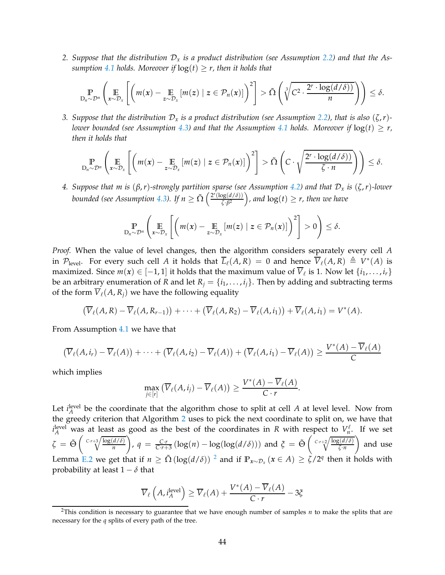*2. Suppose that the distribution* D*<sup>x</sup> is a product distribution (see Assumption [2.2\)](#page-3-0) and that the Assumption* [4.1](#page-8-0) *holds. Moreover if*  $log(t) \geq r$ *, then it holds that* 

$$
\mathbb{P}_{D_n \sim \mathcal{D}^n} \left( \mathop{\mathbb{E}}_{x \sim \mathcal{D}_x} \left[ \left( m(x) - \mathop{\mathbb{E}}_{z \sim \mathcal{D}_x} \left[ m(z) \mid z \in \mathcal{P}_n(x) \right] \right)^2 \right] > \tilde{\Omega} \left( \sqrt[3]{C^2 \cdot \frac{2^r \cdot \log(d/\delta)}{n}} \right) \right) \leq \delta.
$$

*3. Suppose that the distribution*  $D_x$  *is a product distribution (see Assumption [2.2\)](#page-3-0), that is also*  $(\zeta, r)$ -*lower bounded (see Assumption [4.3\)](#page-8-1)* and that the Assumption [4.1](#page-8-0) holds. Moreover if  $log(t) \geq r$ , *then it holds that*

$$
\mathop{\mathbb{P}}_{D_n \sim \mathcal{D}^n} \left( \mathop{\mathbb{E}}_{x \sim \mathcal{D}_x} \left[ \left( m(x) - \mathop{\mathbb{E}}_{z \sim \mathcal{D}_x} \left[ m(z) \mid z \in \mathcal{P}_n(x) \right] \right)^2 \right] > \tilde{\Omega} \left( C \cdot \sqrt{\frac{2^r \cdot \log(d/\delta)}{\zeta \cdot n}} \right) \right) \leq \delta.
$$

*4. Suppose that m is* (*β*,*r*)*-strongly partition sparse (see Assumption [4.2\)](#page-8-2) and that* D*<sup>x</sup> is* (*ζ*,*r*)*-lower bounded (see Assumption [4.3\)](#page-8-1). If*  $n \ge \tilde{\Omega} \left( \frac{2^r (\log(d/\delta))}{\zeta \cdot \beta^2} \right)$  $\frac{\log(d/\delta)}{\zeta \cdot \beta^2}$ ), and  $\log(t) \geq r$ , then we have

$$
\mathop{\mathbb{P}}_{D_n \sim \mathcal{D}^n} \left( \mathop{\mathbb{E}}_{x \sim \mathcal{D}_x} \left[ \left( m(x) - \mathop{\mathbb{E}}_{z \sim \mathcal{D}_x} \left[ m(z) \mid z \in \mathcal{P}_n(x) \right] \right)^2 \right] > 0 \right) \le \delta.
$$

*Proof.* When the value of level changes, then the algorithm considers separately every cell *A* in  $\mathcal{P}_{\text{level}}$ . For every such cell *A* it holds that  $\overline{L}_{\ell}(A,R) = 0$  and hence  $\overline{V}_{\ell}(A,R) \triangleq V^*(A)$  is maximized. Since  $m(x) \in [-1, 1]$  it holds that the maximum value of  $V_{\ell}$  is 1. Now let  $\{i_1, \ldots, i_r\}$ be an arbitrary enumeration of *R* and let  $R_j = \{i_1, \ldots, i_j\}$ . Then by adding and subtracting terms of the form  $\overline{V}_\ell(A, R_i)$  we have the following equality

$$
(\overline{V}_{\ell}(A,R)-\overline{V}_{\ell}(A,R_{r-1}))+\cdots+(\overline{V}_{\ell}(A,R_2)-\overline{V}_{\ell}(A,i_1))+\overline{V}_{\ell}(A,i_1)=V^*(A).
$$

From Assumption [4.1](#page-8-0) we have that

$$
(\overline{V}_{\ell}(A,i_r)-\overline{V}_{\ell}(A))+\cdots+(\overline{V}_{\ell}(A,i_2)-\overline{V}_{\ell}(A))+(\overline{V}_{\ell}(A,i_1)-\overline{V}_{\ell}(A))\geq \frac{V^*(A)-\overline{V}_{\ell}(A)}{C}
$$

which implies

$$
\max_{j\in[r]} \left( \overline{V}_{\ell}(A,i_j) - \overline{V}_{\ell}(A) \right) \geq \frac{V^*(A) - \overline{V}_{\ell}(A)}{C \cdot r}.
$$

Let  $i_A^{\text{level}}$  be the coordinate that the algorithm chose to split at cell *A* at level level. Now from the greedy criterion that Algorithm [2](#page-9-0) uses to pick the next coordinate to split on, we have that  $i_A^{\text{level}}$  was at least as good as the best of the coordinates in *R* with respect to  $V_n^{\ell}$  $\int_{n}^{\ell}$ . If we set  $\zeta = \tilde{\Theta} \left( \sqrt{\frac{C \cdot r + 3}{n}} \frac{\log(d/\delta)}{n} \right)$ *n*  $\int$ ,  $q = \frac{C \cdot r}{C \cdot r + 3} \left( \log(n) - \log(\log(d/\delta)) \right)$  and  $\zeta = \tilde{\Theta} \left( \sqrt{\frac{C \cdot r + 2}{\zeta \cdot n}} \right)$ *ζ*·*n* and use Lemma [E.2](#page-38-1) we get that if  $n \ge \tilde{\Omega}(\log(d/\delta))^2$  $n \ge \tilde{\Omega}(\log(d/\delta))^2$  and if  $\mathbb{P}_{x \sim \mathcal{D}_x}(x \in A) \ge \zeta/2^q$  then it holds with probability at least  $1 - \delta$  that

$$
\overline{V}_{\ell}\left(A, i_A^{\text{level}}\right) \ge \overline{V}_{\ell}(A) + \frac{V^*(A) - \overline{V}_{\ell}(A)}{C \cdot r} - 3\xi
$$

<span id="page-43-0"></span><sup>2</sup>This condition is necessary to guarantee that we have enough number of samples *n* to make the splits that are necessary for the *q* splits of every path of the tree.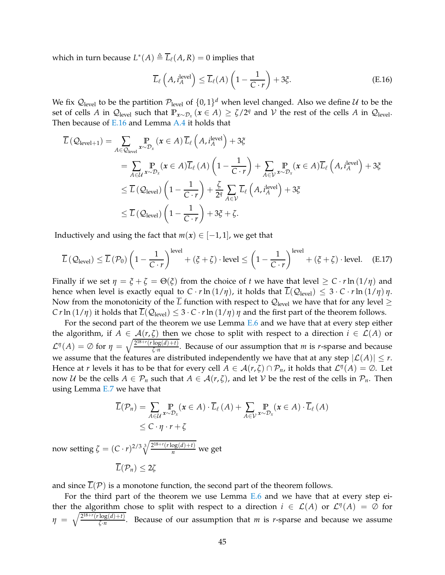which in turn because  $L^*(A) \triangleq \overline{L}_{\ell}(A,R) = 0$  implies that

<span id="page-44-0"></span>
$$
\overline{L}_{\ell}\left(A, i_A^{\text{level}}\right) \le \overline{L}_{\ell}(A)\left(1 - \frac{1}{C \cdot r}\right) + 3\xi. \tag{E.16}
$$

We fix  $\mathcal{Q}_{\text{level}}$  to be the partition  $\mathcal{P}_{\text{level}}$  of  $\{0,1\}^d$  when level changed. Also we define  $\mathcal U$  to be the set of cells *A* in  $Q_{\text{level}}$  such that  $\mathbb{P}_{x \sim \mathcal{D}_x}(x \in A) \ge \zeta/2^q$  and  $\mathcal V$  the rest of the cells *A* in  $Q_{\text{level}}$ . Then because of  $E.16$  and Lemma [A.4](#page-17-2) it holds that

$$
\overline{L}(\mathcal{Q}_{\text{level}+1}) = \sum_{A \in \mathcal{Q}_{\text{level}}} \mathbb{P}_{x \sim \mathcal{D}_x}(\mathbf{x} \in A) \overline{L}_{\ell} (A, i_A^{\text{level}}) + 3\xi
$$
\n
$$
= \sum_{A \in \mathcal{U}} \mathbb{P}_{x \sim \mathcal{D}_x}(\mathbf{x} \in A) \overline{L}_{\ell} (A) \left(1 - \frac{1}{C \cdot r}\right) + \sum_{A \in \mathcal{V}} \mathbb{P}_{x \sim \mathcal{D}_x}(\mathbf{x} \in A) \overline{L}_{\ell} (A, i_A^{\text{level}}) + 3\xi
$$
\n
$$
\leq \overline{L}(\mathcal{Q}_{\text{level}}) \left(1 - \frac{1}{C \cdot r}\right) + \frac{\zeta}{2^q} \sum_{A \in \mathcal{V}} \overline{L}_{\ell} (A, i_A^{\text{level}}) + 3\xi
$$
\n
$$
\leq \overline{L}(\mathcal{Q}_{\text{level}}) \left(1 - \frac{1}{C \cdot r}\right) + 3\xi + \zeta.
$$

Inductively and using the fact that  $m(x) \in [-1,1]$ , we get that

$$
\overline{L}\left(\mathcal{Q}_{\text{level}}\right) \leq \overline{L}\left(\mathcal{P}_0\right) \left(1 - \frac{1}{C \cdot r}\right)^{\text{level}} + \left(\xi + \zeta\right) \cdot \text{level} \leq \left(1 - \frac{1}{C \cdot r}\right)^{\text{level}} + \left(\xi + \zeta\right) \cdot \text{level.} \tag{E.17}
$$

Finally if we set  $\eta = \xi + \zeta = \Theta(\xi)$  from the choice of *t* we have that level  $\geq C \cdot r \ln(1/\eta)$  and hence when level is exactly equal to  $C \cdot r \ln(1/\eta)$ , it holds that  $\overline{L}(\mathcal{Q}_{\text{level}}) \leq 3 \cdot C \cdot r \ln(1/\eta) \eta$ . Now from the monotonicity of the  $\overline{L}$  function with respect to  $\mathcal{Q}_{level}$  we have that for any level  $\geq$ *C r* ln  $(1/\eta)$  it holds that  $L(Q_{level}) \leq 3 \cdot C \cdot r \ln(1/\eta) \eta$  and the first part of the theorem follows.

For the second part of the theorem we use Lemma [E.6](#page-41-0) and we have that at every step either the algorithm, if  $A \in \mathcal{A}(r,\zeta)$  then we chose to split with respect to a direction  $i \in \mathcal{L}(A)$  or  $\mathcal{L}^{\eta}(A) = \emptyset$  for  $\eta = \sqrt{\frac{2^{18+r}(r\log(d)+t)}{\zeta \cdot n}}$  $\frac{\log(u)+i}{\zeta \cdot n}$ . Because of our assumption that *m* is *r*-sparse and because we assume that the features are distributed independently we have that at any step  $|\mathcal{L}(A)| \leq r$ . Hence at *r* levels it has to be that for every cell  $A \in \mathcal{A}(r,\zeta) \cap \mathcal{P}_n$ , it holds that  $\mathcal{L}^{\eta}(A) = \emptyset$ . Let now *U* be the cells  $A \in \mathcal{P}_n$  such that  $A \in \mathcal{A}(r,\zeta)$ , and let *V* be the rest of the cells in  $\mathcal{P}_n$ . Then using Lemma [E.7](#page-41-1) we have that

$$
\overline{L}(\mathcal{P}_n) = \sum_{A \in \mathcal{U}} \Pr_{x \sim \mathcal{D}_x} (\mathbf{x} \in A) \cdot \overline{L}_{\ell}(A) + \sum_{A \in \mathcal{V}} \Pr_{x \sim \mathcal{D}_x} (\mathbf{x} \in A) \cdot \overline{L}_{\ell}(A)
$$
\n
$$
\leq C \cdot \eta \cdot r + \zeta
$$

now setting  $\zeta = (C \cdot r)^{2/3} \sqrt[3]{\frac{2^{18+r}(r \log(d) + t)}{n}}$  we get

$$
\overline{L}(\mathcal{P}_n)\leq 2\zeta
$$

and since  $\overline{L}(\mathcal{P})$  is a monotone function, the second part of the theorem follows.

For the third part of the theorem we use Lemma [E.6](#page-41-0) and we have that at every step either the algorithm chose to split with respect to a direction  $i \in \mathcal{L}(A)$  or  $\mathcal{L}^{\eta}(A) = \emptyset$  for  $\eta = \sqrt{\frac{2^{18+r}(r \log(d)+t)}{\zeta \cdot n}}$ *ζ*·*n* . Because of our assumption that *m* is *r*-sparse and because we assume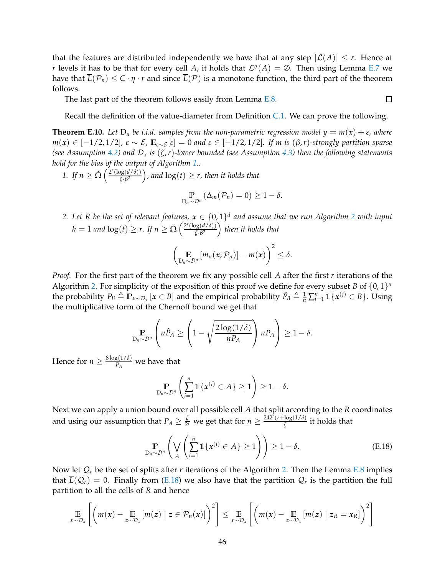that the features are distributed independently we have that at any step  $|\mathcal{L}(A)| \leq r$ . Hence at *r* levels it has to be that for every cell *A*, it holds that  $\mathcal{L}^{\eta}(A) = \emptyset$ . Then using Lemma [E.7](#page-41-1) we have that  $\overline{L}(\mathcal{P}_n) \leq C \cdot \eta \cdot r$  and since  $\overline{L}(\mathcal{P})$  is a monotone function, the third part of the theorem follows.

The last part of the theorem follows easily from Lemma [E.8.](#page-42-0)

Recall the definition of the value-diameter from Definition [C.1.](#page-25-1) We can prove the following.

 $\Box$ 

<span id="page-45-1"></span>**Theorem E.10.** Let  $D_n$  be i.i.d. samples from the non-parametric regression model  $y = m(x) + \varepsilon$ , where *<sup>m</sup>*(*x*) <sup>∈</sup> [−1/2, 1/2]*, <sup>ε</sup>* ∼ E*,* **<sup>E</sup>***ε*∼E [*ε*] = <sup>0</sup> *and <sup>ε</sup>* <sup>∈</sup> [−1/2, 1/2]*. If m is* (*β*,*r*)*-strongly partition sparse (see Assumption [4.2\)](#page-8-2) and* D*<sup>x</sup> is* (*ζ*,*r*)*-lower bounded (see Assumption [4.3\)](#page-8-1) then the following statements hold for the bias of the output of Algorithm [1.](#page-5-0).*

*1. If*  $n \ge \tilde{\Omega} \left( \frac{2^r (\log(d/\delta))}{\zeta \cdot \beta^2} \right)$  $\frac{\log(d/\delta)}{\delta \sqrt{\beta^2}}$ , and  $\log(t) \geq r$ , then it holds that

$$
\Pr_{D_n \sim \mathcal{D}^n} (\Delta_m(\mathcal{P}_n) = 0) \geq 1 - \delta.
$$

[2](#page-9-0). Let R be the set of relevant features,  $x \in \{0,1\}^d$  and assume that we run Algorithm 2 with input  $h = 1$  *and*  $\log(t) \ge r$ . If  $n \ge \tilde{\Omega} \left( \frac{2^r (\log(d/\delta))}{\zeta \cdot \beta^2} \right)$  $\left(\frac{dg(d/\delta)}{\zeta \cdot \beta^2}\right)$  then it holds that

$$
\left(\mathop{\mathbb{E}}_{D_n\sim\mathcal{D}^n}\left[m_n(x;\mathcal{P}_n)\right]-m(x)\right)^2\leq\delta.
$$

*Proof.* For the first part of the theorem we fix any possible cell *A* after the first *r* iterations of the Algorithm [2.](#page-9-0) For simplicity of the exposition of this proof we define for every subset *B* of  $\{0,1\}^n$ the probability  $P_B \triangleq \mathbb{P}_{x \sim \mathcal{D}_x} [x \in B]$  and the empirical probability  $\hat{P}_B \triangleq \frac{1}{n} \sum_{i=1}^n \mathbb{1} \{x^{(j)} \in B\}$ . Using the multiplicative form of the Chernoff bound we get that

$$
\mathbb{P}_{D_n \sim \mathcal{D}^n} \left( n \hat{P}_A \ge \left( 1 - \sqrt{\frac{2 \log(1/\delta)}{n P_A}} \right) n P_A \right) \ge 1 - \delta.
$$

Hence for  $n \geq \frac{8 \log(1/\delta)}{P_A}$  $\frac{B(1/\nu)}{P_A}$  we have that

<span id="page-45-0"></span>
$$
\mathop{\mathbb{P}}_{D_n \sim \mathcal{D}^n} \left( \sum_{i=1}^n \mathbb{1} \{ \boldsymbol{x}^{(i)} \in A \} \ge 1 \right) \ge 1 - \delta.
$$

Next we can apply a union bound over all possible cell *A* that split according to the *R* coordinates and using our assumption that  $P_A \geq \frac{\zeta}{2^2}$  $\frac{\zeta}{2r}$  we get that for  $n \geq \frac{242^r(r + \log(1/\delta))}{\zeta}$  $\frac{\log(1/\nu)}{\zeta}$  it holds that

$$
\mathbb{P}_{D_n \sim \mathcal{D}^n} \left( \bigvee_A \left( \sum_{i=1}^n \mathbb{1}\{\boldsymbol{x}^{(i)} \in A\} \ge 1 \right) \right) \ge 1 - \delta. \tag{E.18}
$$

Now let  $Q_r$  be the set of splits after *r* iterations of the Algorithm [2.](#page-9-0) Then the Lemma [E.8](#page-42-0) implies that  $L(Q_r) = 0$ . Finally from [\(E.18\)](#page-45-0) we also have that the partition  $Q_r$  is the partition the full partition to all the cells of *R* and hence

$$
\mathop{\mathbb{E}}_{x \sim \mathcal{D}_x} \left[ \left( m(x) - \mathop{\mathbb{E}}_{z \sim \mathcal{D}_x} [m(z) \mid z \in \mathcal{P}_n(x)] \right)^2 \right] \leq \mathop{\mathbb{E}}_{x \sim \mathcal{D}_x} \left[ \left( m(x) - \mathop{\mathbb{E}}_{z \sim \mathcal{D}_x} [m(z) \mid z_R = x_R] \right)^2 \right]
$$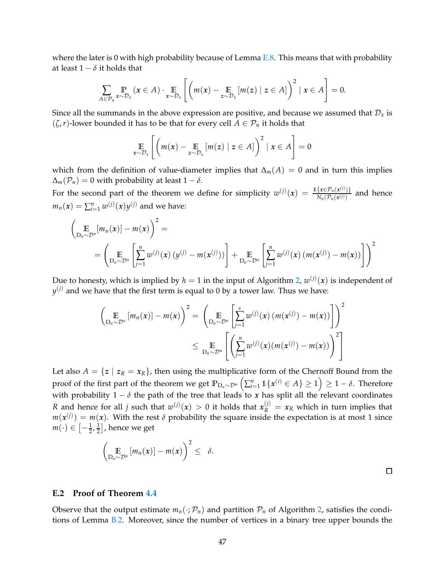where the later is 0 with high probability because of Lemma  $E.8$ . This means that with probability at least  $1 - \delta$  it holds that

$$
\sum_{A\in\mathcal{P}_n} \Pr_{x\sim\mathcal{D}_x}\left(x\in A\right)\cdot \mathop{\mathbb{E}}_{x\sim\mathcal{D}_x}\left[\left(m(x)-\mathop{\mathbb{E}}_{z\sim\mathcal{D}_x}\left[m(z)\mid z\in A\right]\right)^2\mid x\in A\right]=0.
$$

Since all the summands in the above expression are positive, and because we assumed that  $\mathcal{D}_x$  is  $(\zeta, r)$ -lower bounded it has to be that for every cell  $A \in \mathcal{P}_n$  it holds that

$$
\mathop{\mathbb{E}}\limits_{x \sim \mathcal{D}_x} \left[ \left( m(x) - \mathop{\mathbb{E}}\limits_{z \sim \mathcal{D}_x} \left[ m(z) \mid z \in A \right] \right)^2 \mid x \in A \right] = 0
$$

which from the definition of value-diameter implies that  $\Delta_m(A) = 0$  and in turn this implies  $\Delta_m(\mathcal{P}_n) = 0$  with probability at least  $1 - \delta$ .

For the second part of the theorem we define for simplicity  $w^{(j)}(x) = \frac{\mathbb{1}\{x \in \mathcal{P}_n(x^{(j)})\}}{N(\mathcal{P}_n(x^{(j)}))}$  $\frac{\sum_{k=1}^{n} P_n(x^{(j)}) f}{N_n(P_n(x^{(j)})}$  and hence  $m_n(x) = \sum_{i=1}^n w^{(j)}(x) y^{(j)}$  and we have:

$$
\left(\underset{\mathbf{D}_{n}\sim\mathcal{D}^{n}}{\mathbb{E}}[m_{n}(\mathbf{x})] - m(\mathbf{x})\right)^{2} =
$$
\n
$$
= \left(\underset{\mathbf{D}_{n}\sim\mathcal{D}^{n}}{\mathbb{E}}\left[\underset{j=1}{\overset{n}{\sum}}w^{(j)}(\mathbf{x})\left(y^{(j)} - m(\mathbf{x}^{(j)})\right)\right] + \underset{\mathbf{D}_{n}\sim\mathcal{D}^{n}}{\mathbb{E}}\left[\underset{j=1}{\overset{n}{\sum}}w^{(j)}(\mathbf{x})\left(m(\mathbf{x}^{(j)}) - m(\mathbf{x})\right)\right]\right)^{2}
$$

Due to honesty, which is implied by  $h=1$  in the input of Algorithm [2,](#page-9-0)  $w^{(j)}(\pmb{x})$  is independent of  $y^{(j)}$  and we have that the first term is equal to 0 by a tower law. Thus we have:

$$
\left(\underset{\mathsf{D}_{n}\sim\mathcal{D}^{n}}{\mathbb{E}}\left[m_{n}(\boldsymbol{x})\right]-m(\boldsymbol{x})\right)^{2}=\left(\underset{\mathsf{D}_{n}\sim\mathcal{D}^{n}}{\mathbb{E}}\left[\underset{j=1}{\overset{s}{\sum}}w^{(j)}(\boldsymbol{x})\left(m(\boldsymbol{x}^{(j)})-m(\boldsymbol{x})\right)\right]\right)^{2}
$$
\n
$$
\leq \underset{\mathsf{D}_{n}\sim\mathcal{D}^{n}}{\mathbb{E}}\left[\left(\underset{j=1}{\overset{n}{\sum}}w^{(j)}(\boldsymbol{x})\left(m(\boldsymbol{x}^{(j)})-m(\boldsymbol{x})\right)\right)^{2}\right]
$$

Let also  $A = \{z \mid z_R = x_R\}$ , then using the multiplicative form of the Chernoff Bound from the proof of the first part of the theorem we get  $\mathbb{P}_{\mathsf{D}_n \sim \mathcal{D}^n}\left( \sum_{i=1}^n \mathbb{1}\{ \pmb{x}^{(i)} \in A \} \geq 1 \right) \geq 1-\delta.$  Therefore with probability  $1 - \delta$  the path of the tree that leads to *x* has split all the relevant coordinates *R* and hence for all *j* such that  $w^{(j)}(x) > 0$  it holds that  $x_R^{(j)} = x_R$  which in turn implies that  $m(x^{(j)}) = m(x)$ . With the rest  $\delta$  probability the square inside the expectation is at most 1 since  $m(\cdot) \in \left[-\frac{1}{2},\frac{1}{2}\right]$  $\frac{1}{2}$ , hence we get

$$
\left(\mathop{\mathbb{E}}_{D_n\sim\mathcal{D}^n}\left[m_n(x)\right]-m(x)\right)^2\leq\delta.
$$

## **E.2 Proof of Theorem [4.4](#page-10-0)**

Observe that the output estimate  $m_n(\cdot;\mathcal{P}_n)$  and partition  $\mathcal{P}_n$  of Algorithm [2,](#page-9-0) satisfies the conditions of Lemma [B.2.](#page-20-0) Moreover, since the number of vertices in a binary tree upper bounds the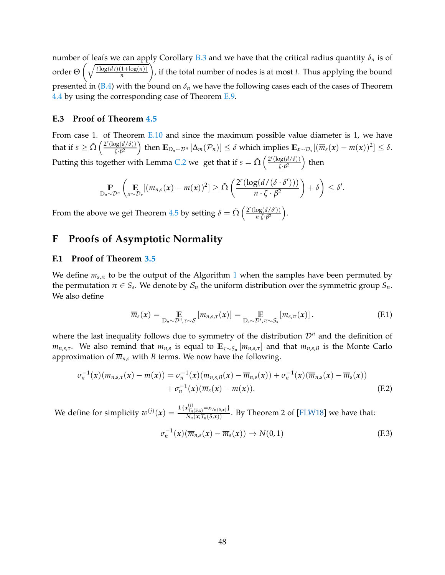number of leafs we can apply Corollary [B.3](#page-24-0) and we have that the critical radius quantity *δ<sup>n</sup>* is of order  $\Theta\left(\sqrt{\frac{t\log(dt)(1+\log(n))}{n}}\right)$ *n* , if the total number of nodes is at most *t*. Thus applying the bound presented in [\(B.4\)](#page-20-1) with the bound on  $\delta_n$  we have the following cases each of the cases of Theorem [4.4](#page-10-0) by using the corresponding case of Theorem [E.9.](#page-42-1)

## <span id="page-47-1"></span>**E.3 Proof of Theorem [4.5](#page-11-2)**

From case 1. of Theorem [E.10](#page-45-1) and since the maximum possible value diameter is 1, we have that if  $s \geq \tilde{\Omega} \left( \frac{2^r (\log(d/\delta))}{\zeta \cdot \beta^2} \right)$  $\frac{\log(d/\delta)}{\delta \sqrt{G}}$  then  $\mathbb{E}_{D_n \sim \mathcal{D}^n} [\Delta_m(\mathcal{P}_n)] \leq \delta$  which implies  $\mathbb{E}_{x \sim \mathcal{D}_x} [(\overline{m}_s(x) - m(x))^2] \leq \delta$ . Putting this together with Lemma [C.2](#page-25-2) we get that if  $s = \tilde{\Omega} \left( \frac{2^r (\log(d/\delta))}{\zeta \cdot \beta^2} \right)$  $\frac{\log(d/\delta))}{\zeta \cdot \beta^2}$ ) then

$$
\mathbb{P}_{D_n \sim \mathcal{D}^n} \left( \mathop{\mathbb{E}}_{x \sim \mathcal{D}_x} [(m_{n,s}(x) - m(x))^2] \geq \tilde{\Omega} \left( \frac{2^r (\log(d/(\delta \cdot \delta')))}{n \cdot \zeta \cdot \beta^2} \right) + \delta \right) \leq \delta'.
$$

From the above we get Theorem [4.5](#page-11-2) by setting  $\delta = \tilde{\Omega} \left( \frac{2^r (\log(d/\delta'))}{n \sqrt{R} \delta^2} \right)$  $\frac{\log(d/\delta')}{n \cdot \zeta \cdot \beta^2}$ .

# <span id="page-47-0"></span>**F Proofs of Asymptotic Normality**

## **F.1 Proof of Theorem [3.5](#page-7-1)**

We define  $m_{s,\pi}$  to be the output of the Algorithm [1](#page-5-0) when the samples have been permuted by the permutation  $\pi \in S_s$ . We denote by  $\mathcal{S}_n$  the uniform distribution over the symmetric group  $S_n$ . We also define

$$
\overline{m}_s(x) = \mathop{\mathbb{E}}_{D_n \sim \mathcal{D}^n, \tau \sim \mathcal{S}} \left[ m_{n,s,\tau}(x) \right] = \mathop{\mathbb{E}}_{D_s \sim \mathcal{D}^s, \pi \sim \mathcal{S}_s} \left[ m_{s,\pi}(x) \right]. \tag{F.1}
$$

where the last inequality follows due to symmetry of the distribution  $\mathcal{D}^n$  and the definition of  $m_{n,s,\tau}$ . We also remind that  $\overline{m}_{n,s}$  is equal to  $\mathbb{E}_{\tau \sim S_n}[m_{n,s,\tau}]$  and that  $m_{n,s,B}$  is the Monte Carlo approximation of  $\overline{m}_{n,s}$  with *B* terms. We now have the following.

$$
\sigma_n^{-1}(x)(m_{n,s,\tau}(x) - m(x)) = \sigma_n^{-1}(x)(m_{n,s,B}(x) - \overline{m}_{n,s}(x)) + \sigma_n^{-1}(x)(\overline{m}_{n,s}(x) - \overline{m}_s(x)) + \sigma_n^{-1}(x)(\overline{m}_s(x) - m(x)).
$$
\n(F.2)

We define for simplicity  $w^{(j)}(x) = \frac{\mathbb{1}\{x_{\mathcal{T}_n(s,x)}^{(j)} = x_{\mathcal{T}_n(s,x)}\}}{N_n(x,\mathcal{T}_n(s,x))}$ . By Theorem 2 of [\[FLW18\]](#page-12-5) we have that:

<span id="page-47-3"></span><span id="page-47-2"></span>
$$
\sigma_n^{-1}(x)(\overline{m}_{n,s}(x) - \overline{m}_s(x)) \to N(0,1) \tag{F.3}
$$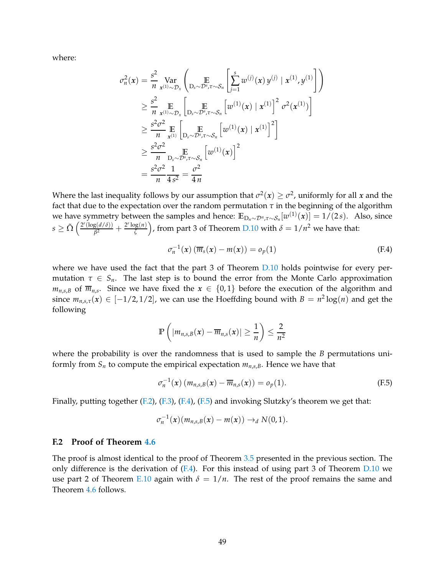where:

$$
\sigma_n^2(x) = \frac{s^2}{n} \operatorname{Var}_{x^{(1)} \sim \mathcal{D}_x} \left( \operatorname*{E}_{D_s \sim \mathcal{D}^s, \tau \sim \mathcal{S}_n} \left[ \sum_{j=1}^s w^{(j)}(x) y^{(j)} | x^{(1)}, y^{(1)} \right] \right)
$$
\n
$$
\geq \frac{s^2}{n} \operatorname*{E}_{x^{(1)} \sim \mathcal{D}_x} \left[ \operatorname*{E}_{D_s \sim \mathcal{D}^s, \tau \sim \mathcal{S}_n} \left[ w^{(1)}(x) | x^{(1)} \right]^2 \sigma^2(x^{(1)}) \right]
$$
\n
$$
\geq \frac{s^2 \sigma^2}{n} \operatorname*{E}_{x^{(1)}} \left[ \operatorname*{E}_{D_s \sim \mathcal{D}^s, \tau \sim \mathcal{S}_n} \left[ w^{(1)}(x) | x^{(1)} \right]^2 \right]
$$
\n
$$
\geq \frac{s^2 \sigma^2}{n} \operatorname*{E}_{D_s \sim \mathcal{D}^s, \tau \sim \mathcal{S}_n} \left[ w^{(1)}(x) \right]^2
$$
\n
$$
= \frac{s^2 \sigma^2}{n} \frac{1}{4s^2} = \frac{\sigma^2}{4n}
$$

Where the last inequality follows by our assumption that  $\sigma^2(x) \geq \sigma^2$ , uniformly for all *x* and the fact that due to the expectation over the random permutation  $\tau$  in the beginning of the algorithm we have symmetry between the samples and hence:  $\mathbb{E}_{D_n \sim \mathcal{D}^n, \tau \sim \mathcal{S}_n}[w^{(1)}(x)] = 1/(2s)$ . Also, since  $s \geq \tilde{\Omega} \left( \frac{2^r (\log(d/\delta))}{\beta^2} \right)$  $\frac{g(d/\delta)}{\beta^2} + \frac{2^r \log(n)}{\zeta}$  $\left(\frac{\log(n)}{\zeta}\right)$ , from part 3 of Theorem [D.10](#page-34-0) with  $\delta = 1/n^2$  we have that:

<span id="page-48-0"></span>
$$
\sigma_n^{-1}(x) \left( \overline{m}_s(x) - m(x) \right) = o_p(1) \tag{F.4}
$$

where we have used the fact that the part 3 of Theorem [D.10](#page-34-0) holds pointwise for every permutation  $\tau \in S_n$ . The last step is to bound the error from the Monte Carlo approximation  $m_{n,s,B}$  of  $\overline{m}_{n,s}$ . Since we have fixed the  $x \in \{0,1\}$  before the execution of the algorithm and since  $m_{n,s,\tau}(x) \in [-1/2,1/2]$ , we can use the Hoeffding bound with  $B = n^2 \log(n)$  and get the following

$$
\mathbb{P}\left(\left|m_{n,s,B}(x)-\overline{m}_{n,s}(x)\right|\geq \frac{1}{n}\right)\leq \frac{2}{n^2}
$$

where the probability is over the randomness that is used to sample the *B* permutations uniformly from  $S_n$  to compute the empirical expectation  $m_{n,s,B}$ . Hence we have that

<span id="page-48-1"></span>
$$
\sigma_n^{-1}(\mathbf{x}) \left( m_{n,s,B}(\mathbf{x}) - \overline{m}_{n,s}(\mathbf{x}) \right) = o_p(1). \tag{F.5}
$$

Finally, putting together  $(F.2)$ ,  $(F.3)$ ,  $(F.4)$ ,  $(F.5)$  and invoking Slutzky's theorem we get that:

$$
\sigma_n^{-1}(x)(m_{n,s,B}(x)-m(x))\rightarrow_d N(0,1).
$$

## **F.2 Proof of Theorem [4.6](#page-11-3)**

The proof is almost identical to the proof of Theorem [3.5](#page-7-1) presented in the previous section. The only difference is the derivation of  $(F.4)$ . For this instead of using part 3 of Theorem [D.10](#page-34-0) we use part 2 of Theorem [E.10](#page-45-1) again with  $\delta = 1/n$ . The rest of the proof remains the same and Theorem [4.6](#page-11-3) follows.